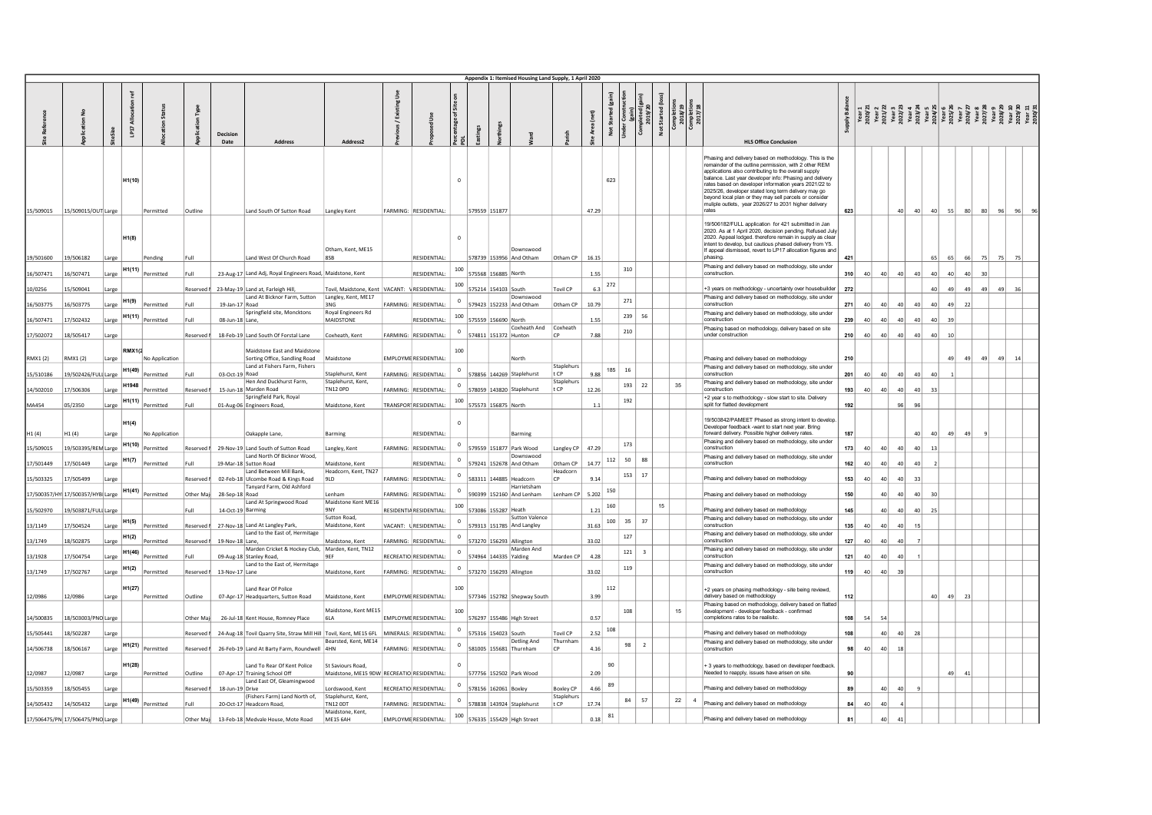|                        |                                  |                |                              |                                                                                   |              |                                                                                                                        |                                                                     |         |                                                      |                                        |                                                                                               | Appendix 1: Itemised Housing Land Supply, 1 April 2020                       |                                   |                             |                                                                        |                                                |                 |                                                |                                                                                                                                                                                                                                                                                                                                                                                                                                                                                |                                                                                                                                                                                                                                                                                                                                                                                                   |                               |                                    |                                                     |                       |                 |          |    |  |
|------------------------|----------------------------------|----------------|------------------------------|-----------------------------------------------------------------------------------|--------------|------------------------------------------------------------------------------------------------------------------------|---------------------------------------------------------------------|---------|------------------------------------------------------|----------------------------------------|-----------------------------------------------------------------------------------------------|------------------------------------------------------------------------------|-----------------------------------|-----------------------------|------------------------------------------------------------------------|------------------------------------------------|-----------------|------------------------------------------------|--------------------------------------------------------------------------------------------------------------------------------------------------------------------------------------------------------------------------------------------------------------------------------------------------------------------------------------------------------------------------------------------------------------------------------------------------------------------------------|---------------------------------------------------------------------------------------------------------------------------------------------------------------------------------------------------------------------------------------------------------------------------------------------------------------------------------------------------------------------------------------------------|-------------------------------|------------------------------------|-----------------------------------------------------|-----------------------|-----------------|----------|----|--|
|                        |                                  | ize            | ľы                           |                                                                                   |              | Decision<br>Date<br><b>Address</b>                                                                                     | Address <sub>2</sub>                                                |         |                                                      | Percentage of Site <sub>!</sub><br>PDL |                                                                                               |                                                                              | harish                            | Area (net)                  | Not Started (gain)<br>Under Construction<br>(gain)<br>Completed (gain) | ษ Construc<br>(gain)<br>mpleted (gg<br>2019/20 | Not Started (lo | Completion<br>2018/19<br>Completion<br>2017/18 | <b>HLS Office Conclusion</b>                                                                                                                                                                                                                                                                                                                                                                                                                                                   | $\begin{array}{r} \frac{1}{2} \frac{1}{2} \frac{1}{2} \frac{1}{2} \frac{1}{2} \frac{1}{2} \frac{1}{2} \frac{1}{2} \frac{1}{2} \frac{1}{2} \frac{1}{2} \frac{1}{2} \frac{1}{2} \frac{1}{2} \frac{1}{2} \frac{1}{2} \frac{1}{2} \frac{1}{2} \frac{1}{2} \frac{1}{2} \frac{1}{2} \frac{1}{2} \frac{1}{2} \frac{1}{2} \frac{1}{2} \frac{1}{2} \frac{1}{2} \frac{1}{2} \frac{1}{2} \frac{1}{2} \frac{$ |                               |                                    |                                                     |                       |                 |          |    |  |
|                        | 15/509015 15/509015/OUT Large    |                | H <sub>1</sub> (10)          | Permitted                                                                         | Outline      | Land South Of Sutton Road                                                                                              | Langley Kent                                                        |         | FARMING: RESIDENTIAL:                                | $\Omega$                               | 579559 151877                                                                                 |                                                                              |                                   | 47.29                       | 623                                                                    |                                                |                 |                                                | Phasing and delivery based on methodology. This is the<br>remainder of the outline permission, with 2 other REM<br>applications also contributing to the overall supply<br>balance. Last year developer info: Phasing and delivery<br>rates based on developer information years 2021/22 to<br>2025/26, developer stated long term delivery may go<br>beyond local plan or they may sell parcels or consider<br>muliple outlets, year 2026/27 to 2031 higher delivery<br>rates | 623                                                                                                                                                                                                                                                                                                                                                                                               |                               | 40                                 | 40 40 55 80 80 96                                   |                       |                 |          |    |  |
|                        | 19/501600 19/506182              | Large          | H1(8)                        | Pending                                                                           | Full         | Land West Of Church Road                                                                                               | Otham, Kent, ME15<br><b>RSB</b>                                     |         | RESIDENTIAL:                                         |                                        |                                                                                               | Downswood<br>578739 153956 And Otham                                         | Otham CP                          | 16.15                       |                                                                        |                                                |                 |                                                | 19/506182/FULL application for 421 submitted in Jan<br>2020. As at 1 April 2020, decision pending. Refused July<br>2020. Appeal lodged. therefore remain in supply as clear<br>intent to develop, but cautious phased delivery from Y5.<br>If appeal dismissed, revert to LP17 allocation figures and<br>phasing.                                                                                                                                                              | 421                                                                                                                                                                                                                                                                                                                                                                                               |                               |                                    |                                                     |                       | 65 66 75 75     |          |    |  |
| 16/507471              | 16/507471                        | Large          | H <sub>1</sub> (11)          | Permitted                                                                         | Full         | 23-Aug-17 Land Adj, Royal Engineers Road, Maidstone, Kent                                                              |                                                                     |         | RESIDENTIAL:                                         | 100                                    | 575568 156885 North                                                                           |                                                                              |                                   | 1.55                        |                                                                        | 310                                            |                 |                                                | Phasing and delivery based on methodology, site under<br>construction.                                                                                                                                                                                                                                                                                                                                                                                                         | 310<br>40                                                                                                                                                                                                                                                                                                                                                                                         | 40                            | 40                                 | 40<br>40                                            | 40                    | 40 <sup>1</sup> | 30       |    |  |
| 10/0256                | 15/509041                        | Large          |                              |                                                                                   | Reserved     | 23-May-19 Land at, Farleigh Hill,<br>Land At Bicknor Farm, Sutton                                                      | Tovil, Maidstone, Kent VACANT: VRESIDENTIAL:<br>Langley, Kent, ME17 |         |                                                      |                                        | 575214 154103 South                                                                           | Downswood                                                                    | ovil CP                           | 6.3                         | 272                                                                    |                                                |                 |                                                | +3 years on methodology - uncertainty over housebuilder<br>Phasing and delivery based on methodology, site under                                                                                                                                                                                                                                                                                                                                                               | 272                                                                                                                                                                                                                                                                                                                                                                                               |                               |                                    |                                                     | 40 <sup>1</sup><br>49 | - 49            | 49       | 49 |  |
| 16/503775              | 16/503775                        | Large          | H1(9)                        | Permitted<br>$\left \text{H1(11)}\right.\left \text{Permitted}\right $            | Full<br>Full | 19-Jan-17 Road<br>Springfield site, Moncktons                                                                          | 3NG<br>Royal Engineers Rd<br>MAIDSTONE                              |         | FARMING: RESIDENTIAL<br>RESIDENTIAL                  | 100                                    | 575559 156690 North                                                                           | 579423 152233 And Otham                                                      | Otham CP                          | 10.79<br>1.55               | 271                                                                    | 239<br>56                                      |                 |                                                | construction<br>Phasing and delivery based on methodology, site under<br>construction                                                                                                                                                                                                                                                                                                                                                                                          | 271<br>40<br>$\Delta$ n<br>239                                                                                                                                                                                                                                                                                                                                                                    | 40 <sup>1</sup><br>$\Delta$ n | 40 <sup>1</sup><br>40 <sup>1</sup> | 40<br>40                                            | 40<br>49              | 22              |          |    |  |
| 16/507471<br>17/502072 | 17/502432<br>18/505417           | Large<br>Large |                              |                                                                                   |              | 08-Jun-18 Lane,<br>Reserved 1 18-Feb-19 Land South Of Forstal Lane                                                     | Coxheath, Kent                                                      |         | FARMING: RESIDENTIAL:                                |                                        | $0$   574811   151372   Hunton                                                                |                                                                              | Coxheath And Coxheath<br>$\Gamma$ | 7.88                        | 210                                                                    |                                                |                 |                                                | Phasing based on methodology, delivery based on site<br>under construction                                                                                                                                                                                                                                                                                                                                                                                                     | 210<br>40 <sup>1</sup>                                                                                                                                                                                                                                                                                                                                                                            | 40 <sup>1</sup>               | 40 <sup>1</sup>                    | 40 <sup>1</sup><br>40 <sup>1</sup><br><sub>40</sub> |                       |                 |          |    |  |
| RMX1 (2)               | RMX1 (2)                         | Large          | <b>RMX1G</b>                 | No Application                                                                    |              | Maidstone East and Maidstone<br>Sorting Office, Sandling Road Maidstone                                                |                                                                     |         | <b>EMPLOYME RESIDENTIAL</b>                          | 100                                    |                                                                                               | North                                                                        |                                   |                             |                                                                        |                                                |                 |                                                | Phasing and delivery based on methodology                                                                                                                                                                                                                                                                                                                                                                                                                                      | 210                                                                                                                                                                                                                                                                                                                                                                                               |                               |                                    |                                                     | 49                    |                 | 49 49 49 | 14 |  |
| 15/510186              | 19/502426/FULI Large             |                | H1(49)                       | Permitted                                                                         |              | Land at Fishers Farm, Fishers<br>03-Oct-19 Road<br>Hen And Duckhurst Farm,                                             | Staplehurst, Kent<br>Staplehurst, Kent,                             |         | <b>FARMING: RESIDENTIAL</b>                          |                                        |                                                                                               | 578856 144269 Staplehurst                                                    | Staplehur:<br>t CP<br>taplehu     | 9.88                        | 185<br>16                                                              |                                                |                 |                                                | Phasing and delivery based on methodology, site under<br>construction<br>Phasing and delivery based on methodology, site under                                                                                                                                                                                                                                                                                                                                                 | 201<br>40                                                                                                                                                                                                                                                                                                                                                                                         | 40                            | 40                                 | 40<br>40                                            |                       |                 |          |    |  |
| 14/502010              | 7/506306                         | Large          | H1948                        | Permitted                                                                         | Reserved     | 15-Jun-18 Marden Road<br>Springfield Park, Royal                                                                       | <b>TN12 OPD</b>                                                     |         | FARMING: RESIDENTIAL                                 |                                        |                                                                                               | 578059 143820 Staplehurst                                                    | t CP                              | 12.26                       |                                                                        | 193 22                                         | 35              |                                                | construction<br>+2 year s to methodology - slow start to site. Delivery                                                                                                                                                                                                                                                                                                                                                                                                        | 40<br>193 <sup>1</sup>                                                                                                                                                                                                                                                                                                                                                                            | 40 <sup>1</sup>               | 40 <sup>1</sup>                    | 40                                                  |                       |                 |          |    |  |
| MA454                  | 05/2350                          | Large          | H <sub>1</sub> (11)<br>H1(4) | Permitted                                                                         | Full         | 01-Aug-06 Engineers Road,                                                                                              | Maidstone, Kent                                                     |         | TRANSPOR <sup>RESIDENTIAL:</sup>                     |                                        | $\begin{array}{ c c c c c } \hline 100 & 575573 & 156875 & \text{North} \\\hline \end{array}$ |                                                                              |                                   | $1.1\,$                     |                                                                        | 192                                            |                 |                                                | split for flatted development<br>19/503842/PAMEET Phased as strong intent to develop.<br>Developer feedback -want to start next year. Bring                                                                                                                                                                                                                                                                                                                                    | 192                                                                                                                                                                                                                                                                                                                                                                                               |                               | 96                                 |                                                     |                       |                 |          |    |  |
| H1(4)                  | H1(4)                            | Large          | H1(10)                       | No Application                                                                    |              | Oakapple Lane,                                                                                                         | Barming                                                             |         | <b>RESIDENTIAL</b>                                   |                                        |                                                                                               | Barming                                                                      |                                   |                             | 173                                                                    |                                                |                 |                                                | forward delivery. Possible higher delivery rates.<br>Phasing and delivery based on methodology, site under<br>construction                                                                                                                                                                                                                                                                                                                                                     | 187                                                                                                                                                                                                                                                                                                                                                                                               |                               |                                    | 40 <sup>1</sup><br>40                               | 49                    |                 |          |    |  |
| 15/509015<br>17/501449 | 19/503395/REN Large<br>17/501449 | Large          | H <sub>1</sub> (7)           | Permitted<br>Permitted                                                            | Full         | Reserved # 29-Nov-19 Land South of Sutton Road<br>Land North Of Bicknor Wood,<br>19-Mar-18 Sutton Road                 | Langley, Kent<br>Maidstone, Kent                                    |         | FARMING: RESIDENTIAL:<br><b>RESIDENTIAL</b>          |                                        |                                                                                               | <sup>0</sup> 579559 151877 Park Wood<br>Downswood<br>579241 152678 And Otham | Otham CP                          | Langley CP   47.29<br>14.77 |                                                                        | $112$ 50 88                                    |                 |                                                | Phasing and delivery based on methodology, site under<br>construction                                                                                                                                                                                                                                                                                                                                                                                                          | 173<br>40<br>162<br>40 <sup>1</sup>                                                                                                                                                                                                                                                                                                                                                               | 40<br>40                      | 40<br>40                           | 40<br>40                                            |                       |                 |          |    |  |
| 15/503325              | 17/505499                        | Large          |                              |                                                                                   | Reserved     | Land Between Mill Bank,<br>02-Feb-18 Ulcombe Road & Kings Road                                                         | Headcorn, Kent, TN27<br>$q_{ID}$                                    |         | <b>FARMING: RESIDENTIAL</b>                          |                                        | 583311 144885 Headcorn                                                                        |                                                                              | leadcori<br> c                    | 9.14                        |                                                                        | 153 17                                         |                 |                                                | Phasing and delivery based on methodology                                                                                                                                                                                                                                                                                                                                                                                                                                      | 153<br>40 <sup>1</sup>                                                                                                                                                                                                                                                                                                                                                                            | 40                            | 40                                 | 33                                                  |                       |                 |          |    |  |
|                        | 17/500357/HY 17/500357/HYB Large |                |                              | $H1(41)$ <u>Permitted</u>                                                         | Other Ma     | Tanyard Farm, Old Ashford<br>28-Sep-18 Road<br>Land At Springwood Road                                                 | l enham<br>Maidstone Kent ME16                                      |         | <b>FARMING: RESIDENTIAL</b>                          |                                        |                                                                                               | Harrietsham<br>590399 152160 And Lenham                                      | Lenham CP                         | 5.202                       | 150                                                                    |                                                |                 |                                                | Phasing and delivery based on methodology                                                                                                                                                                                                                                                                                                                                                                                                                                      | 150                                                                                                                                                                                                                                                                                                                                                                                               | 40 l                          | 40 <sup>2</sup>                    | 40                                                  |                       |                 |          |    |  |
| 15/502970              | 19/503871/FULI Large             |                |                              |                                                                                   | Full         | 14-Oct-19 Barming                                                                                                      | <b>9NY</b><br>Sutton Road.                                          |         | RESIDENTIA RESIDENTIAL                               | 100                                    | 573086 155287 Heath                                                                           | <b>Sutton Valence</b>                                                        |                                   | 1.21                        | 160                                                                    | 37                                             | 15              |                                                | Phasing and delivery based on methodology<br>Phasing and delivery based on methodology, site under                                                                                                                                                                                                                                                                                                                                                                             | 145                                                                                                                                                                                                                                                                                                                                                                                               | 40                            | 40                                 | 40                                                  |                       |                 |          |    |  |
| 13/1149                | 7/504524                         | Large          | H <sub>1</sub> (5)<br>H1(2)  | Permitted                                                                         | Reserved     | 27-Nov-18 Land At Langley Park,<br>Land to the East of, Hermitage                                                      | Maidstone, Kent                                                     | VACANT: | <b>URESIDENTIAL</b>                                  |                                        |                                                                                               | 579313 151785 And Langley                                                    |                                   | 31.63                       | 100<br>35                                                              | 127                                            |                 |                                                | construction<br>Phasing and delivery based on methodology, site under                                                                                                                                                                                                                                                                                                                                                                                                          | 135<br>40                                                                                                                                                                                                                                                                                                                                                                                         | 40                            | 40                                 |                                                     |                       |                 |          |    |  |
| 13/1749                | 18/502875                        | Large          | H1(46)                       | Permitted                                                                         | Reserved     | 19-Nov-18 Lane,<br>Marden Cricket & Hockey Club, Marden, Kent, TN12                                                    | Maidstone, Kent<br>QCD                                              |         | FARMING: RESIDENTIAL<br><b>RECREATIO RESIDENTIAL</b> |                                        | 573270 156293 Allington                                                                       | Marden And                                                                   |                                   | 33.02                       |                                                                        | 121<br>$\overline{\mathbf{3}}$                 |                 |                                                | construction<br>Phasing and delivery based on methodology, site under<br>construction                                                                                                                                                                                                                                                                                                                                                                                          | 127<br>40<br>121                                                                                                                                                                                                                                                                                                                                                                                  | 40<br>40 <sup>1</sup>         | 40                                 |                                                     |                       |                 |          |    |  |
| 13/1928<br>13/1749     | 7/504754<br>17/502767            | Large<br>Large | H <sub>1</sub> (2)           | Permitted<br>Permitted                                                            | Reserved     | 09-Aug-18 Stanley Road,<br>Land to the East of, Hermitage<br>13-Nov-17 Lane                                            | Maidstone, Kent                                                     |         | FARMING: RESIDENTIAL:                                |                                        | 574964 144335 Yalding                                                                         |                                                                              | Marden CP                         | 4.28<br>33.02               |                                                                        | 119                                            |                 |                                                | Phasing and delivery based on methodology, site under<br>construction                                                                                                                                                                                                                                                                                                                                                                                                          | 40<br>119<br>40                                                                                                                                                                                                                                                                                                                                                                                   | 40                            | 40<br>39                           |                                                     |                       |                 |          |    |  |
|                        |                                  |                | H1(27)                       |                                                                                   |              | Land Rear Of Police                                                                                                    |                                                                     |         |                                                      | 100                                    |                                                                                               |                                                                              |                                   |                             | 112                                                                    |                                                |                 |                                                | +2 years on phasing methodology - site being reviewd,                                                                                                                                                                                                                                                                                                                                                                                                                          |                                                                                                                                                                                                                                                                                                                                                                                                   |                               |                                    |                                                     |                       |                 |          |    |  |
| 12/0986                | 12/0986                          | Large          |                              | Permitted                                                                         | Outline      | 07-Apr-17 Headquarters, Sutton Road                                                                                    | Maidstone, Kent<br>Maidstone, Kent ME15                             |         | <b>EMPLOYME RESIDENTIAL:</b>                         | 100                                    |                                                                                               | 577346 152782 Shepway South                                                  |                                   | 3.99                        | 108                                                                    |                                                | 15              |                                                | delivery based on methodology<br>Phasing based on methodology, delivery based on flatted<br>development - developer feedback - confirmed                                                                                                                                                                                                                                                                                                                                       | 112                                                                                                                                                                                                                                                                                                                                                                                               |                               |                                    |                                                     | 49<br>40 I            | 73              |          |    |  |
| 14/500835              | 18/503003/PNO Large              |                |                              |                                                                                   | Other Mai    | 26-Jul-18 Kent House, Romney Place                                                                                     | 6LA                                                                 |         | EMPLOYME RESIDENTIAL:                                |                                        |                                                                                               | 576297 155486 High Street                                                    |                                   | 0.57                        | 108                                                                    |                                                |                 |                                                | completions rates to be realisitc.                                                                                                                                                                                                                                                                                                                                                                                                                                             | 108<br>54                                                                                                                                                                                                                                                                                                                                                                                         |                               |                                    |                                                     |                       |                 |          |    |  |
| 15/505441              | 18/502287                        | Large          | H <sub>1</sub> (21)          |                                                                                   |              | Reserved   24-Aug-18 Tovil Quarry Site, Straw Mill Hill Tovil, Kent, ME15 6FL MINERALS: RESIDENTIAL:                   | Bearsted, Kent, ME14                                                |         |                                                      | $\Omega$                               | 575316 154023 South                                                                           | Detling And                                                                  | Tovil CP<br>Thurnham              | 2.52                        |                                                                        | 98<br>$\overline{2}$                           |                 |                                                | Phasing and delivery based on methodology<br>Phasing and delivery based on methodology, site under                                                                                                                                                                                                                                                                                                                                                                             | 108                                                                                                                                                                                                                                                                                                                                                                                               |                               | 40   40                            | 28                                                  |                       |                 |          |    |  |
| 14/506738              | 18/506167<br>12/0987             | Large          | H1(28)                       | Permitted<br>Permitted                                                            | Outline      | Reserved # 26-Feb-19 Land At Barty Farm, Roundwell 4HN<br>Land To Rear Of Kent Police<br>07-Apr-17 Training School Off | St Saviours Road.<br>Maidstone, ME15 9DW RECREATIO RESIDENTIAL      |         | FARMING: RESIDENTIAL:                                |                                        |                                                                                               | 581005 155681 Thurnham<br>577756 152502 Park Wood                            | C <sub>P</sub>                    | 4.16<br>2.09                | 90                                                                     |                                                |                 |                                                | construction<br>+ 3 years to methodology, based on developer feedback<br>Needed to reapply, issues have arisen on site.                                                                                                                                                                                                                                                                                                                                                        | 40<br>98<br>90                                                                                                                                                                                                                                                                                                                                                                                    | 40                            |                                    |                                                     |                       | 49 41           |          |    |  |
| 12/0987<br>15/503359   | 18/505455                        | Large<br>Large |                              |                                                                                   | Reserved     | Land East Of, Gleamingwood<br>18-Jun-19 Drive                                                                          | Lordswood, Kent                                                     |         | RECREATIO RESIDENTIAL                                |                                        | 578156 162061 Boxley                                                                          |                                                                              | <b>Boxley CP</b>                  | 4.66                        | 89                                                                     |                                                |                 |                                                | Phasing and delivery based on methodology                                                                                                                                                                                                                                                                                                                                                                                                                                      | 89                                                                                                                                                                                                                                                                                                                                                                                                | 40                            | 40                                 |                                                     |                       |                 |          |    |  |
| 14/505432              | 14/505432                        | Large          |                              | $\begin{array}{ l } \hline \text{H1(49)} & \text{Permitted} \\\hline \end{array}$ | Full         | (Fishers Farm) Land North of,<br>20-Oct-17 Headcorn Road,                                                              | Staplehurst, Kent<br><b>TN12 ODT</b>                                |         | FARMING: RESIDENTIAL                                 |                                        |                                                                                               | 578838 143924 Staplehurst                                                    | Staplehur<br>t CP                 | 17.74                       | 84                                                                     | 57                                             |                 | 22                                             | 4 Phasing and delivery based on methodology                                                                                                                                                                                                                                                                                                                                                                                                                                    | 84<br>40                                                                                                                                                                                                                                                                                                                                                                                          | 40 <sup>1</sup>               |                                    |                                                     |                       |                 |          |    |  |
|                        | 17/506475/PN 17/506475/PNO Large |                |                              |                                                                                   |              | Other Maj 13-Feb-18 Medvale House, Mote Road                                                                           | Maidstone, Kent,<br>ME15 6AH                                        |         | EMPLOYME RESIDENTIAL:                                |                                        |                                                                                               | 100 576335 155429 High Street                                                |                                   | 0.18                        | 81                                                                     |                                                |                 |                                                | Phasing and delivery based on methodology                                                                                                                                                                                                                                                                                                                                                                                                                                      | 81                                                                                                                                                                                                                                                                                                                                                                                                | 40                            |                                    |                                                     |                       |                 |          |    |  |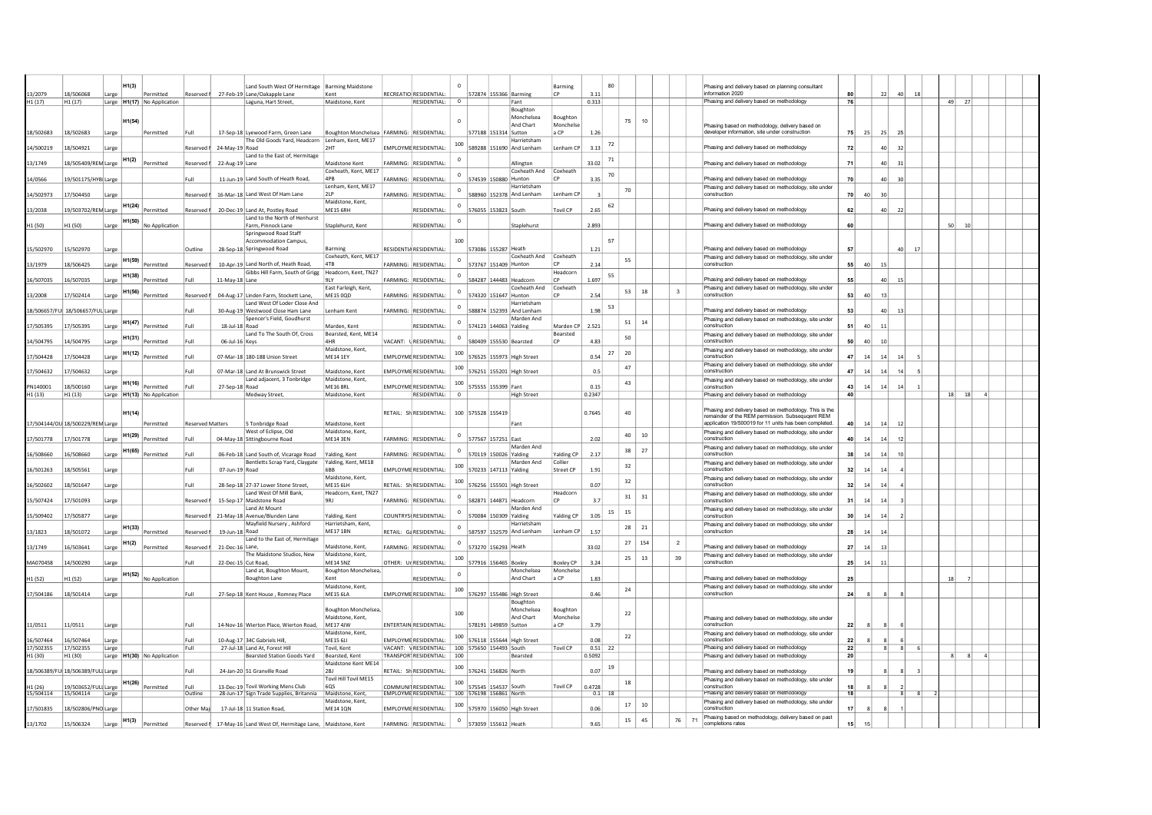|                                  |                                    |       | H1(3)                                    |                         | Land South West Of Hermitage   Barming Maidstone        |                                               |                                                      |                |                                                |                         | Barming               |                |    |           |                         | Phasing and delivery based on planning consultant                                                               |                 |              |                |    |    |                      |  |  |
|----------------------------------|------------------------------------|-------|------------------------------------------|-------------------------|---------------------------------------------------------|-----------------------------------------------|------------------------------------------------------|----------------|------------------------------------------------|-------------------------|-----------------------|----------------|----|-----------|-------------------------|-----------------------------------------------------------------------------------------------------------------|-----------------|--------------|----------------|----|----|----------------------|--|--|
| 13/2079                          | 18/506068                          | Large | Permitted                                | Reserved I              | 27-Feb-19 Lane/Oakapple Lane                            | Kent                                          | RECREATIO RESIDENTIAL:                               |                | 572874 155366 Barming                          |                         | $\Gamma$              | 3.11           |    |           |                         | information 2020                                                                                                |                 |              | 22             | 40 |    |                      |  |  |
| H <sub>1</sub> (17)              | H <sub>1</sub> (17)                |       | Large H1(17) No Application              |                         | Laguna, Hart Street.                                    | Maidstone, Kent                               | $RESDENTIAL$ : $0$                                   |                |                                                | Fant                    |                       | 0.313          |    |           |                         | Phasing and delivery based on methodology                                                                       | 76              |              |                |    |    | $49$ 27              |  |  |
|                                  |                                    |       |                                          |                         |                                                         |                                               |                                                      |                |                                                | Boughton                |                       |                |    |           |                         |                                                                                                                 |                 |              |                |    |    |                      |  |  |
|                                  |                                    |       | H1(54)                                   |                         |                                                         |                                               |                                                      |                |                                                | Monchelsea<br>And Chart | Boughton<br>Monchelse |                |    | 75<br>10  |                         | Phasing based on methodology, delivery based on                                                                 |                 |              |                |    |    |                      |  |  |
| 18/502683                        | 18/502683                          | Large | Permitted                                | Full                    | 17-Sep-18 Lyewood Farm, Green Lane                      | Boughton Monchelsea   FARMING:   RESIDENTIAL: |                                                      |                | 577188 151314 Sutton                           |                         | a CP                  | 1.26           |    |           |                         | developer information, site under construction                                                                  | <b>751</b>      | 25           | 25             | 25 |    |                      |  |  |
|                                  |                                    |       |                                          |                         | The Old Goods Yard, Headcorn Lenham, Kent, ME17         |                                               |                                                      | 100            |                                                | Harrietsham             |                       |                | 72 |           |                         |                                                                                                                 |                 |              |                |    |    |                      |  |  |
| 14/500219                        | 18/504921                          | Large |                                          | Reserved I              | 24-May-19 Road<br>Land to the East of, Hermitage        | <b>2HT</b>                                    | <b>EMPLOYME RESIDENTIAL:</b>                         |                | 589288 151690 And Lenham                       |                         | Lenham CP             | 3.13           |    |           |                         | Phasing and delivery based on methodology                                                                       | 72              |              | 40             | 32 |    |                      |  |  |
| 13/1749                          | 18/505409/REN Large                |       | H1(2)<br>Permitted                       | Reserved                | 22-Aug-19 Lane                                          | Maidstone Kent                                | <b>FARMING:</b><br>RESIDENTIAL                       | $^{\circ}$     |                                                | Allington               |                       | 33.02          | 71 |           |                         | Phasing and delivery based on methodology                                                                       | 71              |              | 40             | 31 |    |                      |  |  |
|                                  |                                    |       |                                          |                         |                                                         | Coxheath, Kent, ME17                          |                                                      |                |                                                | Coxheath And            | Coxheath              |                | 70 |           |                         |                                                                                                                 |                 |              |                |    |    |                      |  |  |
| 14/0566                          | 19/501175/HYB Large                |       |                                          | Full                    | 11-Jun-19 Land South of Heath Road,                     | 4PB                                           | <b>FARMING:</b><br><b>RESIDENTIAL</b>                |                | 574539 150880 Hunton                           |                         | CP                    | 3.35           |    |           |                         | Phasing and delivery based on methodology                                                                       | 70              |              | 40             | 30 |    |                      |  |  |
| 14/502973                        | 17/504450                          | Large |                                          | Reserved                | 16-Mar-18 Land West Of Ham Lane                         | Lenham, Kent, ME17<br>21P                     | <b>FARMING:</b><br><b>RESIDENTIAL</b>                |                | 588960 152378 And Lenham                       | Harrietsham             | Lenham CF             |                |    | 70        |                         | Phasing and delivery based on methodology, site under<br>construction                                           | 70              | 40           | 30             |    |    |                      |  |  |
|                                  |                                    |       |                                          |                         |                                                         | Maidstone, Kent,                              |                                                      |                |                                                |                         |                       |                | 62 |           |                         |                                                                                                                 |                 |              |                |    |    |                      |  |  |
| 13/2038                          | 19/503702/REN Large                |       | H1(24)<br>Permitted                      | Reserved                | 20-Dec-19 Land At, Postley Road                         | <b>ME15 6RH</b>                               | RESIDENTIAL:                                         | $^{\circ}$     | 576055 153823 South                            |                         | <b>Tovil CP</b>       | 2.65           |    |           |                         | Phasing and delivery based on methodology                                                                       | 62              |              | 40             | 22 |    |                      |  |  |
|                                  | H1 (50)                            | Large | H1(50) No Application                    |                         | Land to the North of Henhurst<br>Farm, Pinnock Lane     | Staplehurst, Kent                             | RESIDENTIAL                                          | $^{\circ}$     |                                                | Staplehurst             |                       | 2.893          |    |           |                         | Phasing and delivery based on methodology                                                                       | 60              |              |                |    |    | 50<br>$10\,$         |  |  |
| H1 (50)                          |                                    |       |                                          |                         | Springwood Road Staff                                   |                                               |                                                      |                |                                                |                         |                       |                |    |           |                         |                                                                                                                 |                 |              |                |    |    |                      |  |  |
|                                  |                                    |       |                                          |                         | Accommodation Campus,                                   |                                               |                                                      | 100            |                                                |                         |                       |                | 57 |           |                         |                                                                                                                 |                 |              |                |    |    |                      |  |  |
| 15/502970                        | 15/502970                          | Large |                                          | Outline                 | 28-Sep-18 Springwood Road                               | Barming                                       | RESIDENTIA RESIDENTIAL                               |                | 573086 155287 Heath                            |                         |                       | 1.21           |    |           |                         | Phasing and delivery based on methodology                                                                       | 57              |              |                | 40 | 17 |                      |  |  |
| 13/1979                          | 18/506425                          | Large | H1(59)<br>Permitted                      | Reserved                | 10-Apr-19 Land North of, Heath Road,                    | Coxheath, Kent, ME17<br>4TB                   | <b>FARMING:</b><br><b>RESIDENTIAL</b>                | $\mathbf 0$    | 573767 151409 Huntor                           | Coxheath And            | Coxheath              | 2.14           |    | 55        |                         | Phasing and delivery based on methodology, site under<br>construction                                           | 55              | 40           | 15             |    |    |                      |  |  |
|                                  |                                    |       |                                          |                         | Gibbs Hill Farm, South of Grigg                         | Headcorn, Kent, TN27                          |                                                      |                |                                                |                         | Headcorn              |                |    |           |                         |                                                                                                                 |                 |              |                |    |    |                      |  |  |
| 16/507035                        | 16/507035                          | Large | H1(38)<br>Permitted                      | Full                    | 11-May-18 Lane                                          | 9LY                                           | FARMING:<br>RESIDENTIAL:                             |                | 584287 144483 Headcorn                         |                         |                       | 1.697          | 55 |           |                         | Phasing and delivery based on methodology                                                                       | 55              |              | 40             | 15 |    |                      |  |  |
| 13/2008                          | 17/502414                          |       | H1(56)<br>Permitted                      | Reserved                | 04-Aug-17 Linden Farm, Stockett Lane,                   | East Farleigh, Kent.<br><b>ME15 0QD</b>       | <b>FARMING:</b><br>RESIDENTIAL                       | $^{\circ}$     | 574320 151647 Hunton                           | Coxheath And            | Coxheath              | 2.54           |    | 53<br>18  | $\overline{\mathbf{3}}$ | Phasing and delivery based on methodology, site under<br>construction                                           | 53              | 40           |                |    |    |                      |  |  |
|                                  |                                    | Large |                                          |                         | Land West Of Loder Close And                            |                                               |                                                      |                |                                                | Harrietsham             |                       |                |    |           |                         |                                                                                                                 |                 |              |                |    |    |                      |  |  |
|                                  | 18/506657/FUI 18/506657/FUL Large  |       |                                          | Full                    | 30-Aug-19 Westwood Close Ham Lane                       | Lenham Kent                                   | FARMING: RESIDENTIAL:                                | $\mathbf{0}$   | 588874 152393 And Lenham                       |                         |                       | 1.98           | 53 |           |                         | Phasing and delivery based on methodology                                                                       | 53              |              | 40             | 13 |    |                      |  |  |
|                                  |                                    |       | H1(47)                                   |                         | Spencer's Field, Goudhurst                              |                                               |                                                      | $^{\circ}$     |                                                | Marden And              |                       |                |    | 51<br>-14 |                         | Phasing and delivery based on methodology, site under                                                           |                 |              |                |    |    |                      |  |  |
| 17/505395                        | 17/505395                          | Large | Permitted                                | Full                    | 18-Jul-18 Road<br>Land To The South Of, Cross           | Marden, Kent<br>Bearsted, Kent, ME14          | <b>RESIDENTIAL</b>                                   |                | 574123 144063 Yalding                          |                         | Marden CP<br>Bearsted | 2.521          |    |           |                         | construction                                                                                                    | 51              | 40           | 11             |    |    |                      |  |  |
| 14/504795                        | 14/504795                          | Large | H1(31)<br>Permitted                      | Full                    | 06-Jul-16 Keys                                          | 4HR                                           | RESIDENTIAL<br>VACANT:                               | $^{\circ}$     | 580409 155530 Bearsted                         |                         | <b>CP</b>             | 4.83           |    | 50        |                         | Phasing and delivery based on methodology, site under<br>construction                                           |                 | 40           | 10             |    |    |                      |  |  |
|                                  |                                    |       | H1(12)                                   |                         |                                                         | Maidstone, Kent.                              |                                                      | 100            |                                                |                         |                       |                | 27 | 20        |                         | Phasing and delivery based on methodology, site under                                                           |                 |              |                |    |    |                      |  |  |
| 17/504428                        | 17/504428                          | Large | Permitted                                | Full                    | 07-Mar-18 180-188 Union Street                          | ME14 1EY                                      | <b>EMPLOYME RESIDENTIAL:</b>                         |                | 576525 155973 High Street                      |                         |                       | 0.54           |    |           |                         | construction                                                                                                    | 47              | 14           | 14             | 14 |    |                      |  |  |
| 7/504632                         | 17/504632                          | Large |                                          | Full                    | 07-Mar-18 Land At Brunswick Street                      | Maidstone, Kent                               | EMPLOYME RESIDENTIAL:                                | 100            | 576251 155201 High Street                      |                         |                       | 0.5            |    | 47        |                         | Phasing and delivery based on methodology, site under<br>construction                                           | 47              | 14           | 14             | 14 |    |                      |  |  |
|                                  |                                    |       | H1(16)                                   |                         | Land adiacent, 3 Tonbridge                              | Maidstone, Kent.                              |                                                      | 100            |                                                |                         |                       |                |    | 43        |                         | Phasing and delivery based on methodology, site under                                                           |                 |              |                |    |    |                      |  |  |
| PN140001<br>H1 (13)              | 18/500160<br>H <sub>1</sub> (13)   | Large | Permitted<br>Large H1(13) No Application |                         | 27-Sep-18 Road                                          | <b>ME16 8RL</b><br>Maidstone, Kent            | <b>EMPLOYME RESIDENTIAL</b><br>RESIDENTIAL:          | $\overline{0}$ | 575555 155399 Fant                             |                         |                       | 0.15<br>0.2347 |    |           |                         | construction<br>Phasing and delivery based on methodology                                                       | 43<br>40        | 14           | 14             | 14 |    | $18$ $18$            |  |  |
|                                  |                                    |       |                                          |                         | <b>Medway Street</b>                                    |                                               |                                                      |                |                                                | <b>High Street</b>      |                       |                |    |           |                         |                                                                                                                 |                 |              |                |    |    |                      |  |  |
|                                  |                                    |       | H1(14)                                   |                         |                                                         |                                               | RETAIL: SH RESIDENTIAL:                              |                | 100 575528 155419                              |                         |                       | 0.7645         |    | 40        |                         | Phasing and delivery based on methodology. This is the                                                          |                 |              |                |    |    |                      |  |  |
| 17/504144/OU 18/500229/REN Large |                                    |       | Permitted                                |                         |                                                         |                                               |                                                      |                |                                                |                         |                       |                |    |           |                         | remainder of the REM permission. Subsequqent REM                                                                |                 |              |                |    |    |                      |  |  |
|                                  |                                    |       |                                          |                         |                                                         |                                               |                                                      |                |                                                |                         |                       |                |    |           |                         |                                                                                                                 |                 |              |                |    |    |                      |  |  |
|                                  |                                    |       |                                          | <b>Reserved Matters</b> | 5 Tonbridge Road                                        | Maidstone, Kent<br>Maidstone, Kent,           |                                                      |                |                                                | Fant                    |                       |                |    |           |                         | application 19/500019 for 11 units has been completed.<br>Phasing and delivery based on methodology, site under | 40              | 14           | 14             | 12 |    |                      |  |  |
| 17/501778                        | 17/501778                          | Large | H1(29)<br>Permitted                      | Full                    | West of Eclipse, Old<br>04-May-18 Sittingbourne Road    | <b>MF14 3FN</b>                               | FARMING: RESIDENTIAL                                 | $\circ$        | 577567 157251 Fast                             |                         |                       | 2.02           |    | 40<br>10  |                         | construction                                                                                                    | 40              | 14           | 14             | 12 |    |                      |  |  |
|                                  |                                    |       | H1(65)                                   |                         |                                                         |                                               |                                                      | $^{\circ}$     |                                                | Marden And              |                       |                |    | 27<br>38  |                         | Phasing and delivery based on methodology, site under                                                           |                 |              |                |    |    |                      |  |  |
| 16/508660                        | 16/508660                          | Large | Permitted                                | Full                    | 06-Feb-18 Land South of, Vicarage Road                  | Yalding, Kent                                 | FARMING: RESIDENTIAL                                 |                | 570119 150026 Yalding                          | Marden And              | Yalding CP<br>Collier | 2.17           |    |           |                         | construction                                                                                                    | 38 <sup>1</sup> | 14           | 14             | 10 |    |                      |  |  |
| 16/501263                        | 18/505561                          | Large |                                          | Full                    | Bentletts Scrap Yard, Claygate<br>07-Jun-19 Road        | Yalding, Kent, ME18<br><b>6BB</b>             | <b>EMPLOYME RESIDENTIAL</b>                          | 100            | 570233 147113 Yalding                          |                         | Street CP             | 1.91           |    | 32        |                         | Phasing and delivery based on methodology, site under<br>construction                                           | 32              | 14           | 14             |    |    |                      |  |  |
|                                  |                                    |       |                                          |                         |                                                         | Maidstone, Kent,                              |                                                      | 100            |                                                |                         |                       |                |    | 32        |                         | Phasing and delivery based on methodology, site under                                                           |                 |              |                |    |    |                      |  |  |
| 16/502602                        | 18/501647                          | Large |                                          | Full                    | 28-Sep-18 27-37 Lower Stone Street,                     | <b>MF15 6LH</b>                               | RETAIL: SH RESIDENTIAL:                              |                | 576256 155501 High Street                      |                         |                       | 0.07           |    |           |                         | construction                                                                                                    | 32 <sub>1</sub> | 14           | 14             |    |    |                      |  |  |
| 15/507424                        | 17/501093                          | Large |                                          | Reserved                | Land West Of Mill Bank.<br>15-Sep-17 Maidstone Road     | Headcorn, Kent, TN27<br>9R1                   | <b>FARMING:</b><br>RESIDENTIAL                       |                | 582871 144871 Headcorn                         |                         | Headcorr<br><b>CP</b> | 3.7            |    | 31<br>31  |                         | Phasing and delivery based on methodology, site under<br>construction                                           | 31              | 14           | 14             |    |    |                      |  |  |
|                                  |                                    |       |                                          |                         | Land At Mount                                           |                                               |                                                      | $\circ$        |                                                | Marden And              |                       |                | 15 |           |                         | Phasing and delivery based on methodology, site under                                                           |                 |              |                |    |    |                      |  |  |
| 15/509402                        | 17/505877                          | Large |                                          | Reserved I              | 21-May-18 Avenue/Blunden Lane                           | Yalding, Kent                                 | COUNTRYSI RESIDENTIAL:                               |                | 570084 150309 Yalding                          |                         | Yalding CP            | 3.05           |    | 15        |                         | construction                                                                                                    | 30 <sup>1</sup> | 14           | 14             |    |    |                      |  |  |
| 13/1823                          | 18/501072                          | Large | H1(33)<br>Permitted                      | Reserved                | Mayfield Nursery, Ashford<br>19-Jun-18 Road             | Harrietsham, Kent,<br><b>ME17 1BN</b>         | RETAIL: Ga RESIDENTIAL                               | $^{\circ}$     | 587597 152579 And Lenham                       | Harrietsham             | Lenham CP             | 1.57           |    | 28<br>21  |                         | Phasing and delivery based on methodology, site under<br>construction                                           | 28              | 14           |                |    |    |                      |  |  |
|                                  |                                    |       |                                          |                         | Land to the East of, Hermitage                          |                                               |                                                      | $\circ$        |                                                |                         |                       |                |    | 27<br>154 | $\overline{2}$          |                                                                                                                 |                 |              |                |    |    |                      |  |  |
| 13/1749                          | 16/503641                          | Large | H1(2)<br>Permitted                       | Reserved                | 21-Dec-16 Lane,                                         | Maidstone, Kent                               | FARMING:<br>RESIDENTIAL:                             |                | 573270 156293 Heath                            |                         |                       | 33.02          |    |           |                         | Phasing and delivery based on methodology                                                                       | 27              | 14           | 13             |    |    |                      |  |  |
|                                  | 14/500290                          | Large |                                          | Full                    | The Maidstone Studios, New<br>22-Dec-15 Cut Road,       | Maidstone, Kent,<br><b>ME14 5NZ</b>           | RESIDENTIAL<br>OTHER: L                              | 100            | 577916 156465 Boxley                           |                         | Boxley CP             | 3.24           |    | 25<br>13  | 39                      | Phasing and delivery based on methodology, site under<br>construction                                           | 25              | 14           | 11             |    |    |                      |  |  |
| MA070458                         |                                    |       |                                          |                         | Land at, Boughton Mount,                                | Boughton Monchelsea,                          |                                                      |                |                                                | Monchelsea              | Monchelse             |                |    |           |                         |                                                                                                                 |                 |              |                |    |    |                      |  |  |
| H1 (52)                          | H1 (52)                            | Large |                                          |                         | Boughton Lane                                           | Kent                                          | RESIDENTIAL:                                         | $^{\circ}$     |                                                | And Chart               | a CP                  | 1.83           |    |           |                         | Phasing and delivery based on methodology                                                                       | 25              |              |                |    |    | 18                   |  |  |
|                                  |                                    |       | $H1(52)$ No Application                  |                         |                                                         | Maidstone, Kent,                              |                                                      | 100            |                                                |                         |                       |                |    | 24        |                         | Phasing and delivery based on methodology, site under                                                           |                 |              |                |    |    |                      |  |  |
| 17/504186                        | 18/501414                          | Large |                                          | Full                    | 27-Sep-18 Kent House, Romney Place                      | <b>ME15 6LA</b>                               | EMPLOYME RESIDENTIAL:                                |                | 576297 155486 High Street                      | Boughton                |                       | 0.46           |    |           |                         | construction                                                                                                    | 24              | $\mathbf{R}$ |                |    |    |                      |  |  |
|                                  |                                    |       |                                          |                         |                                                         | Boughton Monchelsea.                          |                                                      | 100            |                                                | Monchelsea              | Boughton              |                |    |           |                         |                                                                                                                 |                 |              |                |    |    |                      |  |  |
|                                  |                                    |       |                                          |                         |                                                         | Maidstone, Kent,                              |                                                      |                |                                                | And Chart               | Monchelse             |                |    | 22        |                         | Phasing and delivery based on methodology, site under                                                           |                 |              |                |    |    |                      |  |  |
| 11/0511                          | 11/0511                            | Large |                                          | Full                    | 14-Nov-16 Wierton Place, Wierton Road,                  | ME17 4JW<br>Maidstone, Kent,                  | <b>ENTERTAIN RESIDENTIAL</b>                         |                | 578191 149859 Sutton                           |                         | a CP                  | 3.79           |    |           |                         | construction                                                                                                    | 22              | -8           |                |    |    |                      |  |  |
| 16/507464                        | 16/507464                          | Large |                                          | Full                    | 10-Aug-17 34C Gabriels Hill                             | MF15 6II                                      | <b>EMPLOYME RESIDENTIAL:</b>                         | 100            | 576118 155644 High Street                      |                         |                       | 0.08           |    | 22        |                         | Phasing and delivery based on methodology, site under<br>construction                                           | 22              |              |                | ĥ. |    |                      |  |  |
| 17/502355                        | 17/502355                          | Large |                                          | Full                    | 27-Jul-18 Land At, Forest Hill                          | Tovil, Kent                                   | VACANT: VRESIDENTIAL:                                |                | 100 575650 154493 South                        |                         | <b>Tovil CP</b>       | $0.51$ 22      |    |           |                         | Phasing and delivery based on methodology                                                                       | 22              |              | 8 <sup>1</sup> | 8  |    |                      |  |  |
| H1 (30)                          | H <sub>1</sub> (30)                |       | Large   H1(30)   No Application          |                         | Bearsted Station Goods Yard                             | Bearsted, Kent                                | TRANSPOR <sup>I</sup> RESIDENTIAL:                   | 100            |                                                | Bearsted                |                       | 0.5092         |    |           |                         | Phasing and delivery based on methodology                                                                       | 20              |              |                |    |    | 8 <sup>1</sup><br> 8 |  |  |
|                                  | 18/506389/FUI 18/506389/FULI Large |       |                                          | Full                    | 24-Jan-20 51 Granville Road                             | Maidstone Kent ME14<br>2BJ                    | RETAIL: SH RESIDENTIAL:                              | 100            | 576241 156826 North                            |                         |                       | 0.07           | 19 |           |                         | Phasing and delivery based on methodology                                                                       | 19              |              |                |    |    |                      |  |  |
|                                  |                                    |       |                                          |                         |                                                         | Tovil Hill Tovil ME15                         |                                                      |                |                                                |                         |                       |                |    | 18        |                         | Phasing and delivery based on methodology, site under                                                           |                 |              |                |    |    |                      |  |  |
| H1 (26)                          | 19/503652/FULI Large               |       | H1(26)<br>Permitted                      | Full<br>Outline         | 13-Dec-19 Tovil Working Mens Club                       | <b>GOS</b><br>Maidstone, Kent                 | COMMUNITRESIDENTIAI:<br><b>FMPLOYME RESIDENTIAL:</b> | 100            | 575545 154537 South<br>100 576198 156861 North |                         | <b>Tovil CP</b>       | 0.4728         |    |           |                         | construction<br>Phasing and delivery based on methodology                                                       | $\overline{18}$ |              |                |    |    |                      |  |  |
| 15/504114                        | 15/504114                          | Large |                                          |                         | 28-Jun-17 Sign Trade Supplies, Britannia                | Maidstone, Kent.                              |                                                      |                |                                                |                         |                       | 0.1            |    |           |                         | Phasing and delivery based on methodology, site under                                                           |                 |              |                |    |    |                      |  |  |
| 17/501835                        | 18/502806/PNO Large                |       |                                          | Other Mai               | 17-Jul-18 11 Station Road,                              | MF14 10N                                      | EMPLOYME RESIDENTIAL                                 | 100            | 575970 156050 High Street                      |                         |                       | 0.06           |    | 17<br>10  |                         | construction                                                                                                    | 17              | 8            |                |    |    |                      |  |  |
| 13/1702                          | 15/506324                          | Large | H <sub>1</sub> (3)<br>Permitted          | Reserved I              | 17-May-16 Land West Of, Hermitage Lane, Maidstone, Kent |                                               | FARMING: RESIDENTIAL:                                | $\mathbf 0$    | 573059 155612 Heath                            |                         |                       | 9.65           |    | 15<br>45  | 76<br>71                | Phasing based on methodology, delivery based on past<br>completions rates                                       | 15 <sup>1</sup> | 15           |                |    |    |                      |  |  |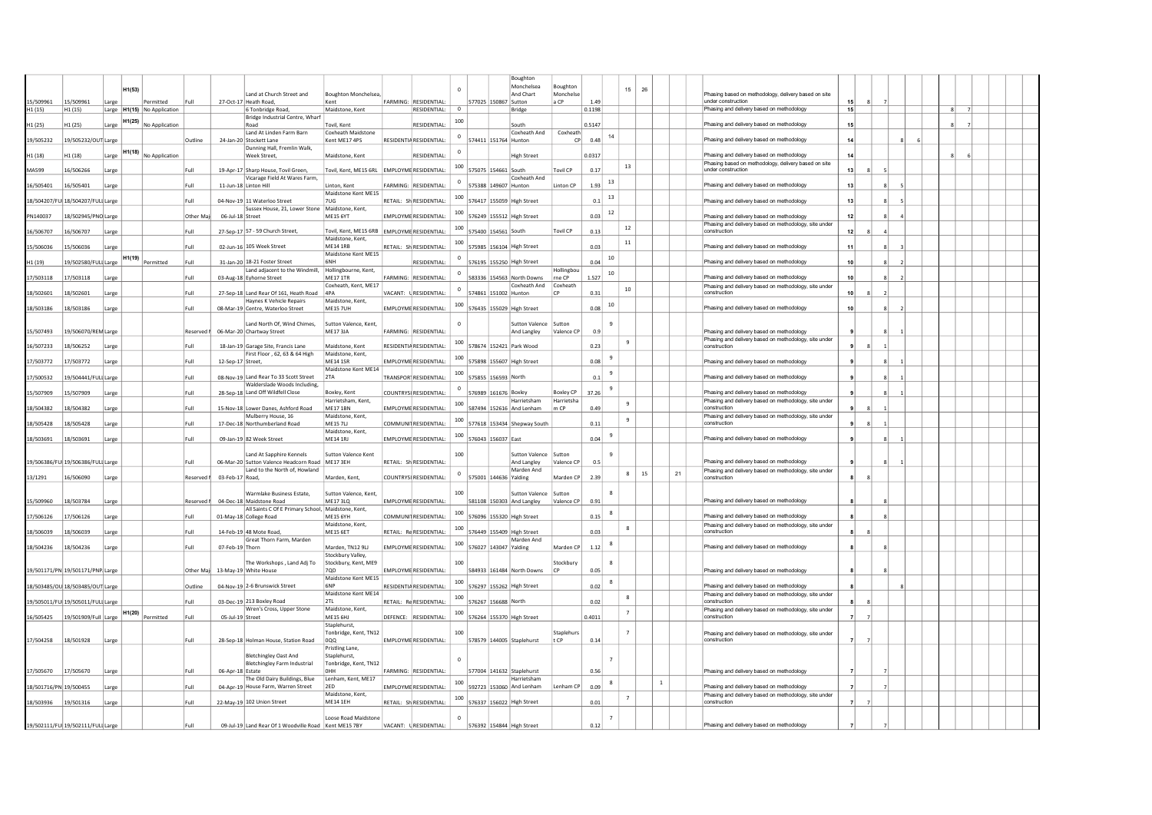|                        |                                    |       |        |                                                |            |                   |                                                                                 |                                               |          |                                    |             |                                 | Boughton                             |                      |        |                |                  |              |    |                                                                                                    |    |                |   |  |   |  |  |
|------------------------|------------------------------------|-------|--------|------------------------------------------------|------------|-------------------|---------------------------------------------------------------------------------|-----------------------------------------------|----------|------------------------------------|-------------|---------------------------------|--------------------------------------|----------------------|--------|----------------|------------------|--------------|----|----------------------------------------------------------------------------------------------------|----|----------------|---|--|---|--|--|
|                        |                                    |       | H1(53) |                                                |            |                   |                                                                                 |                                               |          |                                    |             |                                 | Monchelsea                           | Boughton             |        |                | 15<br>26         |              |    |                                                                                                    |    |                |   |  |   |  |  |
| 15/509961              | 15/509961                          | Large |        | Permitted                                      | Full       |                   | Land at Church Street and<br>27-Oct-17 Heath Road,                              | <b>Boughton Monchelsea</b><br>Kent            |          | FARMING: RESIDENTIAL               |             | 577025 150867 Sutton            | And Chart                            | Monchelse<br>a CP    | 1.49   |                |                  |              |    | Phasing based on methodology, delivery based on site<br>under construction                         | 15 |                |   |  |   |  |  |
| H1 (15)                | H <sub>1</sub> (15)                |       |        | Large H1(15) No Application                    |            |                   | 6 Tonbridge Road,                                                               | Maidstone, Kent                               |          | RESIDENTIAL:                       | $\circ$     |                                 | Bridge                               |                      | 0.1198 |                |                  |              |    | Phasing and delivery based on methodology                                                          | 15 |                |   |  | 8 |  |  |
|                        |                                    |       |        | H1(25) No Application                          |            |                   | Bridge Industrial Centre, Wharf<br>Road                                         | Tovil, Kent                                   |          |                                    | 100         |                                 | South                                |                      |        |                |                  |              |    | Phasing and delivery based on methodology                                                          |    |                |   |  |   |  |  |
| 11 (25)                | H1 (25)                            | Large |        |                                                |            |                   | Land At Linden Farm Barn                                                        | Coxheath Maidstone                            |          | RESIDENTIAL:                       |             |                                 | Coxheath And                         | Coxheath             | 0.5147 |                |                  |              |    |                                                                                                    | 15 |                |   |  |   |  |  |
| 19/505232              | 19/505232/OUT Large                |       |        |                                                | Outline    |                   | 24-Jan-20 Stockett Lane                                                         | Kent ME17 4PS                                 |          | RESIDENTIA RESIDENTIAL:            | $^{\circ}$  | 574411 151764 Hunton            |                                      | CP                   | 0.48   | 14             |                  |              |    | Phasing and delivery based on methodology                                                          | 14 |                |   |  |   |  |  |
| H1 (18)                | H <sub>1</sub> (18)                | Large |        | H1(18) No Application                          |            |                   | Dunning Hall, Fremlin Walk,<br>Week Street,                                     | Maidstone, Kent                               |          | RESIDENTIAL                        | $^{\circ}$  |                                 | <b>High Street</b>                   |                      | 0.0317 |                |                  |              |    | Phasing and delivery based on methodology                                                          | 14 |                |   |  |   |  |  |
|                        |                                    |       |        |                                                |            |                   |                                                                                 |                                               |          |                                    |             |                                 |                                      |                      |        |                | 13               |              |    | Phasing based on methodology, delivery based on site                                               |    |                |   |  |   |  |  |
| MA599                  | 16/506266                          | Large |        |                                                | Full       |                   | 19-Apr-17 Sharp House, Tovil Green,<br>Vicarage Field At Wares Farm,            | Tovil, Kent, ME15 6RL   EMPLOYME RESIDENTIAL: |          |                                    |             | $100$ 575075 154661 South       | Coxheath And                         | <b>Tovil CP</b>      | 0.17   |                |                  |              |    | under construction                                                                                 | 13 | $\mathbf{R}$   |   |  |   |  |  |
| 16/505401              | 16/505401                          | Large |        |                                                | Full       |                   | 11-Jun-18 Linton Hill                                                           | Linton, Kent                                  | ARMING:  | RESIDENTIAL                        | $^{\circ}$  | 575388                          | 149607 Hunton                        | Linton CP            | 1.93   | 13             |                  |              |    | Phasing and delivery based on methodology                                                          | 13 |                |   |  |   |  |  |
|                        |                                    |       |        |                                                | Full       |                   | 04-Nov-19 11 Waterloo Street                                                    | Maidstone Kent ME15<br><b>711G</b>            |          | RETAIL: Sh RESIDENTIAL:            | 100         | 576417 155059 High Street       |                                      |                      | 0.1    | 13             |                  |              |    | Phasing and delivery based on methodology                                                          | 13 |                |   |  |   |  |  |
|                        | 18/504207/FUI 18/504207/FULI Large |       |        |                                                |            |                   | Sussex House, 21, Lower Stone   Maidstone, Kent,                                |                                               |          |                                    |             |                                 |                                      |                      |        | 12             |                  |              |    |                                                                                                    |    |                |   |  |   |  |  |
| PN140037               | 18/502945/PNO Large                |       |        |                                                | Other N    | 06-Jul-18 Street  |                                                                                 | <b>MF15 6YT</b>                               |          | <b>EMPLOYME RESIDENTIAL:</b>       | 100         | 576249 155512 High Street       |                                      |                      | 0.03   |                |                  |              |    | Phasing and delivery based on methodology                                                          | 12 |                |   |  |   |  |  |
| 16/506707              | 16/506707                          | Large |        |                                                | Full       |                   | 27-Sep-17 57 - 59 Church Street,                                                | Tovil, Kent, ME15 6RB FMPI OYMERESIDENTIAL:   |          |                                    |             | $100$   575400   154561   South |                                      | Tovil CP             | 0.13   |                | $12\,$           |              |    | Phasing and delivery based on methodology, site under<br>construction                              | 12 | -8             |   |  |   |  |  |
|                        |                                    |       |        |                                                |            |                   |                                                                                 | Maidstone, Kent.                              |          |                                    | 100         |                                 |                                      |                      |        |                | 11               |              |    |                                                                                                    |    |                |   |  |   |  |  |
| 15/506036              | 15/506036                          | Large |        |                                                | Full       |                   | 02-Jun-16 105 Week Street                                                       | <b>MF141RB</b><br>Maidstone Kent ME15         |          | RETAIL: SH RESIDENTIAL:            |             | 575985 156104 High Street       |                                      |                      | 0.03   |                |                  |              |    | Phasing and delivery based on methodology                                                          | 11 |                | R |  |   |  |  |
| H1 (19)                | 19/502580/FULI Large               |       | H1(19) | Permitted                                      | Full       |                   | 31-Jan-20 18-21 Enster Street                                                   | <b>6NH</b>                                    |          | <b>RESIDENTIAL:</b>                |             | 576195 155250 High Street       |                                      |                      | 0.04   | 10             |                  |              |    | Phasing and delivery based on methodology                                                          | 10 |                |   |  |   |  |  |
| 17/503118              | 17/503118                          | Large |        |                                                | Full       |                   | Land adjacent to the Windmill, Hollingbourne, Kent,<br>03-Aug-18 Eyhorne Street | <b>MF171TR</b>                                |          | FARMING: RESIDENTIAL               | $\circ$     | 583336 154563 North Downs       |                                      | Hollingbou<br>rne CP | 1.527  | 10             |                  |              |    | Phasing and delivery based on methodology                                                          | 10 |                |   |  |   |  |  |
|                        |                                    |       |        |                                                |            |                   |                                                                                 | Coxheath, Kent, ME17                          |          |                                    | $\mathbf 0$ |                                 | Coxheath And Coxheath                |                      |        |                | 10               |              |    | Phasing and delivery based on methodology, site under                                              |    |                |   |  |   |  |  |
| 18/502601              | 18/502601                          | Large |        |                                                | Full       |                   | 27-Sep-18 Land Rear Of 161, Heath Road<br>Haynes K Vehicle Repairs              | APA<br>Maidstone, Kent.                       |          | VACANT: URESIDENTIAL               |             | 574861 151002 Hunton            |                                      | $\subset$            | 0.31   |                |                  |              |    | construction                                                                                       | 10 |                |   |  |   |  |  |
| 18/503186              | 18/503186                          | Large |        |                                                | Full       |                   | 08-Mar-19 Centre, Waterloo Street                                               | ME15 7UH                                      |          | <b>EMPLOYME RESIDENTIAL</b>        | 100         | 576435 155029 High Street       |                                      |                      | 0.08   | 10             |                  |              |    | Phasing and delivery based on methodology                                                          | 10 |                |   |  |   |  |  |
|                        |                                    |       |        |                                                |            |                   |                                                                                 |                                               |          |                                    |             |                                 |                                      |                      |        | $\Omega$       |                  |              |    |                                                                                                    |    |                |   |  |   |  |  |
| 15/507493              | 19/506070/REN Large                |       |        |                                                | Reserved I |                   | Land North Of, Wind Chimes,<br>06-Mar-20 Chartway Street                        | Sutton Valence, Kent,<br><b>MF173IA</b>       |          | FARMING: RESIDENTIAL:              | $\Omega$    |                                 | <b>Sutton Valence</b><br>And Langley | Sutton<br>Valence CP | 0.9    |                |                  |              |    | Phasing and delivery based on methodology                                                          |    |                |   |  |   |  |  |
|                        |                                    |       |        |                                                |            |                   |                                                                                 |                                               |          |                                    | 100         |                                 |                                      |                      |        |                | $\overline{9}$   |              |    | Phasing and delivery based on methodology, site under                                              |    |                |   |  |   |  |  |
| 16/507233              | 18/506252                          | Large |        |                                                | Full       |                   | 18-Jan-19 Garage Site, Francis Lane<br>First Floor . 62, 63 & 64 High           | Maidstone, Kent<br>Maidstone, Kent,           |          | RESIDENTIA RESIDENTIAL:            |             | 578674 152421 Park Wood         |                                      |                      | 0.23   |                |                  |              |    | construction                                                                                       |    |                |   |  |   |  |  |
| 17/503772              | 17/503772                          | Large |        |                                                | Full       | 12-Sep-17 Street, |                                                                                 | <b>ME14 1SR</b>                               |          | <b>EMPLOYME RESIDENTIAL</b>        | 100         | 575898 155607 High Street       |                                      |                      | 0.08   | 9              |                  |              |    | Phasing and delivery based on methodology                                                          |    |                |   |  |   |  |  |
| 17/500532              | 19/504441/FULI Large               |       |        |                                                | Full       |                   | 08-Nov-19 Land Rear To 33 Scott Street                                          | Maidstone Kent ME14<br>2TA                    |          | TRANSPOR <sup>I</sup> RESIDENTIAL: | 100         | 575855 156593 North             |                                      |                      | 0.1    | $\overline{9}$ |                  |              |    | Phasing and delivery based on methodology                                                          |    |                |   |  |   |  |  |
|                        |                                    |       |        |                                                |            |                   | Walderslade Woods Including.                                                    |                                               |          |                                    | $^{\circ}$  |                                 |                                      |                      |        | $\overline{9}$ |                  |              |    |                                                                                                    |    |                |   |  |   |  |  |
| 15/507909              | 15/507909                          | Large |        |                                                | Full       |                   | 28-Sep-18 Land Off Wildfell Close                                               | Boxley, Kent                                  |          | COUNTRYSI RESIDENTIAL:             |             | 576989 161676 Boxley            |                                      | <b>Boxley CP</b>     | 37.26  |                |                  |              |    | Phasing and delivery based on methodology                                                          |    |                |   |  |   |  |  |
| 18/504382              | 18/504382                          | Large |        |                                                | Full       |                   | 15-Nov-18 Lower Danes, Ashford Road                                             | Harrietsham, Kent.<br><b>ME17 1BN</b>         |          | EMPLOYME RESIDENTIAL:              | 100         | 587494 152616 And Lenham        | Harrietsham                          | Harrietsha<br>m CP   | 0.49   |                | $\overline{9}$   |              |    | Phasing and delivery based on methodology, site under<br>construction                              |    |                |   |  |   |  |  |
|                        |                                    |       |        |                                                |            |                   | Mulberry House, 16                                                              | Maidstone, Kent.                              |          |                                    | 100         |                                 |                                      |                      |        |                | $\overline{9}$   |              |    | Phasing and delivery based on methodology, site under                                              |    |                |   |  |   |  |  |
| 18/505428              | 18/505428                          | Large |        |                                                | Full       |                   | 17-Dec-18 Northumberland Road                                                   | <b>ME157U</b><br>Maidstone, Kent.             |          | COMMUNI <sup>1</sup> RESIDENTIAL   |             | 577618 153434 Shepway South     |                                      |                      | 0.11   |                |                  |              |    | construction                                                                                       |    |                |   |  |   |  |  |
| 18/503691              | 18/503691                          | Large |        |                                                | Full       |                   | 09-Jan-19 82 Week Street                                                        | <b>ME14 1RJ</b>                               |          | EMPLOYME RESIDENTIAL:              | 100         | 576043 156037 East              |                                      |                      | 0.04   |                |                  |              |    | Phasing and delivery based on methodology                                                          |    |                | 8 |  |   |  |  |
|                        |                                    |       |        |                                                |            |                   | Land At Sapphire Kennels                                                        | <b>Sutton Valence Kent</b>                    |          |                                    | 100         |                                 | <b>Sutton Valence</b>                | Suttor               |        | $\mathbf{Q}$   |                  |              |    |                                                                                                    |    |                |   |  |   |  |  |
|                        | 19/506386/FUI 19/506386/FULI Large |       |        |                                                | Full       |                   | 06-Mar-20 Sutton Valence Headcorn Road ME17 3EH                                 |                                               |          | RETAIL: Sh RESIDENTIAL             |             |                                 | And Langley                          | Valence CP           | 0.5    |                |                  |              |    | Phasing and delivery based on methodology                                                          |    |                |   |  |   |  |  |
|                        |                                    |       |        |                                                |            |                   | Land to the North of, Howland                                                   |                                               |          |                                    | $^{\circ}$  |                                 | Marden And                           | Marden CP            |        |                | 8<br>15          |              | 21 | Phasing and delivery based on methodology, site under<br>construction                              |    |                |   |  |   |  |  |
| 13/1291                | 16/506090                          | Large |        |                                                | Reserved I | 03-Feb-17 Road,   |                                                                                 | Marden, Kent                                  |          | COUNTRYSI RESIDENTIAL              |             | 575001 144636 Yalding           |                                      |                      | 2.39   |                |                  |              |    |                                                                                                    |    |                |   |  |   |  |  |
|                        |                                    |       |        |                                                |            |                   | Warmlake Business Estate,                                                       | Sutton Valence, Kent,                         |          |                                    | 100         |                                 | <b>Sutton Valence</b>                | Sutton               |        | $\mathbf{R}$   |                  |              |    |                                                                                                    |    |                |   |  |   |  |  |
| 15/509960              | 18/503784                          | Large |        |                                                | Reserved I |                   | 04-Dec-18 Maidstone Road<br>All Saints C Of E Primary School, Maidstone, Kent,  | <b>ME17 3LQ</b>                               |          | EMPLOYME RESIDENTIAL:              |             | 581108 150303 And Langley       |                                      | Valence CP           | 0.91   |                |                  |              |    | Phasing and delivery based on methodology                                                          |    |                |   |  |   |  |  |
| 17/506126              | 17/506126                          | Large |        |                                                | Full       |                   | 01-May-18 College Road                                                          | <b>ME15 6YH</b>                               |          | COMMUNI RESIDENTIAL:               | 100         | 576096 155320 High Street       |                                      |                      | 0.15   | -8             |                  |              |    | Phasing and delivery based on methodology                                                          |    |                |   |  |   |  |  |
| 18/506039              | 18/506039                          |       |        |                                                | Full       |                   | 14-Feb-19 48 Mote Road.                                                         | Maidstone, Kent,<br><b>ME15 6ET</b>           |          | RETAIL: Re RESIDENTIAL:            | 100         | 576449 155409 High Street       |                                      |                      | 0.03   |                | 8                |              |    | Phasing and delivery based on methodology, site under<br>construction                              |    |                |   |  |   |  |  |
|                        |                                    | Large |        |                                                |            |                   | Great Thorn Farm, Marden                                                        |                                               |          |                                    | 100         |                                 | Marden And                           |                      |        | -8             |                  |              |    |                                                                                                    |    |                |   |  |   |  |  |
| 18/504236              | 18/504236                          | Large |        |                                                | Full       | 07-Feb-19 Thorn   |                                                                                 | Marden, TN12 9LJ                              |          | <b>EMPLOYME RESIDENTIAL:</b>       |             | 576027 143047 Yalding           |                                      | Marden CP            | 1.12   |                |                  |              |    | Phasing and delivery based on methodology                                                          |    |                |   |  |   |  |  |
|                        |                                    |       |        |                                                |            |                   | The Workshops, Land Adj To                                                      | Stockbury Valley,<br>Stockbury, Kent, ME9     |          |                                    | 100         |                                 |                                      | Stockbury            |        | $\mathbf{R}$   |                  |              |    |                                                                                                    |    |                |   |  |   |  |  |
|                        | 19/501171/PN 19/501171/PNP Large   |       |        |                                                | Other Maj  |                   | 13-May-19 White House                                                           | 70 <sub>D</sub>                               |          | <b>EMPLOYME RESIDENTIAL:</b>       |             | 584933 161484 North Downs       |                                      | CP                   | 0.05   |                |                  |              |    | Phasing and delivery based on methodology                                                          |    |                |   |  |   |  |  |
|                        | 18/503485/OU 18/503485/OUT Large   |       |        |                                                | Outline    |                   | 04-Nov-19 2-6 Brunswick Street                                                  | Maidstone Kent ME15<br>6NP                    |          | RESIDENTIA RESIDENTIAL:            | 100         | 576297 155262 High Street       |                                      |                      | 0.02   | 8              |                  |              |    | Phasing and delivery based on methodology                                                          |    |                |   |  |   |  |  |
|                        |                                    |       |        |                                                |            |                   |                                                                                 | Maidstone Kent ME14                           |          |                                    | 100         |                                 |                                      |                      |        |                | $\boldsymbol{8}$ |              |    | Phasing and delivery based on methodology, site under                                              |    |                |   |  |   |  |  |
|                        | 19/505011/FU(19/505011/FULI Large  |       |        |                                                | Full       |                   | 03-Dec-19 213 Boxley Road<br>Wren's Cross, Upper Stone                          | 2TL<br>Maidstone, Kent.                       |          | RETAIL: Re RESIDENTIAL:            |             | 576267 156688 North             |                                      |                      | 0.02   |                |                  |              |    | construction                                                                                       |    |                |   |  |   |  |  |
| 16/505425              | 19/501909/Full Large               |       |        | $\mathsf{H1}(\mathsf{20})\ \mathsf{Permitted}$ | Full       | 05-Jul-19 Street  |                                                                                 | <b>ME15 6HJ</b>                               | DEFENCE: | RESIDENTIAL                        | 100         | 576264 155370 High Street       |                                      |                      | 0.4011 |                | $\overline{7}$   |              |    | Phasing and delivery based on methodology, site under<br>construction                              |    |                |   |  |   |  |  |
|                        |                                    |       |        |                                                |            |                   |                                                                                 | Staplehurst.                                  |          |                                    |             |                                 |                                      |                      |        |                |                  |              |    |                                                                                                    |    |                |   |  |   |  |  |
| 17/504258              | 18/501928                          | Large |        |                                                | Full       |                   | 28-Sep-18 Holman House, Station Road                                            | Tonbridge, Kent, TN12<br>000                  |          | EMPLOYME RESIDENTIAL:              | 100         | 578579 144005 Staplehurst       |                                      | Staplehurs<br>tCP    | 0.14   |                | $\overline{7}$   |              |    | Phasing and delivery based on methodology, site under<br>construction                              |    |                |   |  |   |  |  |
|                        |                                    |       |        |                                                |            |                   |                                                                                 | Pristling Lane.                               |          |                                    |             |                                 |                                      |                      |        |                |                  |              |    |                                                                                                    |    |                |   |  |   |  |  |
|                        |                                    |       |        |                                                |            |                   | <b>Bletchingley Oast And</b><br><b>Bletchingley Farm Industrial</b>             | Staplehurst,<br>Tonbridge, Kent, TN12         |          |                                    | $\Omega$    |                                 |                                      |                      |        | $\overline{7}$ |                  |              |    |                                                                                                    |    |                |   |  |   |  |  |
| 17/505670              | 17/505670                          | Large |        |                                                | Full       | 06-Apr-18 Estate  |                                                                                 | <b>HHO</b>                                    |          | FARMING: RESIDENTIAL:              |             | 577004 141632 Staplehurst       |                                      |                      | 0.56   |                |                  |              |    | Phasing and delivery based on methodology                                                          |    |                |   |  |   |  |  |
|                        |                                    |       |        |                                                | Full       |                   | The Old Dairy Buildings, Blue                                                   | Lenham, Kent, ME17<br>2ED                     |          | EMPLOYME RESIDENTIAL               | 100         |                                 | Harrietsham                          | Lenham CP            | 0.09   | 8              |                  | $\mathbf{1}$ |    |                                                                                                    |    |                |   |  |   |  |  |
| 18/501716/PN 19/500455 |                                    | Large |        |                                                |            |                   | 04-Apr-19 House Farm, Warren Street                                             | Maidstone, Kent.                              |          |                                    |             | 592723 153060 And Lenham        |                                      |                      |        |                | $\overline{7}$   |              |    | Phasing and delivery based on methodology<br>Phasing and delivery based on methodology, site under |    |                |   |  |   |  |  |
| 18/503936              | 19/501316                          | Large |        |                                                | Full       |                   | 22-May-19 102 Union Street                                                      | <b>ME14 1EH</b>                               |          | RETAIL: SH RESIDENTIAL:            | 100         | 576337 156022 High Street       |                                      |                      | 0.01   |                |                  |              |    | construction                                                                                       |    | $\overline{7}$ |   |  |   |  |  |
|                        |                                    |       |        |                                                |            |                   |                                                                                 | Loose Road Maidston                           |          |                                    | $^{\circ}$  |                                 |                                      |                      |        | $\overline{7}$ |                  |              |    |                                                                                                    |    |                |   |  |   |  |  |
|                        | 19/502111/FU(19/502111/FULI Large  |       |        |                                                | Full       |                   | 09-Jul-19 Land Rear Of 1 Woodville Road Kent ME15 7BY                           |                                               |          | VACANT: URESIDENTIAL:              |             | 576392 154844 High Street       |                                      |                      | 0.12   |                |                  |              |    | Phasing and delivery based on methodology                                                          |    |                |   |  |   |  |  |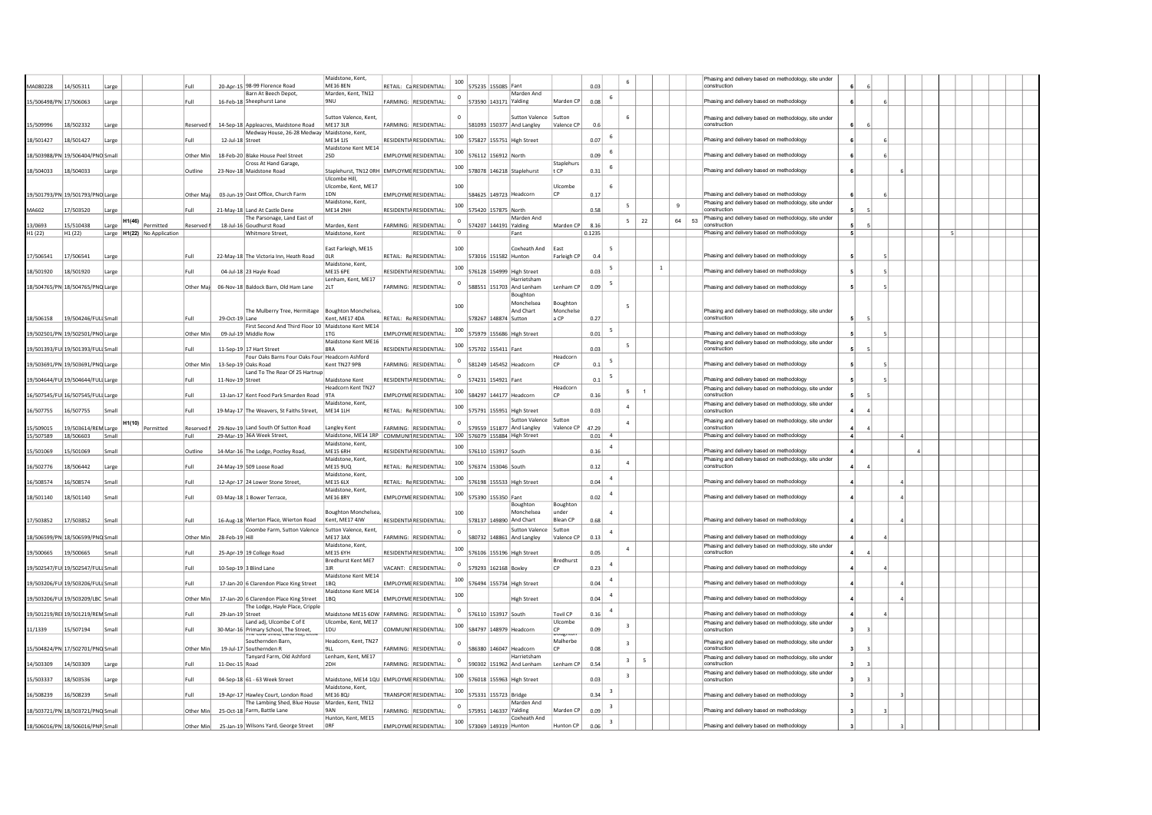| MA080228               | 14/505311                          | Large |        | Full                                                                                       |                | 20-Apr-15 98-99 Florence Road                                                  | Maidstone, Kent,<br><b>ME16 8EN</b> | RETAIL: Ca RESIDENTIAL:                     | 100          | 575235 155085 Fant            |                       |                    | 0.03           |                         |                                   |              |    | Phasing and delivery based on methodology, site under<br>construction                                |                |          |  |  |  |
|------------------------|------------------------------------|-------|--------|--------------------------------------------------------------------------------------------|----------------|--------------------------------------------------------------------------------|-------------------------------------|---------------------------------------------|--------------|-------------------------------|-----------------------|--------------------|----------------|-------------------------|-----------------------------------|--------------|----|------------------------------------------------------------------------------------------------------|----------------|----------|--|--|--|
|                        |                                    |       |        |                                                                                            |                | Barn At Beech Depot                                                            | Marden, Kent, TN12                  |                                             | $\mathbf 0$  |                               | Marden And            |                    |                |                         |                                   |              |    |                                                                                                      |                |          |  |  |  |
| 15/506498/PN 17/506063 |                                    | Large |        | Full                                                                                       |                | 16-Feb-18 Sheephurst Lane                                                      | 9NU                                 | FARMING: RESIDENTIAL:                       |              | 573590 143171 Yalding         |                       | Marden CP          | 0.08           |                         |                                   |              |    | Phasing and delivery based on methodology                                                            |                |          |  |  |  |
|                        |                                    |       |        |                                                                                            |                |                                                                                | Sutton Valence, Kent                |                                             |              |                               | <b>Sutton Valence</b> | Suttor             |                |                         | 6                                 |              |    | Phasing and delivery based on methodology, site under                                                |                |          |  |  |  |
| 15/509996              | 18/502332                          | Large |        | Reserved I                                                                                 |                | 14-Sep-18 Appleacres, Maidstone Road                                           | ME17 3LR                            | FARMING: RESIDENTIAL:                       |              | 581093 150377 And Langley     |                       | Valence CP         | 0.6            |                         |                                   |              |    | construction                                                                                         |                |          |  |  |  |
| 18/501427              | 18/501427                          |       |        | Full                                                                                       |                | Medway House, 26-28 Medway   Maidstone, Kent,<br>12-Jul-18 Street              | ME14 1JS                            | RESIDENTIA RESIDENTIAL:                     | 100          | 575827 155751 High Street     |                       |                    | 0.07           |                         |                                   |              |    | Phasing and delivery based on methodology                                                            |                |          |  |  |  |
|                        |                                    | Large |        |                                                                                            |                |                                                                                | Maidstone Kent ME14                 |                                             |              |                               |                       |                    |                |                         |                                   |              |    |                                                                                                      |                |          |  |  |  |
|                        | 18/503988/PN 19/506404/PNO Small   |       |        | Other Min                                                                                  |                | 18-Feb-20 Blake House Peel Street                                              | 2SD                                 | EMPLOYME RESIDENTIAL:                       |              | 576112 156912 North           |                       |                    | 0.09           | 6                       |                                   |              |    | Phasing and delivery based on methodology                                                            |                |          |  |  |  |
| 18/504033              | 18/504033                          | Large |        | Outline                                                                                    |                | Cross At Hand Garage,<br>23-Nov-18 Maidstone Road                              |                                     | Staplehurst, TN12 ORH EMPLOYME RESIDENTIAL: | 100          | 578078 146218 Staplehurst     |                       | Staplehurs<br>t CP | 0.31           | 6                       |                                   |              |    | Phasing and delivery based on methodology                                                            |                |          |  |  |  |
|                        |                                    |       |        |                                                                                            |                |                                                                                | Ulcombe Hill,                       |                                             |              |                               |                       |                    |                |                         |                                   |              |    |                                                                                                      |                |          |  |  |  |
|                        |                                    |       |        |                                                                                            |                |                                                                                | Ulcombe, Kent, ME17                 |                                             | 100          |                               |                       | Ulcombe            |                | 6                       |                                   |              |    |                                                                                                      |                |          |  |  |  |
|                        | 19/501793/PN 19/501793/PNO Large   |       |        | Other Maj                                                                                  |                | 03-Jun-19 Oast Office, Church Farm                                             | 1DN<br>Maidstone, Kent,             | <b>EMPLOYME RESIDENTIAL:</b>                |              | 584625 149723 Headcorn        |                       | <b>CP</b>          | 0.17           |                         |                                   |              |    | Phasing and delivery based on methodology<br>Phasing and delivery based on methodology, site under   |                |          |  |  |  |
| MA602                  | 17/503520                          | Large |        | Full                                                                                       |                | 21-May-18 Land At Castle Dene                                                  | ME14 2NH                            | RESIDENTIA RESIDENTIAL:                     | 100          | 575420 157875 North           |                       |                    | 0.58           |                         | 5                                 |              | 9  | construction                                                                                         |                |          |  |  |  |
|                        |                                    |       |        |                                                                                            |                | The Parsonage, Land East of                                                    |                                     |                                             | $^{\circ}$   |                               | Marden And            |                    |                |                         | 22<br>5                           |              | 64 | Phasing and delivery based on methodology, site under<br>$53$ $\overline{\big) \text{construction}}$ |                |          |  |  |  |
| 13/0693<br>H1 (22)     | 15/510438<br>H <sub>1</sub> (22)   | Large |        | $H1(46)$ $\boxed{\underline{\text{Permitted}}}$<br>Reserved<br>Large H1(22) No Application |                | 18-Jul-16 Goudhurst Road<br>Whitmore Street,                                   | Marden, Kent<br>Maidstone, Kent     | FARMING: RESIDENTIAL:<br>RESIDENTIAL:       | $\circ$      | 574207 144191 Yalding         | Fant                  | Marden CP          | 8.16<br>0.1235 |                         |                                   |              |    | Phasing and delivery based on methodology                                                            |                |          |  |  |  |
|                        |                                    |       |        |                                                                                            |                |                                                                                |                                     |                                             |              |                               |                       |                    |                |                         |                                   |              |    |                                                                                                      |                |          |  |  |  |
|                        |                                    |       |        |                                                                                            |                |                                                                                | East Farleigh, ME15                 |                                             | 100          |                               | Coxheath And          | East               |                | -5                      |                                   |              |    |                                                                                                      |                |          |  |  |  |
| 17/506541              | 17/506541                          | Large |        | Full                                                                                       |                | 22-May-18 The Victoria Inn. Heath Road                                         | OLR<br>Maidstone, Kent,             | RETAIL: Re RESIDENTIAL:                     |              | 573016 151582 Hunton          |                       | Farleigh CP        | 0.4            |                         |                                   |              |    | Phasing and delivery based on methodology                                                            |                |          |  |  |  |
| 18/501920              | 18/501920                          | Large |        | Full                                                                                       |                | 04-Jul-18 23 Hayle Road                                                        | ME15 6PE                            | RESIDENTIA RESIDENTIAL:                     | 100          | 576128 154999 High Street     |                       |                    | 0.03           | -5                      |                                   | <sup>1</sup> |    | Phasing and delivery based on methodology                                                            |                |          |  |  |  |
|                        | 18/504765/PN 18/504765/PNQ Large   |       |        |                                                                                            |                | 06-Nov-18 Baldock Barn, Old Ham Lane                                           | Lenham, Kent, ME17<br>2LT           | FARMING: RESIDENTIAL:                       | $^{\circ}$   | 588551 151703 And Lenham      | Harrietsham           | Lenham CP          | 0.09           | - 5                     |                                   |              |    | Phasing and delivery based on methodology                                                            |                |          |  |  |  |
|                        |                                    |       |        | Other Mail                                                                                 |                |                                                                                |                                     |                                             |              |                               | Boughton              |                    |                |                         |                                   |              |    |                                                                                                      |                |          |  |  |  |
|                        |                                    |       |        |                                                                                            |                |                                                                                |                                     |                                             | 100          |                               | Monchelsea            | Boughton           |                |                         | $\overline{\phantom{a}}$          |              |    |                                                                                                      |                |          |  |  |  |
|                        |                                    |       |        |                                                                                            |                | The Mulberry Tree, Hermitage   Boughton Monchelsea                             |                                     |                                             |              |                               | And Chart             | Monchelse          |                |                         |                                   |              |    | Phasing and delivery based on methodology, site under                                                |                |          |  |  |  |
|                        | 18/506158 19/504246/FULI Small     |       |        | Full                                                                                       |                | 29-Oct-19 Lane<br>First Second And Third Floor 10   Maidstone Kent ME14        | Kent, ME17 4DA                      | RETAIL: Re RESIDENTIAL:                     |              | 578267 148874 Sutton          |                       | a CP               | 0.27           |                         |                                   |              |    | construction                                                                                         |                |          |  |  |  |
|                        | 19/502501/PN 19/502501/PNO Large   |       |        | Other Min                                                                                  |                | 09-Jul-19 Middle Row                                                           | 1T <sub>G</sub>                     | <b>FMPLOYME RESIDENTIAL:</b>                | 100          | 575979 155686 High Street     |                       |                    | 0.01           | - 5                     |                                   |              |    | Phasing and delivery based on methodology                                                            |                |          |  |  |  |
|                        |                                    |       |        | Full                                                                                       |                |                                                                                | Maidstone Kent ME16<br><b>RRA</b>   | <b>RESIDENTIA RESIDENTIAL:</b>              | 100          | 575702 155411 Fant            |                       |                    | 0.03           |                         | 5                                 |              |    | Phasing and delivery based on methodology, site under<br>construction                                |                |          |  |  |  |
|                        | 19/501393/FUI 19/501393/FULI Small |       |        |                                                                                            |                | 11-Sep-19 17 Hart Street<br>Four Oaks Barns Four Oaks Four Headcorn Ashford    |                                     |                                             |              |                               |                       | Headcorn           |                |                         |                                   |              |    |                                                                                                      |                |          |  |  |  |
|                        | 19/503691/PN 19/503691/PNQ Large   |       |        | Other Mir                                                                                  |                | 13-Sep-19 Oaks Road                                                            | Kent TN27 9PB                       | <b>FARMING: RESIDENTIAL:</b>                | $\mathbf 0$  | 581249 145452 Headcorn        |                       | CP                 | 0.1            | - 5                     |                                   |              |    | Phasing and delivery based on methodology                                                            |                |          |  |  |  |
|                        |                                    |       |        | Full                                                                                       |                | Land To The Rear Of 25 Hartnup<br>11-Nov-19 Street                             | Maidstone Kent                      | <b>RESIDENTIA RESIDENTIAL:</b>              |              | 574231 154921 Fant            |                       |                    | 0.1            | - 5                     |                                   |              |    |                                                                                                      |                |          |  |  |  |
|                        | 19/504644/FUI 19/504644/FULI Large |       |        |                                                                                            |                |                                                                                | Headcorn Kent TN27                  |                                             |              |                               |                       | Headcorn           |                |                         |                                   |              |    | Phasing and delivery based on methodology<br>Phasing and delivery based on methodology, site under   |                |          |  |  |  |
|                        | 16/507545/FUI 16/507545/FULI Large |       |        | Full                                                                                       |                | 13-Jan-17 Kent Food Park Smarden Road 9TA                                      |                                     | <b>EMPLOYME RESIDENTIAL</b>                 | 100          | 584297 144177 Headcorn        |                       | CP                 | 0.16           |                         | $5\overline{)}$<br>$\overline{1}$ |              |    | construction                                                                                         |                |          |  |  |  |
| 16/507755              |                                    | Small |        | Full                                                                                       |                |                                                                                | Maidstone, Kent,                    | RETAIL: Re RESIDENTIAL:                     |              |                               |                       |                    | 0.03           |                         | $\overline{a}$                    |              |    | Phasing and delivery based on methodology, site under<br>construction                                | $\overline{a}$ |          |  |  |  |
|                        | 16/507755                          |       |        |                                                                                            |                | 19-May-17 The Weavers, St Faiths Street, ME14 1LH                              |                                     |                                             |              | 575791 155951 High Street     | Sutton Valence Sutton |                    |                |                         |                                   |              |    |                                                                                                      |                |          |  |  |  |
| 5/509015               | 19/503614/REN Large                |       | H1(10) | Permitted<br>Reserved                                                                      |                | 29-Nov-19 Land South Of Sutton Road                                            | Langley Kent                        | FARMING: RESIDENTIAL:                       | $\circ$      | 579559 151877 And Langley     |                       | Valence CP         | 47.29          |                         | $\overline{a}$                    |              |    | Phasing and delivery based on methodology, site under<br>construction                                |                |          |  |  |  |
| 15/507589              | 18/506603                          | Small |        | Full                                                                                       |                | 29-Mar-19 36A Week Street,                                                     | Maidstone, ME14 1RP                 | COMMUNITRESIDENTIAL:                        |              | 100 576079 155884 High Street |                       |                    | 0.01           | $\overline{a}$          |                                   |              |    | Phasing and delivery based on methodology                                                            |                | $\Delta$ |  |  |  |
| 15/501069              | 15/501069                          | Small |        | Outline                                                                                    |                | 14-Mar-16 The Lodge, Postley Road,                                             | Maidstone, Kent<br>ME15 6RH         | RESIDENTIA RESIDENTIAL:                     | 100          | 576110 153917 South           |                       |                    | 0.16           | $\overline{4}$          |                                   |              |    | Phasing and delivery based on methodology                                                            |                |          |  |  |  |
|                        |                                    |       |        |                                                                                            |                |                                                                                | Maidstone, Kent,                    |                                             | 100          |                               |                       |                    |                |                         | $\overline{4}$                    |              |    | Phasing and delivery based on methodology, site under                                                |                |          |  |  |  |
| 16/502776              | 18/506442                          | Large |        | Full                                                                                       |                | 24-May-19 509 Loose Road                                                       | <b>ME15 9UQ</b>                     | RETAIL: Re RESIDENTIAL:                     |              | 576374 153046 South           |                       |                    | 0.12           |                         |                                   |              |    | construction                                                                                         |                |          |  |  |  |
| 16/508574              | 16/508574                          | Small |        | Full                                                                                       |                | 12-Apr-17 24 Lower Stone Street,                                               | Maidstone, Kent,<br><b>ME15 6LX</b> | RETAIL: Re RESIDENTIAL:                     | 100          | 576198 155533 High Street     |                       |                    | 0.04           |                         |                                   |              |    | Phasing and delivery based on methodology                                                            |                |          |  |  |  |
|                        |                                    |       |        |                                                                                            |                |                                                                                | Maidstone, Kent.                    |                                             | 100          |                               |                       |                    |                | $\overline{4}$          |                                   |              |    |                                                                                                      |                |          |  |  |  |
| 18/501140              | 18/501140                          | Small |        | Full                                                                                       |                | 03-May-18 1 Bower Terrace,                                                     | <b>ME16 8RY</b>                     | EMPLOYME RESIDENTIAL:                       |              | 575390 155350 Fant            | Boughton              | Boughton           | 0.02           |                         |                                   |              |    | Phasing and delivery based on methodology                                                            |                |          |  |  |  |
|                        |                                    |       |        |                                                                                            |                |                                                                                | <b>Boughton Monchelsea</b>          |                                             | 100          |                               | Monchelsea            | under              |                | $\boldsymbol{\Lambda}$  |                                   |              |    |                                                                                                      |                |          |  |  |  |
| 17/503852              | 17/503852                          | Small |        | Full                                                                                       |                | 16-Aug-18 Wierton Place, Wierton Road   Kent, ME17 4JW                         |                                     | RESIDENTIA RESIDENTIAL:                     |              | 578137 149890 And Chart       |                       | <b>Blean CP</b>    | 0.68           |                         |                                   |              |    | Phasing and delivery based on methodology                                                            |                |          |  |  |  |
|                        |                                    |       |        |                                                                                            |                | Coombe Farm, Sutton Valence   Sutton Valence, Kent,                            |                                     |                                             | $\mathbf 0$  |                               | Sutton Valence Sutton |                    |                | $\overline{a}$          |                                   |              |    |                                                                                                      |                |          |  |  |  |
|                        | 18/506599/PN 18/506599/PNQ Small   |       |        | Other Min                                                                                  | 28-Feb-19 Hill |                                                                                | ME17 3AX<br>Maidstone, Kent,        | FARMING: RESIDENTIAL:                       |              | 580732 148861 And Langley     |                       | Valence CF         | 0.13           |                         |                                   |              |    | Phasing and delivery based on methodology                                                            |                |          |  |  |  |
| 19/500665 19/500665    |                                    | Small |        | Full                                                                                       |                | 25-Apr-19 19 College Road                                                      | <b>ME15 6YH</b>                     | RESIDENTIA RESIDENTIAL:                     | 100          | 576106 155196 High Street     |                       |                    | 0.05           |                         | $\overline{4}$                    |              |    | Phasing and delivery based on methodology, site under<br>construction                                |                |          |  |  |  |
|                        |                                    |       |        |                                                                                            |                |                                                                                | Bredhurst Kent ME7                  |                                             | $^{\circ}$   |                               |                       | <b>Bredhurst</b>   |                | $\overline{a}$          |                                   |              |    |                                                                                                      |                |          |  |  |  |
|                        | 19/502547/FUI 19/502547/FULI Small |       |        | Full                                                                                       |                | 10-Sep-19 3 Blind Lane                                                         | 3JR<br>Maidstone Kent ME14          | VACANT: E RESIDENTIAL:                      |              | 579293 162168 Boxley          |                       | CP                 | 0.23           |                         |                                   |              |    | Phasing and delivery based on methodology                                                            |                |          |  |  |  |
|                        | 19/503206/FUI 19/503206/FULI Small |       |        | Full                                                                                       |                | 17-Jan-20 6 Clarendon Place King Street   1BQ                                  |                                     | <b>EMPLOYME RESIDENTIAL:</b>                | 100          | 576494 155734 High Street     |                       |                    | 0.04           | $\overline{a}$          |                                   |              |    | Phasing and delivery based on methodology                                                            |                |          |  |  |  |
|                        |                                    |       |        |                                                                                            |                |                                                                                | Maidstone Kent ME14                 |                                             | 100          |                               |                       |                    |                | $\overline{4}$          |                                   |              |    |                                                                                                      |                |          |  |  |  |
|                        | 19/503206/FUI 19/503209/LBC Small  |       |        | Other Min                                                                                  |                | 17-Jan-20 6 Clarendon Place King Street 1BQ                                    |                                     | EMPLOYME RESIDENTIAL:                       |              |                               | <b>High Street</b>    |                    | 0.04           |                         |                                   |              |    | Phasing and delivery based on methodology                                                            |                |          |  |  |  |
|                        | 19/501219/REI 19/501219/REN Small  |       |        | Full                                                                                       |                | The Lodge, Hayle Place, Cripple<br>29-Jan-19 Street                            |                                     | Maidstone ME15 6DW FARMING: RESIDENTIAL:    | $^{\circ}$   | 576110 153917 South           |                       | <b>Tovil CP</b>    | 0.16           | $\overline{4}$          |                                   |              |    | Phasing and delivery based on methodology                                                            |                |          |  |  |  |
|                        |                                    |       |        |                                                                                            |                | Land adj, Ulcombe C of E                                                       | Ulcombe, Kent, ME17                 |                                             | 100          |                               |                       | Ulcombe            |                |                         | $\overline{\mathbf{3}}$           |              |    | Phasing and delivery based on methodology, site under                                                |                |          |  |  |  |
| 1/1339                 | 15/507194                          | Small |        | Full                                                                                       |                | 30-Mar-16 Primary School, The Street,                                          | 1DU                                 | COMMUNI RESIDENTIAL:                        |              | 584797 148979 Headcorn        |                       | CP<br>ougnto       | 0.09           |                         |                                   |              |    | construction                                                                                         |                |          |  |  |  |
|                        | 5/504824/PN 17/502701/PNQ Small    |       |        |                                                                                            |                | Southernden Barn.<br>19-Jul-17 Southernden R                                   | Headcorn, Kent, TN27<br>9LL         | FARMING: RESIDENTIAL:                       | $^{\circ}$   | 586380 146047 Headcorn        |                       | Malherbe<br>CP     | 0.08           |                         | $\overline{3}$                    |              |    | Phasing and delivery based on methodology, site under<br>construction                                | 3              |          |  |  |  |
|                        |                                    |       |        | Other Min                                                                                  |                | Tanyard Farm, Old Ashford                                                      | Lenham, Kent, ME17                  |                                             |              |                               | Harrietsham           |                    |                |                         |                                   |              |    | Phasing and delivery based on methodology, site under                                                |                |          |  |  |  |
| 14/503309              | 14/503309                          | Large |        | Full                                                                                       |                | 11-Dec-15 Road                                                                 | 2DF                                 | FARMING: RESIDENTIAL                        | $\mathbf{0}$ | 590302 151962 And Lenham      |                       | Lenham CP          | 0.54           |                         | $\overline{\mathbf{3}}$<br>5      |              |    | construction                                                                                         |                |          |  |  |  |
| 5/503337               | 18/503536                          |       |        | Full                                                                                       |                | 04-Sep-18 61 - 63 Week Street                                                  |                                     | Maidstone, ME14 1QU EMPLOYME RESIDENTIAL:   |              | 100 576018 155963 High Street |                       |                    | 0.03           |                         | $\overline{\mathbf{3}}$           |              |    | Phasing and delivery based on methodology, site under<br>construction                                |                |          |  |  |  |
|                        |                                    | Large |        |                                                                                            |                |                                                                                | Maidstone, Kent.                    |                                             |              |                               |                       |                    |                |                         |                                   |              |    |                                                                                                      |                |          |  |  |  |
| 16/508239              | 16/508239                          | Small |        | Full                                                                                       |                | 19-Apr-17 Hawley Court, London Road                                            | ME16 8QJ                            | TRANSPOR <sup>I</sup> RESIDENTIAL:          | 100          | 575331 155723 Bridge          |                       |                    | 0.34           |                         |                                   |              |    | Phasing and delivery based on methodology                                                            |                |          |  |  |  |
|                        | 18/503721/PN 18/503721/PNQ Small   |       |        | Other Min                                                                                  |                | The Lambing Shed, Blue House Marden, Kent, TN12<br>25-Oct-18 Farm, Battle Lane | 9AN                                 | FARMING: RESIDENTIAL:                       | $^{\circ}$   | 575951 146337 Yalding         | Marden And            | Marden CP          | 0.09           | $\overline{\mathbf{3}}$ |                                   |              |    | Phasing and delivery based on methodology                                                            |                |          |  |  |  |
|                        |                                    |       |        |                                                                                            |                |                                                                                | Hunton, Kent, ME15                  |                                             |              |                               | Coxheath And          |                    |                |                         |                                   |              |    |                                                                                                      |                |          |  |  |  |
|                        | 18/506016/PN 18/506016/PNP Small   |       |        | Other Min                                                                                  |                | 25-Jan-19 Wilsons Yard, George Street                                          | ORF                                 | EMPLOYME RESIDENTIAL:                       | 100          | 573069 149319 Hunton          |                       | Hunton CP          | 0.06           | $\overline{\mathbf{3}}$ |                                   |              |    | Phasing and delivery based on methodology                                                            |                |          |  |  |  |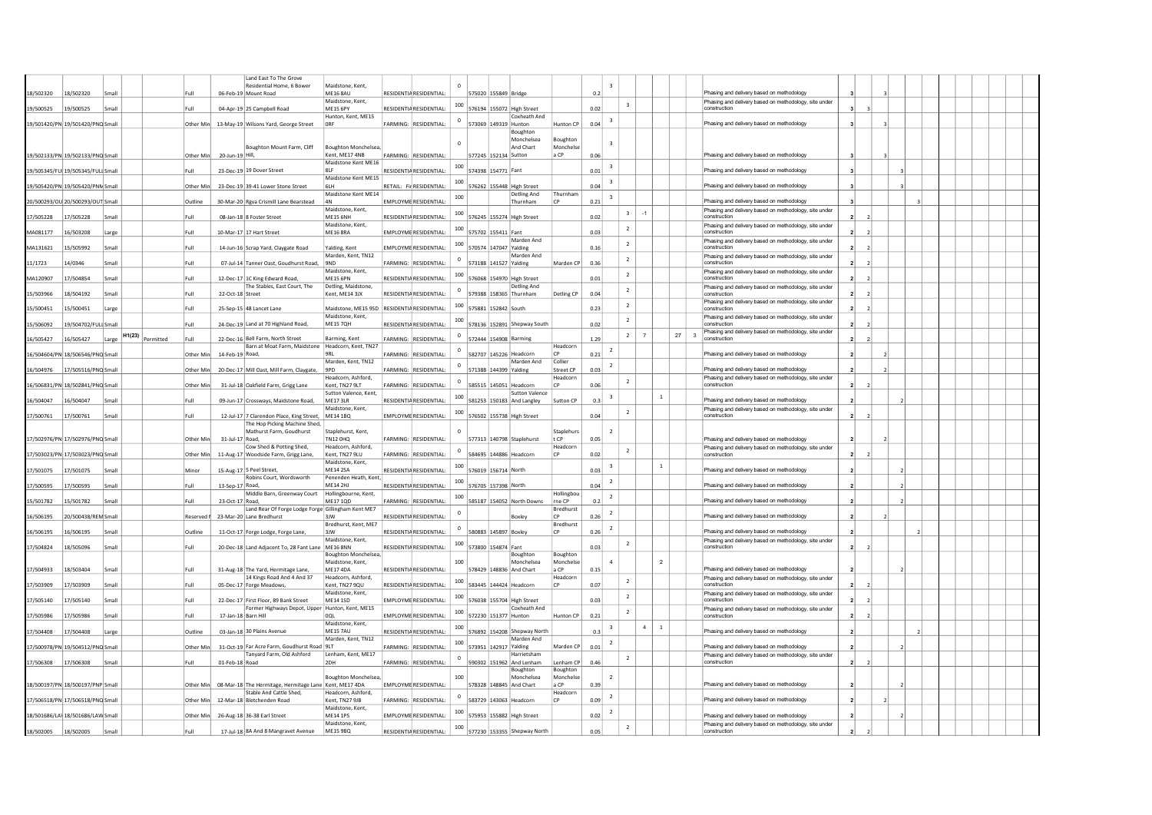|                     |                                    |       |        |                   |                  | Land East To The Grove                                                            |                                               |                                |                         |                       |                                           |                       |      |                         |      |                |    |                                                                                                    |                |  |  |  |  |
|---------------------|------------------------------------|-------|--------|-------------------|------------------|-----------------------------------------------------------------------------------|-----------------------------------------------|--------------------------------|-------------------------|-----------------------|-------------------------------------------|-----------------------|------|-------------------------|------|----------------|----|----------------------------------------------------------------------------------------------------|----------------|--|--|--|--|
|                     |                                    |       |        |                   |                  | Residential Home, 6 Bower                                                         | Maidstone, Kent.                              |                                |                         |                       |                                           |                       |      | $\overline{3}$          |      |                |    |                                                                                                    |                |  |  |  |  |
| 18/502320           | 18/502320                          | Smal  |        | Full              |                  | 06-Feb-19 Mount Road                                                              | <b>ME16 8AU</b><br>Maidstone, Kent.           | RESIDENTIA RESIDENTIAL         |                         | 575020 155849 Bridge  |                                           |                       | 0.2  |                         |      |                |    | Phasing and delivery based on methodology<br>Phasing and delivery based on methodology, site under |                |  |  |  |  |
| 19/500525           | 19/500525                          | Small |        | Full              |                  | 04-Apr-19 25 Campbell Road                                                        | <b>MF15 6PY</b>                               | RESIDENTIA RESIDENTIAL         | 100                     |                       | 576194 155072 High Street                 |                       | 0.02 | $\overline{\mathbf{3}}$ |      |                |    | construction                                                                                       |                |  |  |  |  |
|                     |                                    |       |        | Other Min         |                  |                                                                                   | Hunton, Kent, ME15<br>ORE                     | FARMING: RESIDENTIAL           | $\circ$                 |                       | Coxheath And<br>573069 149319 Hunton      | Hunton CP             | 0.04 |                         |      |                |    | Phasing and delivery based on methodology                                                          |                |  |  |  |  |
|                     | 19/501420/PN 19/501420/PNQ Small   |       |        |                   |                  | 13-May-19 Wilsons Yard, George Street                                             |                                               |                                |                         |                       | Boughton                                  |                       |      |                         |      |                |    |                                                                                                    |                |  |  |  |  |
|                     |                                    |       |        |                   |                  |                                                                                   |                                               |                                |                         |                       | Monchelsea                                | Boughtor              |      | $\overline{3}$          |      |                |    |                                                                                                    |                |  |  |  |  |
|                     | 19/502133/PN 19/502133/PNQ Small   |       |        | Other Min         | 20-Jun-19 Hill,  | Boughton Mount Farm, Cliff                                                        | Boughton Monchelsea.<br>Kent. ME17 4NB        | FARMING: RESIDENTIAL           |                         | 577245 152134 Sutton  | And Chart                                 | Monchelse<br>a CP     | 0.06 |                         |      |                |    | Phasing and delivery based on methodology                                                          |                |  |  |  |  |
|                     |                                    |       |        |                   |                  |                                                                                   | Maidstone Kent ME16                           |                                | 100                     |                       |                                           |                       |      | $\overline{\mathbf{3}}$ |      |                |    |                                                                                                    |                |  |  |  |  |
|                     | 19/505345/FUI 19/505345/FULI Small |       |        | Full              |                  | 23-Dec-19 19 Dover Street                                                         | RIF                                           | <b>RESIDENTIA RESIDENTIAL:</b> |                         | 574398 154771 Fant    |                                           |                       | 0.01 |                         |      |                |    | Phasing and delivery based on methodology                                                          |                |  |  |  |  |
|                     | 9/505420/PN 19/505420/PNN Small    |       |        | Other Mir         |                  | 23-Dec-19 39-41 Lower Stone Street                                                | Maidstone Kent ME15<br>61 H                   | RETAIL: Fir RESIDENTIAL        | 100                     |                       | 576262 155448 High Street                 |                       | 0.04 | $\overline{\mathbf{3}}$ |      |                |    | Phasing and delivery based on methodology                                                          |                |  |  |  |  |
|                     |                                    |       |        |                   |                  |                                                                                   | Maidstone Kent ME14                           |                                | 100                     |                       | Detling And                               | Thurnham              |      | $\mathbf{3}$            |      |                |    |                                                                                                    |                |  |  |  |  |
|                     | 20/500293/OU 20/500293/OUT Small   |       |        | Outline           |                  | 30-Mar-20 Rgva Crismill Lane Bearstead                                            | 4N<br>Maidstone, Kent,                        | <b>FMPI OYMF RESIDENTIAL</b>   |                         |                       | Thurnham                                  | CP                    | 0.21 |                         |      |                |    | Phasing and delivery based on methodology<br>Phasing and delivery based on methodology, site under |                |  |  |  |  |
| 7/505228            | 17/505228                          | Smal  |        | Full              |                  | 08-Jan-18 8 Foster Street                                                         | <b>ME15 6NH</b>                               | <b>RESIDENTIA RESIDENTIAL</b>  | 100                     |                       | 576245 155274 High Street                 |                       | 0.02 | $\overline{\mathbf{3}}$ | $-1$ |                |    | construction                                                                                       | $\overline{ }$ |  |  |  |  |
| MA081177            | 16/503208                          | Large |        | Full              |                  | 10-Mar-17 17 Hart Street                                                          | Maidstone, Kent,<br><b>MF16 8RA</b>           | <b>EMPLOYME RESIDENTIAL</b>    | 100                     | 575702 155411 Fant    |                                           |                       | 0.03 | $\overline{2}$          |      |                |    | Phasing and delivery based on methodology, site under<br>construction                              | $\overline{z}$ |  |  |  |  |
|                     |                                    |       |        |                   |                  |                                                                                   |                                               |                                | 100                     |                       | Marden And                                |                       |      | $\overline{2}$          |      |                |    | Phasing and delivery based on methodology, site under                                              |                |  |  |  |  |
| MA131621            | 15/505992                          | Small |        | Full              |                  | 14-Jun-16 Scrap Yard, Claygate Road                                               | Yalding, Kent                                 | EMPLOYME RESIDENTIAL:          |                         |                       | 570574 147047 Yalding                     |                       | 0.16 |                         |      |                |    | construction                                                                                       |                |  |  |  |  |
| 1/1723              | 14/0346                            | Small |        | Full              |                  | 07-Jul-14 Tanner Oast, Goudhurst Road,                                            | Marden, Kent, TN12<br>9ND                     | FARMING: RESIDENTIAL           |                         |                       | Marden And<br>573188 141527 Yalding       | Marden CP             | 0.36 | $\overline{2}$          |      |                |    | Phasing and delivery based on methodology, site under<br>construction                              |                |  |  |  |  |
|                     |                                    |       |        |                   |                  |                                                                                   | Maidstone, Kent,                              |                                | 100                     |                       |                                           |                       |      | $\overline{2}$          |      |                |    | Phasing and delivery based on methodology, site under                                              |                |  |  |  |  |
| MA120907            | 17/504854                          | Smal  |        | Full              |                  | 12-Dec-17 1C King Edward Road,<br>The Stables, East Court, The                    | <b>ME15 6PN</b><br>Detling, Maidstone,        | <b>RESIDENTIA RESIDENTIAL</b>  |                         |                       | 576068 154970 High Street<br>Detling And  |                       | 0.01 |                         |      |                |    | construction<br>Phasing and delivery based on methodology, site under                              |                |  |  |  |  |
| 5/503966            | 18/504192                          | Smal  |        | Full              | 22-Oct-18 Street |                                                                                   | Kent, ME14 3JX                                | <b>RESIDENTIA RESIDENTIAL</b>  | $\circ$                 |                       | 579388 158365 Thurnham                    | Detling CP            | 0.04 | $\overline{2}$          |      |                |    | construction                                                                                       |                |  |  |  |  |
| 5/500451            | 15/500451                          | Large |        | Full              |                  | 25-Sep-15 48 Lancet Lane                                                          | Maidstone, ME15 9SD   RESIDENTIA RESIDENTIAL: |                                | 100                     | 575881 152842 South   |                                           |                       | 0.23 | $\overline{2}$          |      |                |    | Phasing and delivery based on methodology, site under<br>construction                              | $\overline{2}$ |  |  |  |  |
|                     |                                    |       |        |                   |                  |                                                                                   | Maidstone, Kent.                              |                                | 100                     |                       |                                           |                       |      | $\overline{2}$          |      |                |    | Phasing and delivery based on methodology, site under                                              |                |  |  |  |  |
| 5/506092            | 19/504702/FULI Small               |       |        | Full              |                  | 24-Dec-19 Land at 70 Highland Road,                                               | <b>ME15 7QH</b>                               | RESIDENTIA RESIDENTIAL         |                         |                       | 578136 152891 Shepway South               |                       | 0.02 |                         |      |                |    | construction                                                                                       |                |  |  |  |  |
| 16/505427           | 16/505427                          | Large | H1(23) | Permitted<br>Eull |                  | 22-Dec-16 Bell Farm, North Street                                                 | Barming, Kent                                 | <b>FARMING: RESIDENTIAL</b>    | $\overline{\mathbf{0}}$ |                       | 572444 154908 Barming                     |                       | 1.29 | $\overline{2}$          | 7    |                | 27 | Phasing and delivery based on methodology, site under<br>$\overline{\mathbf{3}}$<br>construction   | -2             |  |  |  |  |
|                     |                                    |       |        |                   |                  | Barn at Moat Farm, Maidstone                                                      | Headcorn, Kent, TN27                          |                                |                         |                       |                                           | Headcorn              |      | $\overline{2}$          |      |                |    |                                                                                                    |                |  |  |  |  |
|                     | 16/504604/PN 18/506546/PNQ Small   |       |        | Other Min         | 14-Feb-19 Road   |                                                                                   | 9R1<br>Marden, Kent, TN12                     | <b>FARMING: RESIDENTIAL</b>    |                         |                       | 582707 145226 Headcorn<br>Marden And      | CP<br>Collier         | 0.21 |                         |      |                |    | Phasing and delivery based on methodology                                                          |                |  |  |  |  |
| 16/504976           | 17/505516/PNO Smal                 |       |        | Other Min         |                  | 20-Dec-17 Mill Oast, Mill Farm, Claygate,                                         | 9PD                                           | FARMING: RESIDENTIAL           | $^{\circ}$              | 571388 144399 Yalding |                                           | Street CP             | 0.03 | 2                       |      |                |    | Phasing and delivery based on methodology                                                          |                |  |  |  |  |
|                     | 6/506831/PN 18/502841/PNQ Small    |       |        | Other Min         |                  | 31-Jul-18 Oakfield Farm, Grigg Lane                                               | Headcorn, Ashford<br>Kent. TN27 9LT           | FARMING: RESIDENTIAL           | $\circ$                 |                       | 585515 145051 Headcorn                    | Headcorr<br>CP        | 0.06 | $\overline{2}$          |      |                |    | Phasing and delivery based on methodology, site under<br>construction                              |                |  |  |  |  |
|                     |                                    |       |        |                   |                  |                                                                                   | Sutton Valence, Kent,                         |                                | 100                     |                       | Sutton Valence                            |                       |      | $\overline{\mathbf{3}}$ |      | $\mathbf{1}$   |    |                                                                                                    |                |  |  |  |  |
| 6/504047            | 16/504047                          | Smal  |        | Full              |                  | 09-Jun-17 Crossways, Maidstone Road,                                              | <b>ME17 3LR</b>                               | RESIDENTIA RESIDENTIAL:        |                         |                       | 581253 150183 And Langley                 | Sutton CP             | 0.3  |                         |      |                |    | Phasing and delivery based on methodology                                                          |                |  |  |  |  |
| 17/500761           | 17/500761                          | Small |        | Full              |                  | 12-Jul-17 7 Clarendon Place, King Street, ME14 1BQ                                | Maidstone, Kent,                              | <b>EMPLOYME RESIDENTIAL:</b>   | 100                     |                       | 576502 155738 High Street                 |                       | 0.04 | $\overline{2}$          |      |                |    | Phasing and delivery based on methodology, site under<br>construction                              | $\overline{z}$ |  |  |  |  |
|                     |                                    |       |        |                   |                  | The Hop Picking Machine Shed                                                      |                                               |                                |                         |                       |                                           |                       |      |                         |      |                |    |                                                                                                    |                |  |  |  |  |
|                     | 17/502976/PN 17/502976/PNQ Small   |       |        | Other Min         | 31-Jul-17 Road,  | Mathurst Farm, Goudhurst                                                          | Staplehurst, Kent,<br><b>TN12 0HQ</b>         | FARMING: RESIDENTIAL:          |                         |                       | 577313 140798 Staplehurst                 | Staplehur:<br>tCP     | 0.05 | $\overline{2}$          |      |                |    | Phasing and delivery based on methodology                                                          |                |  |  |  |  |
|                     |                                    |       |        |                   |                  | Cow Shed & Potting Shed,                                                          | Headcorn, Ashford,                            |                                | $\mathbf 0$             |                       |                                           | Headcorn              |      | $\overline{2}$          |      |                |    | Phasing and delivery based on methodology, site under                                              |                |  |  |  |  |
|                     | .7/503023/PN 17/503023/PNQ Small   |       |        | Other Min         |                  | 11-Aug-17 Woodside Farm, Grigg Lane,                                              | Kent, TN27 9LU<br>Maidstone, Kent.            | FARMING: RESIDENTIAL           |                         |                       | 584695 144886 Headcorn                    | <b>CP</b>             | 0.02 |                         |      |                |    | construction                                                                                       |                |  |  |  |  |
| 7/501075            | 17/501075                          | Small |        | Minor             |                  | 15-Aug-17 5 Peel Street,                                                          | <b>ME14 2SA</b>                               | <b>RESIDENTIA RESIDENTIAL</b>  | 100                     | 576019 156714 North   |                                           |                       | 0.03 |                         |      | $\mathbf{1}$   |    | Phasing and delivery based on methodology                                                          |                |  |  |  |  |
|                     |                                    |       |        |                   |                  | Robins Court, Wordsworth                                                          | Penenden Heath, Kent,                         |                                | 100                     |                       |                                           |                       |      | $\overline{2}$          |      |                |    |                                                                                                    |                |  |  |  |  |
| 17/500595           | 17/500595                          | Small |        | Full              | 13-Sep-17 Road,  | Middle Barn, Greenway Court                                                       | <b>MF14 2HI</b><br>Hollingbourne, Kent,       | <b>RESIDENTIA RESIDENTIAL</b>  |                         | 576705 157398 North   |                                           | Hollingbou            | 0.04 |                         |      |                |    | Phasing and delivery based on methodology                                                          |                |  |  |  |  |
| 5/501782            | 15/501782                          | Smal  |        | Full              | 23-Oct-17 Road.  |                                                                                   | ME17 10D                                      | FARMING: RESIDENTIAL           | 100                     |                       | 585187 154052 North Downs                 | rne CP                | 0.2  | $\overline{2}$          |      |                |    | Phasing and delivery based on methodology                                                          |                |  |  |  |  |
| 16/506195           | 20/500438/RFN Smal                 |       |        | Reserved I        |                  | Land Rear Of Forge Lodge Forge Gillingham Kent ME7<br>23-Mar-20 Lane Bredhurst    | 3IW                                           | <b>RESIDENTIA RESIDENTIAL</b>  | $\,$ 0                  |                       | <b>Boxley</b>                             | Bredhurst<br>CP       | 0.26 | $\overline{2}$          |      |                |    | Phasing and delivery based on methodology                                                          |                |  |  |  |  |
|                     |                                    |       |        |                   |                  |                                                                                   | Bredhurst, Kent, ME7                          |                                |                         |                       |                                           | Bredhurst             |      | $\overline{2}$          |      |                |    |                                                                                                    |                |  |  |  |  |
| 16/506195           | 16/506195                          | Small |        | Outline           |                  | 11-Oct-17 Forge Lodge, Forge Lane,                                                | 3JW<br>Maidstone, Kent,                       | RESIDENTIA RESIDENTIAL         |                         | 580883 145897 Boxley  |                                           | <b>CP</b>             | 0.26 |                         |      |                |    | Phasing and delivery based on methodology                                                          |                |  |  |  |  |
| 17/504824           | 18/505096                          | Small |        | Full              |                  | 20-Dec-18 Land Adjacent To, 28 Fant Lane   ME16 8NN                               |                                               | RESIDENTIA RESIDENTIAL         | 100                     | 573800 154874 Fant    |                                           |                       | 0.03 | $\overline{2}$          |      |                |    | Phasing and delivery based on methodology, site under<br>construction                              |                |  |  |  |  |
|                     |                                    |       |        |                   |                  |                                                                                   | Boughton Monchelsea,<br>Maidstone, Kent.      |                                | 100                     |                       | Boughton<br>Monchelsea                    | Boughton<br>Monchelse |      | $\overline{4}$          |      | $\overline{2}$ |    |                                                                                                    |                |  |  |  |  |
| 17/504933           | 18/503404                          | Small |        | Eull              |                  | 31-Aug-18 The Yard, Hermitage Lane,                                               | <b>MF174DA</b>                                | <b>RESIDENTIA RESIDENTIAL</b>  |                         |                       | 578429 148836 And Chart                   | a CP                  | 0.15 |                         |      |                |    | Phasing and delivery based on methodology                                                          |                |  |  |  |  |
|                     |                                    |       |        |                   |                  | 14 Kings Road And 4 And 37                                                        | Headcorn, Ashford,                            |                                | 100                     |                       |                                           | Headcorn              |      | $\overline{2}$          |      |                |    | Phasing and delivery based on methodology, site under                                              |                |  |  |  |  |
| 17/503909           | 17/503909                          | Small |        | Full              |                  | 05-Dec-17 Forge Meadows,                                                          | Kent. TN27 90U<br>Maidstone, Kent,            | <b>RESIDENTIA RESIDENTIAL:</b> |                         |                       | 583445 144424 Headcorn                    | CP                    | 0.07 |                         |      |                |    | construction<br>Phasing and delivery based on methodology, site under                              | $\overline{z}$ |  |  |  |  |
| 17/505140           | 17/505140                          | Small |        | Full              |                  | 22-Dec-17 First Floor, 89 Bank Street                                             | <b>ME14 1SD</b>                               | EMPLOYME RESIDENTIAL:          | 100                     |                       | 576038 155704 High Street                 |                       | 0.03 | $\overline{2}$          |      |                |    | construction                                                                                       |                |  |  |  |  |
| 7/505986            | 17/505986                          | Smal  |        | Full              |                  | Former Highways Depot, Upper Hunton, Kent, ME15<br>17-Jan-18 Barn Hill            | OOL.                                          | <b>EMPLOYME RESIDENTIAL:</b>   | 100                     |                       | Coxheath And<br>572230 151377 Hunton      | Hunton CP             | 0.21 | $\overline{2}$          |      |                |    | Phasing and delivery based on methodology, site under<br>construction                              |                |  |  |  |  |
|                     |                                    |       |        |                   |                  |                                                                                   | Maidstone, Kent,                              |                                | 100                     |                       |                                           |                       |      | $\overline{\mathbf{3}}$ |      | $4 \mid 1$     |    |                                                                                                    |                |  |  |  |  |
| 17/504408           | 17/504408                          | Large |        | Outline           |                  | 03-Jan-18 30 Plains Avenue                                                        | ME15 7AU                                      | RESIDENTIA RESIDENTIAL:        |                         |                       | 576892 154208 Shepway North<br>Marden And |                       | 0.3  |                         |      |                |    | Phasing and delivery based on methodology                                                          |                |  |  |  |  |
|                     | 17/500978/PN 19/504512/PNQ Small   |       |        | Other Min         |                  | 31-Oct-19 Far Acre Farm, Goudhurst Road 9LT                                       | Marden, Kent, TN12                            | FARMING: RESIDENTIAL:          | 100                     |                       | 573951 142917 Yalding                     | Marden CP             | 0.01 | $\overline{2}$          |      |                |    | Phasing and delivery based on methodology                                                          |                |  |  |  |  |
|                     |                                    |       |        |                   |                  | Tanyard Farm, Old Ashford                                                         | Lenham, Kent, ME17                            |                                | $^{\circ}$              |                       | Harrietsham                               |                       |      | $\overline{2}$          |      |                |    | Phasing and delivery based on methodology, site under                                              |                |  |  |  |  |
| 17/506308           | 17/506308                          | Smal  |        | Full              | 01-Feb-18 Road   |                                                                                   | 2DH                                           | FARMING: RESIDENTIAL           |                         |                       | 590302 151962 And Lenham<br>Boughton      | Lenham CP<br>Boughton | 0.46 |                         |      |                |    | construction                                                                                       |                |  |  |  |  |
|                     |                                    |       |        |                   |                  |                                                                                   | Boughton Monchelsea,                          |                                | 100                     |                       | Monchelsea                                | Monchelse             |      | $\overline{2}$          |      |                |    |                                                                                                    |                |  |  |  |  |
|                     | 18/500197/PN 18/500197/PNP Small   |       |        | Other Min         |                  | 08-Mar-18 The Hermitage, Hermitage Lane Kent, ME17 4DA<br>Stable And Cattle Shed, | Headcorn, Ashford                             | <b>EMPLOYME RESIDENTIAL</b>    |                         |                       | 578328 148845 And Chart                   | a CP<br>Headcorn      | 0.39 |                         |      |                |    | Phasing and delivery based on methodology                                                          |                |  |  |  |  |
|                     | 17/506518/PN 17/506518/PNQ Small   |       |        | Other Min         |                  | 12-Mar-18 Bletchenden Road                                                        | Kent, TN27 9JB                                | FARMING: RESIDENTIAL           | $\circ$                 |                       | 583729 143063 Headcorn                    | CP                    | 0.09 | $\overline{2}$          |      |                |    | Phasing and delivery based on methodology                                                          |                |  |  |  |  |
|                     | 18/501686/LAV 18/501686/LAW Smal   |       |        | Other Min         |                  | 26-Aug-18 36-38 Earl Street                                                       | Maidstone, Kent,<br><b>ME14 1PS</b>           | <b>EMPLOYME RESIDENTIAL:</b>   | 100                     |                       | 575953 155882 High Street                 |                       | 0.02 | $\overline{2}$          |      |                |    | Phasing and delivery based on methodology                                                          |                |  |  |  |  |
|                     |                                    |       |        |                   |                  |                                                                                   | Maidstone, Kent,                              |                                |                         |                       |                                           |                       |      |                         |      |                |    | Phasing and delivery based on methodology, site under                                              |                |  |  |  |  |
| 18/502005 18/502005 |                                    | Smal  |        | Full              |                  | 17-Jul-18 8A And 8 Mangravet Avenue                                               | ME15 9BO                                      | RESIDENTIA RESIDENTIAL:        |                         |                       | 100 577230 153355 Shepway North           |                       | 0.05 | $\overline{2}$          |      |                |    | construction                                                                                       |                |  |  |  |  |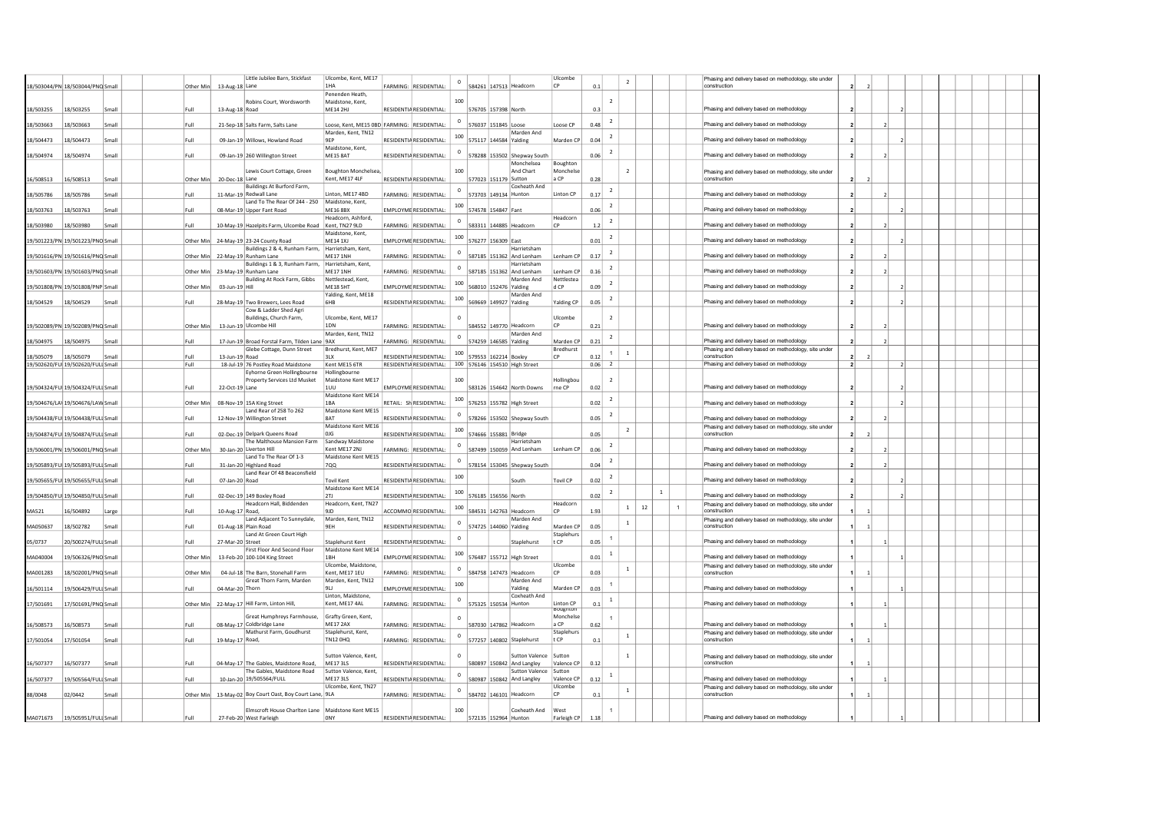|              |                                    |       |      |           |                  | Little Jubilee Barn, Stickfast                                            | Ulcombe, Kent, ME17                          |                                | $\circ$    |                       |                                             | Ulcombe                 |      |                          | $\overline{2}$     |              | Phasing and delivery based on methodology, site under                 |                |                |  |  |  |  |
|--------------|------------------------------------|-------|------|-----------|------------------|---------------------------------------------------------------------------|----------------------------------------------|--------------------------------|------------|-----------------------|---------------------------------------------|-------------------------|------|--------------------------|--------------------|--------------|-----------------------------------------------------------------------|----------------|----------------|--|--|--|--|
|              | 18/503044/PN 18/503044/PNQ Small   |       |      | Other Min | 13-Aug-18 Lane   |                                                                           | 1HA<br>Penenden Heath                        | FARMING: RESIDENTIAL           |            |                       | 584261 147513 Headcorn                      | <b>CP</b>               | 0.1  |                          |                    |              | construction                                                          |                |                |  |  |  |  |
|              |                                    |       |      |           |                  | Robins Court, Wordsworth                                                  | Maidstone, Kent.                             |                                | 100        |                       |                                             |                         |      | $\overline{2}$           |                    |              |                                                                       |                |                |  |  |  |  |
| 18/503255    | 18/503255                          | Small | Full |           | 13-Aug-18 Road   |                                                                           | <b>ME14 2HJ</b>                              | RESIDENTIA RESIDENTIAL         |            | 576705 157398 North   |                                             |                         | 0.3  |                          |                    |              | Phasing and delivery based on methodology                             |                |                |  |  |  |  |
| 18/503663    | 18/503663                          | Small | Full |           |                  | 21-Sep-18 Salts Farm, Salts Lane                                          | Loose, Kent, ME15 0BD FARMING: RESIDENTIAL:  |                                | $^{\circ}$ | 576037 151845 Loose   |                                             | Loose CP                | 0.48 | $\overline{2}$           |                    |              | Phasing and delivery based on methodology                             |                |                |  |  |  |  |
|              |                                    |       |      |           |                  |                                                                           | Marden, Kent, TN12                           |                                | 100        |                       | Marden And                                  |                         |      | $\overline{2}$           |                    |              |                                                                       |                |                |  |  |  |  |
| 18/504473    | 18/504473                          | Small | Full |           |                  | 09-Jan-19 Willows, Howland Road                                           | <b>GFP</b><br>Maidstone, Kent.               | RESIDENTIA RESIDENTIAL:        |            |                       | 575117 144584 Yalding                       | Marden CF               | 0.04 |                          |                    |              | Phasing and delivery based on methodology                             |                |                |  |  |  |  |
| 18/504974    | 18/504974                          | Small | Full |           |                  | 09-Jan-19 260 Willington Street                                           | <b>ME15 8AT</b>                              | RESIDENTIA RESIDENTIAL:        |            |                       | 578288 153502 Shepway South                 |                         | 0.06 | $\overline{2}$           |                    |              | Phasing and delivery based on methodology                             |                |                |  |  |  |  |
|              |                                    |       |      |           |                  |                                                                           |                                              |                                | 100        |                       | Monchelsea                                  | Boughton<br>Monchels    |      |                          | $\overline{2}$     |              |                                                                       |                |                |  |  |  |  |
| 16/508513    | 16/508513                          | Small |      | Other Min | 20-Dec-18 Lane   | Lewis Court Cottage, Green                                                | <b>Boughton Monchelsea</b><br>Kent, ME17 4LF | <b>RESIDENTIA RESIDENTIAL</b>  |            | 577023 151179 Sutton  | And Chart                                   | a CP                    | 0.28 |                          |                    |              | Phasing and delivery based on methodology, site under<br>construction | $\overline{ }$ |                |  |  |  |  |
|              |                                    |       |      |           |                  | Buildings At Burford Farm.                                                |                                              |                                | $\,$ 0     |                       | Coxheath And                                |                         |      | $\overline{2}$           |                    |              |                                                                       |                |                |  |  |  |  |
| 18/505786    | 18/505786                          | Small | Full |           |                  | 11-Mar-19 Redwall Lane<br>Land To The Rear Of 244 - 250                   | Linton, ME17 4BD<br>Maidstone, Kent.         | FARMING: RESIDENTIAL           |            |                       | 573703 149134 Hunton                        | Linton CP               | 0.17 |                          |                    |              | Phasing and delivery based on methodology                             |                |                |  |  |  |  |
| 18/503763    | 18/503763                          | Small | Full |           |                  | 08-Mar-19 Upper Fant Road                                                 | <b>ME16 8BX</b>                              | EMPLOYME RESIDENTIAL           | 100        | 574578 154847 Fant    |                                             |                         | 0.06 | $\overline{2}$           |                    |              | Phasing and delivery based on methodology                             |                |                |  |  |  |  |
| 18/503980    | 18/503980                          | Small | Full |           |                  | 10-May-19 Hazelpits Farm, Ulcombe Road                                    | Headcorn, Ashford,<br>Kent, TN27 9LD         | FARMING: RESIDENTIAL           |            |                       | 583311 144885 Headcorn                      | Headcorn<br><b>CP</b>   | 1.2  | $\overline{2}$           |                    |              | Phasing and delivery based on methodology                             |                |                |  |  |  |  |
|              |                                    |       |      |           |                  |                                                                           | Maidstone, Kent.                             |                                |            |                       |                                             |                         |      | $\overline{2}$           |                    |              |                                                                       |                |                |  |  |  |  |
|              | 19/501223/PN 19/501223/PNO Small   |       |      | Other Min |                  | 24-May-19 23-24 County Road                                               | <b>ME14 1XJ</b>                              | EMPLOYME RESIDENTIAL:          | 100        | 576277 156309 East    |                                             |                         | 0.01 |                          |                    |              | Phasing and delivery based on methodology                             |                |                |  |  |  |  |
|              | 19/501616/PN 19/501616/PNQ Small   |       |      | Other Min |                  | Buildings 2 & 4, Runham Farm, Harrietsham, Kent,<br>22-May-19 Runham Lane | <b>ME17 1NH</b>                              | FARMING: RESIDENTIAL:          | $^{\circ}$ |                       | Harrietsham<br>587185 151362 And Lenham     | Lenham CP               | 0.17 | $\overline{2}$           |                    |              | Phasing and delivery based on methodology                             |                |                |  |  |  |  |
|              |                                    |       |      |           |                  | Buildings 1 & 3, Runham Farm,                                             | Harrietsham, Kent,                           |                                | $^{\circ}$ |                       | Harrietsham                                 |                         |      | $\overline{z}$           |                    |              |                                                                       |                |                |  |  |  |  |
|              | 19/501603/PN 19/501603/PNQ Small   |       |      | Other Min |                  | 23-May-19 Runham Lane<br>Building At Rock Farm, Gibbs                     | <b>ME17 1NH</b><br>Nettlestead, Kent.        | FARMING: RESIDENTIAL:          |            |                       | 587185 151362 And Lenham<br>Marden And      | Lenham CP<br>Nettlestea | 0.16 |                          |                    |              | Phasing and delivery based on methodology                             |                |                |  |  |  |  |
|              | 19/501808/PN 19/501808/PNP Small   |       |      | Other Mir | 03-Jun-19 Hill   |                                                                           | <b>MF18 5HT</b>                              | <b>EMPI OYME RESIDENTIAL</b>   | 100        |                       | 568010 152476 Yalding                       | d CP                    | 0.09 | $\overline{2}$           |                    |              | Phasing and delivery based on methodology                             |                |                |  |  |  |  |
| 18/504529    | 18/504529                          | Small | Full |           |                  | 28-Mav-19 Two Brewers, Lees Road                                          | Yalding, Kent, ME18<br>6HR                   | <b>RESIDENTIA RESIDENTIAL:</b> | 100        |                       | Marden And<br>569669 149927 Yalding         |                         | 0.05 | $\overline{2}$           |                    |              | Phasing and delivery based on methodology                             |                |                |  |  |  |  |
|              |                                    |       |      |           |                  | Cow & Ladder Shed Agri                                                    |                                              |                                |            |                       |                                             | Yalding CP              |      |                          |                    |              |                                                                       |                |                |  |  |  |  |
|              |                                    |       |      |           |                  | Buildings, Church Farm,                                                   | Ulcombe, Kent, ME17                          |                                |            |                       |                                             | Ulcombe                 |      | $\overline{z}$           |                    |              |                                                                       |                |                |  |  |  |  |
|              | 19/502089/PN 19/502089/PNQ Small   |       |      | Other Min |                  | 13-Jun-19 Ulcombe Hill                                                    | 1DN<br>Marden, Kent, TN12                    | <b>FARMING: RESIDENTIAL:</b>   |            |                       | 584552 149770 Headcorn<br>Marden And        |                         | 0.21 |                          |                    |              | Phasing and delivery based on methodology                             |                |                |  |  |  |  |
| 18/504975    | 18/504975                          | Small | Full |           |                  | 17-Jun-19 Broad Forstal Farm, Tilden Lane 9AX                             |                                              | FARMING: RESIDENTIAL:          | $\circ$    | 574259 146585 Yalding |                                             | Marden CF               | 0.21 | $\overline{2}$           |                    |              | Phasing and delivery based on methodology                             |                |                |  |  |  |  |
| 18/505079    | 18/505079                          | Small | Full |           | 13-Jun-19 Road   | Glebe Cottage, Dunn Street                                                | Bredhurst, Kent, ME7<br>31 X                 | <b>RESIDENTIA RESIDENTIAL</b>  | 100        | 579553 162214 Boxley  |                                             | Bredhurst<br>$\Gamma$   | 0.12 | $\overline{1}$           | $\mathbf{1}$       |              | Phasing and delivery based on methodology, site under<br>construction |                |                |  |  |  |  |
|              | 19/502620/FUI 19/502620/FULI Small |       | Full |           |                  | 18-Jul-19 76 Postley Road Maidstone                                       | Kent ME15 6TR                                | RESIDENTIA RESIDENTIAL:        |            |                       | 100 576146 154510 High Street               |                         | 0.06 | $\overline{2}$           |                    |              | Phasing and delivery based on methodology                             | $\overline{2}$ |                |  |  |  |  |
|              |                                    |       |      |           |                  | Eyhorne Green Hollingbourne                                               | Hollingbourne                                |                                |            |                       |                                             |                         |      |                          |                    |              |                                                                       |                |                |  |  |  |  |
|              | 19/504324/FUI 19/504324/FULI Small |       | Full |           | 22-Oct-19 Lane   | <b>Property Services Ltd Musket</b>                                       | Maidstone Kent ME17<br>l 1 UU                | <b>EMPLOYME RESIDENTIAL</b>    | 100        |                       | 583126 154642 North Downs                   | Hollingbou<br>rne CP    | 0.02 | $\overline{\phantom{a}}$ |                    |              | Phasing and delivery based on methodology                             |                |                |  |  |  |  |
|              |                                    |       |      |           |                  |                                                                           | Maidstone Kent ME14                          |                                | 100        |                       |                                             |                         |      | $\overline{2}$           |                    |              |                                                                       |                |                |  |  |  |  |
|              | 19/504676/LA\ 19/504676/LAW Small  |       |      | Other Min |                  | 08-Nov-19 15A King Street<br>Land Rear of 258 To 262                      | 1BA<br>Maidstone Kent ME15                   | RETAIL: Sh RESIDENTIAL:        |            |                       | 576253 155782 High Street                   |                         | 0.02 |                          |                    |              | Phasing and delivery based on methodology                             |                |                |  |  |  |  |
|              | 19/504438/FUI 19/504438/FULI Small |       | Full |           |                  | 12-Nov-19 Willington Street                                               | 8AT                                          | RESIDENTIA RESIDENTIAL:        |            |                       | 578266 153502 Shepway South                 |                         | 0.05 | $\overline{2}$           |                    |              | Phasing and delivery based on methodology                             |                |                |  |  |  |  |
|              | 19/504874/FUI 19/504874/FULI Small |       | Full |           |                  | 02-Dec-19 Delpark Queens Road                                             | Maidstone Kent ME16<br>0JG                   | RESIDENTIA RESIDENTIAL:        | 100        | 574666 155881 Bridge  |                                             |                         | 0.05 |                          | $\overline{2}$     |              | Phasing and delivery based on methodology, site under<br>construction |                | $\overline{2}$ |  |  |  |  |
|              |                                    |       |      |           |                  | The Malthouse Mansion Farm                                                | Sandway Maidstone                            |                                |            |                       | Harrietsham                                 |                         |      |                          |                    |              |                                                                       |                |                |  |  |  |  |
|              | 19/506001/PN 19/506001/PNO Small   |       |      | Other Mir |                  | 30-Jan-20 Liverton Hill                                                   | Kent ME17 2NJ                                | FARMING: RESIDENTIAL:          | $^{\circ}$ |                       | 587499 150059 And Lenham                    | Lenham CF               | 0.06 | $\overline{2}$           |                    |              | Phasing and delivery based on methodology                             |                |                |  |  |  |  |
|              | 19/505893/FUI 19/505893/FULI Small |       | Full |           |                  | Land To The Rear Of 1-3<br>31-Jan-20 Highland Road                        | Maidstone Kent ME15<br>700                   | RESIDENTIA RESIDENTIAL:        | $\circ$    |                       | 578154 153045 Shepway South                 |                         | 0.04 | $\overline{2}$           |                    |              | Phasing and delivery based on methodology                             |                |                |  |  |  |  |
|              |                                    |       |      |           |                  | Land Rear Of 48 Beaconsfield                                              |                                              |                                | 100        |                       |                                             |                         |      | 2                        |                    |              |                                                                       |                |                |  |  |  |  |
|              | 19/505655/FUI 19/505655/FULI Small |       | Full |           | 07-Jan-20 Road   |                                                                           | <b>Tovil Kent</b><br>Maidstone Kent ME14     | <b>RESIDENTIA RESIDENTIAL:</b> |            |                       | South                                       | <b>Tovil CP</b>         | 0.02 |                          |                    |              | Phasing and delivery based on methodology                             |                |                |  |  |  |  |
|              | 19/504850/FUI 19/504850/FULI Small |       | Full |           |                  | 02-Dec-19 149 Boxley Road                                                 | <b>2TI</b>                                   | <b>RESIDENTIA RESIDENTIAL</b>  | 100        | 576185 156556 North   |                                             |                         | 0.02 | $\overline{2}$           |                    | $\mathbf{1}$ | Phasing and delivery based on methodology                             |                |                |  |  |  |  |
|              |                                    |       |      |           |                  | Headcorn Hall, Biddenden                                                  | Headcorn, Kent, TN27                         |                                | 100        |                       |                                             | Headcorn<br>CP          |      |                          | 12<br>$\mathbf{1}$ |              | Phasing and delivery based on methodology, site under                 |                |                |  |  |  |  |
| <b>MA521</b> | 16/504892                          | Large | Full |           | 10-Aug-17 Road,  | Land Adjacent To Sunnydale,                                               | 91D<br>Marden, Kent, TN12                    | ACCOMMO RESIDENTIAL:           |            |                       | 584531 142763 Headcorn<br>Marden And        |                         | 1.93 |                          |                    |              | construction<br>Phasing and delivery based on methodology, site under |                | $\mathbf{1}$   |  |  |  |  |
| MA050637     | 18/502782                          | Small | Full |           |                  | 01-Aug-18 Plain Road                                                      | 9FH                                          | <b>RESIDENTIA RESIDENTIAL</b>  | $\,$ 0     | 574725 144060 Yalding |                                             | Marden CF               | 0.05 |                          | $\,$ 1 $\,$        |              | construction                                                          |                |                |  |  |  |  |
| 05/0737      | 20/500274/FULI Small               |       | Full |           | 27-Mar-20 Street | Land At Green Court High                                                  | Staplehurst Kent                             | RESIDENTIA RESIDENTIAL         | $\,$ 0     |                       | Staplehurst                                 | Staplehurs<br>t CP      | 0.05 |                          |                    |              | Phasing and delivery based on methodology                             |                |                |  |  |  |  |
|              |                                    |       |      |           |                  | First Floor And Second Floor                                              | Maidstone Kent ME14                          |                                | 100        |                       |                                             |                         |      | <sup>1</sup>             |                    |              |                                                                       |                |                |  |  |  |  |
| MA040004     | 19/506326/PNO Small                |       |      | Other Mi  |                  | 13-Feb-20 100-104 King Street                                             | 1BH<br>Ulcombe, Maidstone.                   | EMPLOYME RESIDENTIAL           |            |                       | 576487 155712 High Street                   | Ulcombe                 | 0.01 |                          |                    |              | Phasing and delivery based on methodology                             |                |                |  |  |  |  |
| MA001283     | 18/502001/PNQ Small                |       |      | Other Mir |                  | 04-Jul-18 The Barn, Stonehall Farm                                        | Kent, ME17 1EU                               | FARMING: RESIDENTIAL:          | $\circ$    |                       | 584758 147473 Headcorn                      | CP                      | 0.03 |                          | $\mathbf{1}$       |              | Phasing and delivery based on methodology, site under<br>construction |                |                |  |  |  |  |
|              |                                    |       |      |           |                  | Great Thorn Farm, Marden                                                  | Marden, Kent, TN12                           |                                | 100        |                       | Marden And                                  |                         |      |                          |                    |              |                                                                       |                |                |  |  |  |  |
| 16/501114    | 19/506429/FULI Small               |       | Full |           | 04-Mar-20 Thorn  |                                                                           | 9 <sub>LI</sub><br>Linton, Maidstone.        | EMPLOYME RESIDENTIAL           |            |                       | Yalding<br>Coxheath And                     | Marden CF               | 0.03 |                          |                    |              | Phasing and delivery based on methodology                             |                |                |  |  |  |  |
| 17/501691    | 17/501691/PNQ Small                |       |      | Other Min |                  | 22-May-17 Hill Farm, Linton Hill,                                         | Kent, ME17 4AL                               | FARMING: RESIDENTIAL:          | $^{\circ}$ |                       | 575325 150534 Hunton                        | Linton CP<br>Boughton   | 0.1  | <sup>1</sup>             |                    |              | Phasing and delivery based on methodology                             |                |                |  |  |  |  |
|              |                                    |       |      |           |                  | Great Humphreys Farmhouse,                                                | Grafty Green, Kent,                          |                                |            |                       |                                             | Monchelse               |      | $\overline{1}$           |                    |              |                                                                       |                |                |  |  |  |  |
| 16/508573    | 16/508573                          | Small | Full |           |                  | 08-May-17 Coldbridge Lane                                                 | <b>MF172AX</b>                               | FARMING: RESIDENTIAL:          |            |                       | 587030 147862 Headcorn                      | a CP                    | 0.62 |                          |                    |              | Phasing and delivery based on methodology                             |                |                |  |  |  |  |
| 17/501054    | 17/501054                          | Small | Full |           | 19-May-17 Road,  | Mathurst Farm, Goudhurst                                                  | Staplehurst, Kent.<br><b>TN12 0HQ</b>        | FARMING: RESIDENTIAL:          | $^{\circ}$ |                       | 577257 140802 Staplehurst                   | Staplehurs<br>t CP      | 0.1  |                          | $\mathbf{1}$       |              | Phasing and delivery based on methodology, site under<br>construction |                |                |  |  |  |  |
|              |                                    |       |      |           |                  |                                                                           |                                              |                                |            |                       |                                             |                         |      |                          |                    |              |                                                                       |                |                |  |  |  |  |
| 16/507377    | 16/507377                          | Small | Full |           |                  | 04-May-17 The Gables, Maidstone Road.                                     | Sutton Valence, Kent.<br>MF17315             | <b>RESIDENTIA RESIDENTIAL:</b> |            |                       | <b>Sutton Valence</b>                       | Sutton<br>Valence CP    | 0.12 |                          | $\mathbf{1}$       |              | Phasing and delivery based on methodology, site under<br>construction |                | $\overline{1}$ |  |  |  |  |
|              |                                    |       |      |           |                  | The Gables, Maidstone Road                                                | Sutton Valence, Kent.                        |                                |            |                       | 580897 150842 And Langley<br>Sutton Valence | Sutton                  |      |                          |                    |              |                                                                       |                |                |  |  |  |  |
| 16/507377    | 19/505564/FULI Small               |       | Full |           |                  | 10-Jan-20 19/505564/FULL                                                  | <b>ME17 3LS</b>                              | RESIDENTIA RESIDENTIAL:        |            |                       | 580987 150842 And Langley                   | Valence CF              | 0.12 |                          |                    |              | Phasing and delivery based on methodology                             |                |                |  |  |  |  |
| 88/0048      | 02/0442                            | Small |      | Other Min |                  | 13-May-02 Boy Court Oast, Boy Court Lane, 9LA                             | Ulcombe, Kent, TN27                          | FARMING: RESIDENTIAL:          | $^{\circ}$ |                       | 584702 146101 Headcorn                      | Ulcombe                 | 0.1  |                          | $\mathbf{1}$       |              | Phasing and delivery based on methodology, site under<br>construction |                |                |  |  |  |  |
|              |                                    |       |      |           |                  |                                                                           |                                              |                                |            |                       |                                             |                         |      |                          |                    |              |                                                                       |                |                |  |  |  |  |
|              |                                    |       |      |           |                  | Elmscroft House Charlton Lane   Maidstone Kent ME15                       |                                              |                                | 100        |                       | Coxheath And                                | West                    |      |                          |                    |              | Phasing and delivery based on methodology                             |                |                |  |  |  |  |
| MA071673     | 19/505951/FULI Small               |       | Eull |           |                  | 27-Feb-20 West Farleigh                                                   | 0NY                                          | RESIDENTIA RESIDENTIAL:        |            |                       | 572135 152964 Hunton                        | Farleigh CP             | 1.18 |                          |                    |              |                                                                       |                |                |  |  |  |  |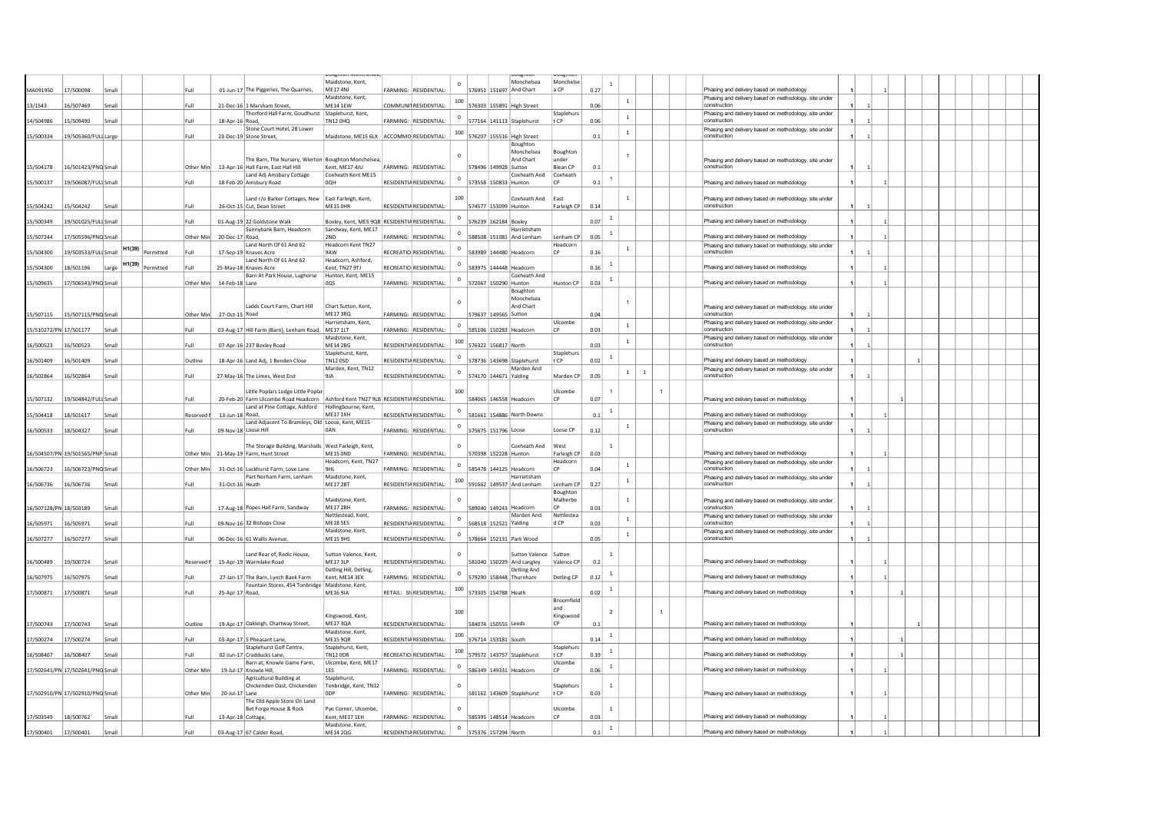|                        |                                  |       |        |           |            |                      |                                                                                                                     | Maidstone, Kent.                              |                               | $^{\circ}$  |                           | Monchelsea              | Monchelse                 |      | $\overline{1}$ |                                |                                                                       |                |  |  |  |  |
|------------------------|----------------------------------|-------|--------|-----------|------------|----------------------|---------------------------------------------------------------------------------------------------------------------|-----------------------------------------------|-------------------------------|-------------|---------------------------|-------------------------|---------------------------|------|----------------|--------------------------------|-----------------------------------------------------------------------|----------------|--|--|--|--|
| MA091950               | 17/500098                        | Small |        |           | Full       |                      | 01-Jun-17 The Piggeries, The Quarries,                                                                              | ME17 4NJ<br>Maidstone, Kent,                  | FARMING: RESIDENTIAL:         |             | 576951 151697 And Chart   |                         | a CP                      | 0.27 |                |                                | Phasing and delivery based on methodology                             |                |  |  |  |  |
| 13/1543                | 16/507469                        | Small |        |           | Full       |                      | 21-Dec-16 1 Marsham Street                                                                                          | <b>ME14 1EW</b>                               | COMMUNI RESIDENTIAL:          | 100         | 576303 155891 High Street |                         |                           | 0.06 |                | $\mathbf{1}$                   | Phasing and delivery based on methodology, site under<br>construction |                |  |  |  |  |
|                        |                                  |       |        |           |            |                      | Thorford Hall Farm, Goudhurst Staplehurst, Kent,                                                                    |                                               |                               | $^{\circ}$  |                           |                         | Staplehurs                |      |                | $\overline{1}$                 | Phasing and delivery based on methodology, site under                 |                |  |  |  |  |
| 14/504986              | 15/509490                        | Small |        |           | Full       | 18-Apr-16 Road,      |                                                                                                                     | <b>TN12 0HQ</b>                               | FARMING: RESIDENTIAL:         |             | 577164 141113 Staplehurst |                         | t CP                      | 0.06 |                |                                | construction                                                          |                |  |  |  |  |
| 15/500334              | 19/505360/FULI Large             |       |        |           | Full       |                      | Stone Court Hotel, 28 Lower<br>23-Dec-19 Stone Street,                                                              | Maidstone, ME15 6LX ACCOMMO RESIDENTIAL:      |                               | 100         | 576207 155516 High Street |                         |                           | 0.1  |                | $\,$ 1 $\,$                    | Phasing and delivery based on methodology, site under<br>construction |                |  |  |  |  |
|                        |                                  |       |        |           |            |                      |                                                                                                                     |                                               |                               |             |                           | Boughton                |                           |      |                |                                |                                                                       |                |  |  |  |  |
|                        |                                  |       |        |           |            |                      |                                                                                                                     |                                               |                               |             |                           | Monchelsea              | Boughton                  |      |                |                                |                                                                       |                |  |  |  |  |
|                        |                                  |       |        |           |            |                      | The Barn, The Nursery, Wierton Boughton Monchelsea                                                                  |                                               |                               |             |                           | And Chart               | lunder<br><b>Blean CP</b> |      |                |                                | Phasing and delivery based on methodology, site under<br>construction |                |  |  |  |  |
| 15/504178              | 16/501423/PNQ Small              |       |        |           | Other Min  |                      | 13-Apr-16 Hall Farm, East Hall Hill<br>Land Adj Amsbury Cottage                                                     | Kent, ME17 4JU<br>Coxheath Kent ME15          | FARMING: RESIDENTIAL          |             | 578496 149928 Sutton      | Coxheath And Coxheath   |                           | 0.1  |                |                                |                                                                       |                |  |  |  |  |
| 15/500137              | 19/506087/FULI Small             |       |        |           | Full       |                      | 18-Feb-20 Amsbury Road                                                                                              | OOH                                           | RESIDENTIA RESIDENTIAL:       | $\circ$     | 573558 150833 Hunton      |                         | CP                        | 0.1  | $\overline{1}$ |                                | Phasing and delivery based on methodology                             |                |  |  |  |  |
|                        |                                  |       |        |           |            |                      |                                                                                                                     |                                               |                               |             |                           |                         |                           |      |                |                                |                                                                       |                |  |  |  |  |
| 15/504242              | 15/504242                        | Small |        |           | Full       |                      | Land r/o Barker Cottages, New<br>26-Oct-15 Cut, Dean Street                                                         | East Farleigh, Kent,<br>ME15 OHR              | RESIDENTIA RESIDENTIAL        | 100         | 574577 153099 Hunton      | Coxheath And            | East<br>Farleigh CP       | 0.14 |                | $\,$ 1                         | Phasing and delivery based on methodology, site under<br>construction |                |  |  |  |  |
|                        |                                  |       |        |           |            |                      |                                                                                                                     |                                               |                               |             |                           |                         |                           |      |                |                                |                                                                       |                |  |  |  |  |
| 15/500349              | 19/501025/FULI Small             |       |        |           | Full       |                      | 01-Aug-19 22 Goldstone Walk                                                                                         | Boxley, Kent, ME5 9QB RESIDENTIA RESIDENTIAL: |                               |             | 576239 162184 Boxley      |                         |                           | 0.07 |                |                                | Phasing and delivery based on methodology                             |                |  |  |  |  |
| 15/507244              | 17/505596/PNQ Small              |       |        |           | Other Min  | 20-Dec-17 Road.      | Sunnybank Barn, Headcorn                                                                                            | Sandway, Kent, ME17<br>2ND                    | FARMING: RESIDENTIAL:         |             | 588508 151081 And Lenham  | Harrietsham             | Lenham CP                 | 0.05 | $\overline{1}$ |                                | Phasing and delivery based on methodology                             |                |  |  |  |  |
|                        |                                  |       |        |           |            |                      | Land North Of 61 And 62                                                                                             | Headcorn Kent TN27                            |                               |             |                           |                         | Headcorr                  |      |                |                                | Phasing and delivery based on methodology, site under                 |                |  |  |  |  |
| 15/504300              | 19/503533/FULLSmall              |       | H1(39) | Permitted | Full       |                      | 17-Sep-19 Knaves Acre                                                                                               | 9AW                                           | RECREATIO RESIDENTIAL:        | $\circ$     | 583989 144480 Headcorn    |                         | <b>CP</b>                 | 0.16 |                | $\mathbf 1$                    | construction                                                          |                |  |  |  |  |
|                        |                                  |       | H1(39) |           |            |                      | Land North Of 61 And 62                                                                                             | Headcorn, Ashford,<br>Kent, TN27 9TJ          |                               |             |                           |                         |                           |      | $\mathbf{1}$   |                                |                                                                       |                |  |  |  |  |
| 15/504300              | 18/501196                        | Large |        | Permitted | Full       |                      | 25-May-18 Knaves Acre<br>Barn At Park House, Lughorse                                                               | Hunton, Kent, ME15                            | RECREATIO RESIDENTIAL:        |             | 583975 144448 Headcorn    | Coxheath And            |                           | 0.16 |                |                                | Phasing and delivery based on methodology                             |                |  |  |  |  |
| 15/509635              | 17/506543/PNQ Small              |       |        |           | Other Min  | 14-Feb-18 Lane       |                                                                                                                     | <b>OOS</b>                                    | FARMING: RESIDENTIAL          | $^{\circ}$  | 572067 150290 Hunton      |                         | Hunton CP                 | 0.03 | $\mathbf{1}$   |                                | Phasing and delivery based on methodology                             |                |  |  |  |  |
|                        |                                  |       |        |           |            |                      |                                                                                                                     |                                               |                               |             |                           | Boughton                |                           |      |                |                                |                                                                       |                |  |  |  |  |
|                        |                                  |       |        |           |            |                      | Ladds Court Farm, Chart Hill                                                                                        | Chart Sutton, Kent.                           |                               |             |                           | Monchelsea<br>And Chart |                           |      |                |                                | Phasing and delivery based on methodology, site under                 |                |  |  |  |  |
| 15/507115              | 15/507115/PNO Small              |       |        |           | Other Min  | 27-Oct-15 Road       |                                                                                                                     | ME173RO                                       | FARMING: RESIDENTIAL          |             | 579637 149565 Sutton      |                         |                           | 0.04 |                |                                | construction                                                          |                |  |  |  |  |
|                        |                                  |       |        |           |            |                      |                                                                                                                     | Harrietsham, Kent,                            |                               | $^{\circ}$  |                           |                         | Ulcombe                   |      |                | <sup>1</sup>                   | Phasing and delivery based on methodology, site under                 |                |  |  |  |  |
| 15/510272/PN 17/501177 |                                  | Small |        |           | Full       |                      | 03-Aug-17 Hill Farm (Barn), Lenham Road,                                                                            | <b>ME17 1LT</b><br>Maidstone, Kent,           | FARMING: RESIDENTIAL:         |             | 585106 150283 Headcorn    |                         | CP                        | 0.03 |                |                                | construction                                                          |                |  |  |  |  |
| 16/500523              | 16/500523                        | Small |        |           | Full       |                      | 07-Apr-16 237 Boxley Road                                                                                           | <b>ME14 2BG</b>                               | RESIDENTIA RESIDENTIAL:       | 100         | 576322 156817 North       |                         |                           | 0.03 |                | $\,$ 1 $\,$                    | Phasing and delivery based on methodology, site under<br>construction | $\overline{1}$ |  |  |  |  |
|                        |                                  |       |        |           |            |                      |                                                                                                                     | Staplehurst, Kent,                            |                               | $^{\circ}$  |                           |                         | Staplehurs                |      | $\overline{1}$ |                                |                                                                       |                |  |  |  |  |
| 16/501409              | 16/501409                        | Small |        |           | Outline    |                      | 18-Apr-16 Land Adj, 1 Benden Close                                                                                  | <b>TN12 0SD</b>                               | RESIDENTIA RESIDENTIAL:       |             | 578736 143698 Staplehurst | Marden And              | t CP                      | 0.02 |                |                                | Phasing and delivery based on methodology                             |                |  |  |  |  |
| 16/502864              | 16/502864                        | Small |        |           | Full       |                      | 27-May-16 The Limes, West End                                                                                       | Marden, Kent, TN12<br>9JA                     | RESIDENTIA RESIDENTIAL:       | $\circ$     | 574170 144671 Yalding     |                         | Marden CP                 | 0.05 |                | $\mathbf{1}$<br>$\overline{1}$ | Phasing and delivery based on methodology, site under<br>construction |                |  |  |  |  |
|                        |                                  |       |        |           |            |                      |                                                                                                                     |                                               |                               |             |                           |                         |                           |      |                |                                |                                                                       |                |  |  |  |  |
|                        |                                  |       |        |           |            |                      | Little Poplars Lodge Little Poplar                                                                                  |                                               |                               | 100         |                           |                         | Ulcombe<br>CP             |      |                |                                |                                                                       |                |  |  |  |  |
| 15/507132              | 19/504842/FULI Small             |       |        |           | Full       |                      | 20-Feb-20 Farm Ulcombe Road Headcorn Ashford Kent TN27 9LB RESIDENTIA RESIDENTIAL:<br>Land at Pine Cottage, Ashford | Hollingbourne, Kent,                          |                               |             | 584065 146558 Headcorn    |                         |                           | 0.07 |                |                                | Phasing and delivery based on methodology                             |                |  |  |  |  |
| 15/504418              | 18/501617                        | Small |        |           | Reserved   | 13-Jun-18 Road,      |                                                                                                                     | <b>ME17 1XH</b>                               | RESIDENTIA RESIDENTIAL        | $\mathbf 0$ | 581661 154886 North Downs |                         |                           | 0.1  | $\overline{1}$ |                                | Phasing and delivery based on methodology                             |                |  |  |  |  |
|                        |                                  |       |        |           |            |                      | Land Adjacent To Bramleys, Old Loose, Kent, ME15                                                                    |                                               |                               | $\mathbf 0$ |                           |                         |                           |      |                | $\,$ 1                         | Phasing and delivery based on methodology, site under                 |                |  |  |  |  |
| 16/500533              | 18/504327                        | Small |        |           | Full       | 09-Nov-18 Loose Hill |                                                                                                                     | 0AN                                           | FARMING: RESIDENTIAL          |             | 575675 151796 Loose       |                         | Loose CP                  | 0.12 |                |                                | construction                                                          |                |  |  |  |  |
|                        |                                  |       |        |           |            |                      | The Storage Building, Marshalls   West Farleigh, Kent,                                                              |                                               |                               | $\Omega$    |                           | Coxheath And            | West                      |      | $\overline{1}$ |                                |                                                                       |                |  |  |  |  |
|                        | 16/504507/PN 19/501565/PNP Small |       |        |           |            |                      | Other Min 21-May-19 Farm, Hunt Street                                                                               | ME15 OND                                      | FARMING: RESIDENTIAL          |             | 570398 152228 Hunton      |                         | Farleigh CP               | 0.03 |                |                                | Phasing and delivery based on methodology                             |                |  |  |  |  |
|                        | 16/506723/PNQ Small              |       |        |           | Other Min  |                      | 31-Oct-16 Luckhurst Farm, Love Lane                                                                                 | Headcorn, Kent, TN27<br>9HI                   | FARMING: RESIDENTIAL:         | $^{\circ}$  | 585478 144125 Headcorn    |                         | Headcorn<br>CP            | 0.04 |                | $\mathbf{1}$                   | Phasing and delivery based on methodology, site under<br>construction |                |  |  |  |  |
| 16/506723              |                                  |       |        |           |            |                      | Part Norham Farm, Lenham                                                                                            | Maidstone, Kent.                              |                               |             |                           | Harrietsham             |                           |      |                |                                | Phasing and delivery based on methodology, site under                 |                |  |  |  |  |
| 16/506736              | 16/506736                        | Small |        |           | Full       | 31-Oct-16 Heath      |                                                                                                                     | <b>ME17 2BT</b>                               | RESIDENTIA RESIDENTIAL:       | 100         | 591662 149537 And Lenham  |                         | Lenham CF                 | 0.27 |                | $\mathbf{1}$                   | construction                                                          |                |  |  |  |  |
|                        |                                  |       |        |           |            |                      |                                                                                                                     |                                               |                               |             |                           |                         | Boughton                  |      |                | $\mathbf{1}$                   |                                                                       |                |  |  |  |  |
| 16/507128/PN 18/503189 |                                  | Small |        |           | Full       |                      | 17-Aug-18 Popes Hall Farm, Sandway                                                                                  | Maidstone, Kent,<br>MF17 2BH                  | FARMING: RESIDENTIAL:         |             | 589040 149243 Headcorn    |                         | Malherbe<br>CP            | 0.03 |                |                                | Phasing and delivery based on methodology, site under<br>construction |                |  |  |  |  |
|                        |                                  |       |        |           |            |                      |                                                                                                                     | Nettlestead, Kent.                            |                               | $\circ$     |                           | Marden And              | Nettlestea                |      |                | $\mathbf 1$                    | Phasing and delivery based on methodology, site under                 |                |  |  |  |  |
| 16/505971              | 16/505971                        | Small |        |           | Full       |                      | 09-Nov-16 32 Bishops Close                                                                                          | <b>MF18 5FS</b>                               | <b>RESIDENTIA RESIDENTIAL</b> |             | 568518 152521 Yalding     |                         | d CP                      | 0.03 |                |                                | construction                                                          | $\overline{1}$ |  |  |  |  |
| 16/507277              | 16/507277                        | Small |        |           | Full       |                      | 06-Dec-16 61 Wallis Avenue                                                                                          | Maidstone, Kent.<br><b>ME15 9HS</b>           | RESIDENTIA RESIDENTIAL:       |             | 578664 152131 Park Wood   |                         |                           | 0.05 |                | $\mathbf{1}$                   | Phasing and delivery based on methodology, site under<br>construction | $\mathbf{1}$   |  |  |  |  |
|                        |                                  |       |        |           |            |                      |                                                                                                                     |                                               |                               |             |                           |                         |                           |      |                |                                |                                                                       |                |  |  |  |  |
|                        |                                  |       |        |           |            |                      | Land Rear of, Redic House,                                                                                          | Sutton Valence, Kent,                         |                               | $\Omega$    |                           | Sutton Valence Sutton   |                           |      | $\overline{1}$ |                                |                                                                       |                |  |  |  |  |
| 16/500489              | 19/500724                        | Small |        |           | Reserved I |                      | 15-Apr-19 Warmlake Road                                                                                             | <b>ME17 3LP</b><br>Detling Hill, Detling,     | RESIDENTIA RESIDENTIAL:       |             | 581040 150229 And Langley | Detling And             | Valence CP                | 0.2  |                |                                | Phasing and delivery based on methodology                             |                |  |  |  |  |
| 16/507975              | 16/507975                        | Small |        |           | Full       |                      | 27-Jan-17 The Barn, Lynch Bank Farm                                                                                 | Kent. ME14 3EX                                | FARMING: RESIDENTIAL          | $^{\circ}$  | 579290 158448 Thurnham    |                         | Detling CP                | 0.12 | -1             |                                | Phasing and delivery based on methodology                             |                |  |  |  |  |
|                        |                                  |       |        |           |            |                      | Fountain Stores, 454 Tonbridge   Maidstone, Kent,                                                                   |                                               |                               | 100         |                           |                         |                           |      | $\mathbf{1}$   |                                |                                                                       |                |  |  |  |  |
| 17/500871              | 17/500871                        | Small |        |           | Full       | 25-Apr-17 Road       |                                                                                                                     | <b>ME16 9JA</b>                               | RETAIL: SH RESIDENTIAL:       |             | 573305 154788 Heath       |                         |                           | 0.02 |                |                                | Phasing and delivery based on methodology                             |                |  |  |  |  |
|                        |                                  |       |        |           |            |                      |                                                                                                                     |                                               |                               |             |                           |                         | Broomfield<br>and         |      |                |                                |                                                                       |                |  |  |  |  |
|                        |                                  |       |        |           |            |                      |                                                                                                                     | Kingswood, Kent.                              |                               | 100         |                           |                         | Kingswood                 |      | $\overline{2}$ |                                |                                                                       |                |  |  |  |  |
| 17/500743              | 17/500743                        | Small |        |           | Outline    |                      | 19-Apr-17 Oakleigh, Chartway Street,                                                                                | ME17 3QA                                      | RESIDENTIA RESIDENTIAL:       |             | 584074 150555 Leeds       |                         | CP                        | 0.1  |                |                                | Phasing and delivery based on methodology                             |                |  |  |  |  |
| 17/500274              | 17/500274                        | Small |        |           | Full       |                      | 03-Apr-17 5 Pheasant Lane,                                                                                          | Maidstone, Kent.<br><b>ME15 90R</b>           | RESIDENTIA RESIDENTIAL        | 100         | 576714 153181 South       |                         |                           | 0.14 |                |                                | Phasing and delivery based on methodology                             |                |  |  |  |  |
|                        |                                  |       |        |           |            |                      | Staplehurst Golf Centre,                                                                                            | Staplehurst, Kent,                            |                               |             |                           |                         | Staplehurs                |      |                |                                |                                                                       |                |  |  |  |  |
| 16/508407              | 16/508407                        | Small |        |           | Full       |                      | 02-Jun-17 Cradducks Lane,                                                                                           | <b>TN12 ODR</b>                               | RECREATIO RESIDENTIAL:        | 100         | 579572 143757 Staplehurst |                         | $+CP$                     | 0.19 | $\overline{1}$ |                                | Phasing and delivery based on methodology                             |                |  |  |  |  |
|                        |                                  |       |        |           |            |                      | Barn at, Knowle Game Farm,                                                                                          | Ulcombe, Kent, ME17<br>1ES                    |                               | $\circ$     |                           |                         | Ulcombe<br>CP             |      | $\mathbf{1}$   |                                |                                                                       |                |  |  |  |  |
|                        | 17/502641/PN 17/502641/PNQ Small |       |        |           | Other Min  |                      | 19-Jul-17 Knowle Hill,<br>Agricultural Building at                                                                  | Staplehurst.                                  | FARMING: RESIDENTIAL:         |             | 586349 149331 Headcorn    |                         |                           | 0.06 |                |                                | Phasing and delivery based on methodology                             |                |  |  |  |  |
|                        |                                  |       |        |           |            |                      | Chickenden Oast, Chickenden                                                                                         | Tonbridge, Kent, TN12                         |                               |             |                           |                         | Staplehurs                |      | $\overline{1}$ |                                |                                                                       |                |  |  |  |  |
|                        | 17/502910/PN 17/502910/PNO Small |       |        |           | Other Min  | 20-Jul-17 Lane       |                                                                                                                     | ODP                                           | FARMING: RESIDENTIAL:         |             | 581162 143609 Staplehurst |                         | t CP                      | 0.03 |                |                                | Phasing and delivery based on methodology                             |                |  |  |  |  |
|                        |                                  |       |        |           |            |                      | The Old Apple Store On Land<br>Bet Forge House & Rock                                                               | Pye Corner, Ulcombe,                          |                               |             |                           |                         | Ulcombe                   |      | $\mathbf{1}$   |                                |                                                                       |                |  |  |  |  |
| 17/503549              | 18/500762                        | Small |        |           | Full       | 13-Apr-18 Cottage,   |                                                                                                                     | Kent. ME17 1EH                                | FARMING: RESIDENTIAL:         |             | 585395 148514 Headcorn    |                         | <b>CP</b>                 | 0.03 |                |                                | Phasing and delivery based on methodology                             |                |  |  |  |  |
|                        |                                  |       |        |           |            |                      |                                                                                                                     | Maidstone, Kent,                              |                               | $\,0\,$     |                           |                         |                           |      | $\mathbf{1}$   |                                |                                                                       |                |  |  |  |  |
| 17/500401              | 17/500401                        | Small |        |           | Full       |                      | 03-Aug-17 67 Calder Road,                                                                                           | ME14 20G                                      | RESIDENTIA RESIDENTIAL        |             | 575376 157294 North       |                         |                           | 0.1  |                |                                | Phasing and delivery based on methodology                             |                |  |  |  |  |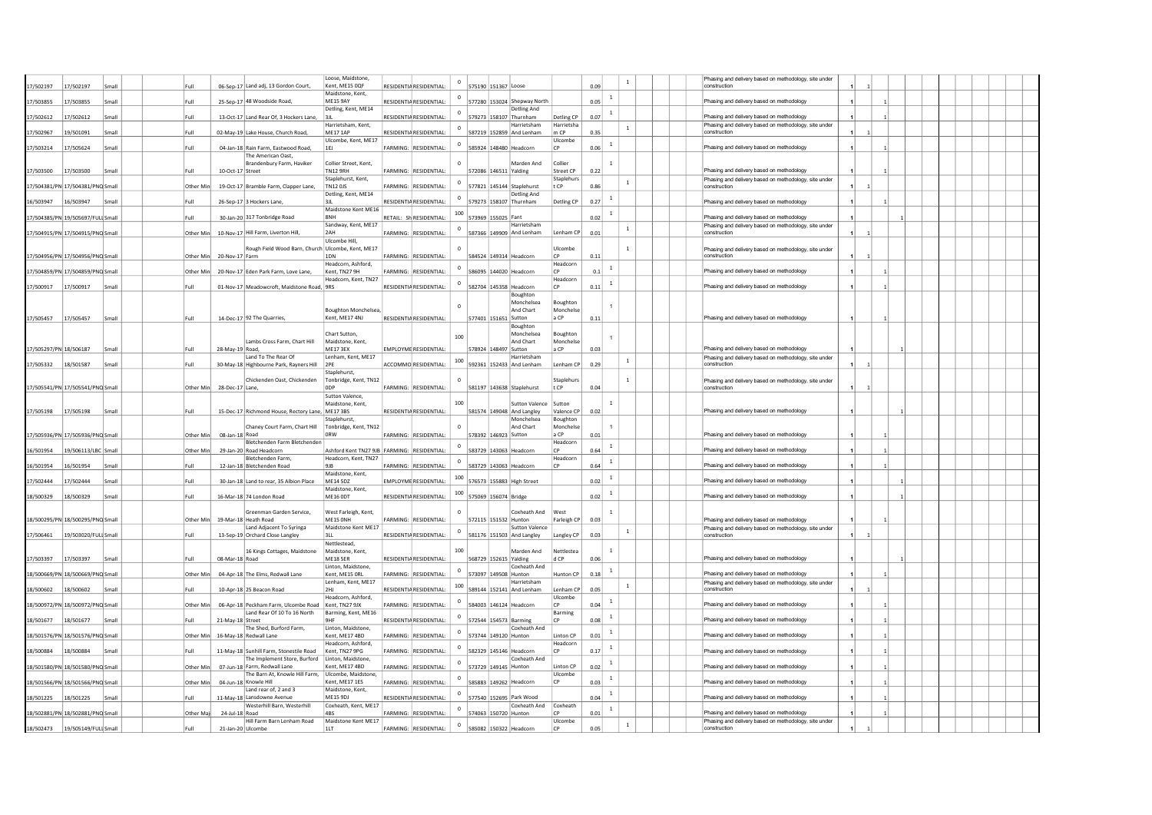| 7/502197<br>17/502197<br>Small    |      | Full      | 06-Sep-17 Land adj, 13 Gordon Court,                                    | Loose, Maidstone,<br>Kent, ME15 0QF       | RESIDENTIA RESIDENTIAL:               |             | 575190 151367 Loose                         |                       | 0.09 | $\mathbf{1}$   | Phasing and delivery based on methodology, site under<br>construction |  |  |  |  |  |
|-----------------------------------|------|-----------|-------------------------------------------------------------------------|-------------------------------------------|---------------------------------------|-------------|---------------------------------------------|-----------------------|------|----------------|-----------------------------------------------------------------------|--|--|--|--|--|
|                                   |      |           |                                                                         | Maidstone, Kent.                          |                                       | $\mathbf 0$ |                                             |                       |      | $\mathbf{1}$   |                                                                       |  |  |  |  |  |
| 17/503855<br>17/503855<br>Smal    |      | Full      | 25-Sep-17 48 Woodside Road                                              | <b>ME15 9AY</b><br>Detling, Kent, ME14    | RESIDENTIA RESIDENTIAI                |             | 577280 153024 Shepway North<br>Detling And  |                       | 0.05 |                | Phasing and delivery based on methodology                             |  |  |  |  |  |
| 17/502612<br>17/502612<br>Smal    |      | Full      | 13-Oct-17 Land Rear Of, 3 Hockers Lane,                                 | l 3 II                                    | <b>RESIDENTIA RESIDENTIAL:</b>        | 0           | 579273 158107 Thurnham                      | Detling CP            | 0.07 | $\overline{1}$ | Phasing and delivery based on methodology                             |  |  |  |  |  |
| 19/501091<br>17/502967<br>Smal    |      | Full      | 02-May-19 Lake House, Church Road                                       | Harrietsham, Kent,<br>MF171AP             | RESIDENTIA RESIDENTIAI                | $\mathbf 0$ | Harrietsham<br>587219 152859 And Lenham     | Harrietsha<br>m CP    | 0.35 | $\mathbf 1$    | Phasing and delivery based on methodology, site under<br>construction |  |  |  |  |  |
|                                   |      |           |                                                                         | Ulcombe, Kent, ME17                       |                                       |             |                                             | Ulcombe               |      |                |                                                                       |  |  |  |  |  |
| 17/503214<br>17/505624<br>Smal    |      | Full      | 04-Jan-18 Rain Farm, Eastwood Road.                                     | 1 F L                                     | FARMING: RESIDENTIAL                  |             | 585924 148480 Headcorn                      | CP                    | 0.06 | $\overline{1}$ | Phasing and delivery based on methodology                             |  |  |  |  |  |
|                                   |      |           | The American Oast.<br>Brandenbury Farm, Haviker                         | Collier Street, Kent,                     |                                       | $\Omega$    | Marden And                                  | Collier               |      | $\overline{1}$ |                                                                       |  |  |  |  |  |
| 17/503500<br>17/503500<br>Small   |      | Full      | 10-Oct-17 Street                                                        | <b>TN12 9RH</b>                           | FARMING: RESIDENTIAL:                 |             | 572086 146511 Yalding                       | Street CP             | 0.22 |                | Phasing and delivery based on methodology                             |  |  |  |  |  |
| 17/504381/PN 17/504381/PNQ Small  |      | Other Mir | 19-Oct-17 Bramble Farm, Clapper Lane,                                   | Staplehurst, Kent,<br><b>TN12 OJS</b>     | FARMING: RESIDENTIAL:                 | $\Omega$    | 577821 145144 Staplehurst                   | Staplehurs<br>t CP    | 0.86 | $\mathbf{1}$   | Phasing and delivery based on methodology, site under<br>construction |  |  |  |  |  |
|                                   |      |           |                                                                         | Detling, Kent, ME14                       |                                       | $\Omega$    | Detling And                                 |                       |      | $\overline{1}$ |                                                                       |  |  |  |  |  |
| 16/503947<br>16/503947<br>Smal    |      | Full      | 26-Sep-17 3 Hockers Lane,                                               | 3JL<br>Maidstone Kent ME16                | RESIDENTIA RESIDENTIAL                |             | 579273 158107 Thurnham                      | Detling CP            | 0.27 |                | Phasing and delivery based on methodology                             |  |  |  |  |  |
| 17/504385/PN 19/505697/FULI Smal  |      | Full      | 30-Jan-20 317 Tonbridge Road                                            | 8NH                                       | RETAIL: SH RESIDENTIAL:               | 100         | 573969 155025 Fant                          |                       | 0.02 | -1             | Phasing and delivery based on methodology                             |  |  |  |  |  |
| 17/504915/PN 17/504915/PNQ Small  |      | Other Min | 10-Nov-17 Hill Farm, Liverton Hill,                                     | Sandway, Kent, ME17<br>2AH                | FARMING: RESIDENTIAL:                 | $^{\circ}$  | Harrietsham<br>587366 149909 And Lenham     | Lenham CP             | 0.01 | $\mathbf{1}$   | Phasing and delivery based on methodology, site under<br>construction |  |  |  |  |  |
|                                   |      |           |                                                                         | Ulcombe Hill                              |                                       |             |                                             |                       |      |                |                                                                       |  |  |  |  |  |
| 17/504956/PN 17/504956/PNQ Small  |      | Other Mir | Rough Field Wood Barn, Church Ulcombe, Kent, ME17<br>20-Nov-17 Farm     | 1DN                                       | <b>FARMING:</b><br>RESIDENTIAL        |             | 584524 149314 Headcorr                      | Ulcombe<br> CP        | 0.11 | $\mathbf{1}$   | Phasing and delivery based on methodology, site under<br>construction |  |  |  |  |  |
|                                   |      |           |                                                                         | Headcorn, Ashford,                        |                                       |             |                                             | Headcorn              |      |                |                                                                       |  |  |  |  |  |
| .7/504859/PN 17/504859/PNQ Small  |      | Other Min | 20-Nov-17 Eden Park Farm, Love Lane,                                    | Kent. TN27 9H<br>Headcorn, Kent, TN27     | FARMING: RESIDENTIAL                  |             | 586095 144020 Headcorn                      | <b>CP</b><br>Headcorn | 0.1  |                | Phasing and delivery based on methodology                             |  |  |  |  |  |
| 17/500917<br>17/500917<br>Smal    |      | Full      | 01-Nov-17 Meadowcroft, Maidstone Road, 9RS                              |                                           | RESIDENTIA RESIDENTIAL                | $\mathbf 0$ | 582704 145358 Headcorn                      | <b>CP</b>             | 0.11 | $\mathbf{1}$   | Phasing and delivery based on methodology                             |  |  |  |  |  |
|                                   |      |           |                                                                         |                                           |                                       |             | Boughton                                    |                       |      |                |                                                                       |  |  |  |  |  |
|                                   |      |           |                                                                         | Boughton Monchelsea,                      |                                       |             | Monchelsea<br>And Chart                     | Boughton<br>Monchelse |      |                |                                                                       |  |  |  |  |  |
| 17/505457<br>17/505457<br>Smal    |      | Full      | 14-Dec-17 92 The Quarries,                                              | Kent, ME17 4NJ                            | RESIDENTIA RESIDENTIAL:               |             | 577401 151651 Sutton                        | a CP                  | 0.11 |                | Phasing and delivery based on methodology                             |  |  |  |  |  |
|                                   |      |           |                                                                         | Chart Sutton,                             |                                       |             | Boughton<br>Monchelsea                      | Boughton              |      |                |                                                                       |  |  |  |  |  |
|                                   |      |           | Lambs Cross Farm, Chart Hill                                            | Maidstone, Kent.                          |                                       | 100         | And Chart                                   | Monchelse             |      |                |                                                                       |  |  |  |  |  |
| 17/505297/PN 18/506187<br>Smal    |      | Full      | 28-May-19 Road,<br>Land To The Rear Of                                  | ME17 3EX<br>Lenham, Kent, ME17            | EMPLOYME RESIDENTIAL:                 |             | 578924 148497 Sutton<br>Harrietsham         | a CP                  | 0.03 |                | Phasing and delivery based on methodology                             |  |  |  |  |  |
| 18/501587<br>17/505332<br>Smal    |      | Full      | 30-May-18 Highbourne Park, Rayners Hill 2PE                             |                                           | ACCOMMO RESIDENTIAL:                  | 100         | 592361 152433 And Lenham                    | Lenham CP             | 0.29 | $\,$ 1         | Phasing and delivery based on methodology, site under<br>construction |  |  |  |  |  |
|                                   |      |           | Chickenden Oast, Chickenden                                             | Staplehurst.<br>Tonbridge, Kent, TN12     |                                       |             |                                             | Staplehur             |      | $\mathbf{1}$   |                                                                       |  |  |  |  |  |
| 17/505541/PN 17/505541/PNQ Small  |      | Other Min | 28-Dec-17 Lane,                                                         | 0 <sub>DP</sub>                           | <b>FARMING: RESIDENTIAL:</b>          |             | 581197 143638 Staplehurst                   | t CP                  | 0.04 |                | Phasing and delivery based on methodology, site under<br>construction |  |  |  |  |  |
|                                   |      |           |                                                                         | Sutton Valence                            |                                       | 100         |                                             |                       |      |                |                                                                       |  |  |  |  |  |
|                                   |      |           |                                                                         | Maidstone, Kent.                          |                                       |             |                                             |                       |      |                |                                                                       |  |  |  |  |  |
|                                   | Smal | Full      |                                                                         |                                           |                                       |             | <b>Sutton Valence</b>                       | Sutton<br>Valence CP  | 0.02 |                |                                                                       |  |  |  |  |  |
| 17/505198<br>17/505198            |      |           | 15-Dec-17 Richmond House, Rectory Lane, ME17 3BS                        | Staplehurst                               | RESIDENTIA RESIDENTIAL:               |             | 581574 149048 And Langley<br>Monchelsea     | Boughton              |      |                | Phasing and delivery based on methodology                             |  |  |  |  |  |
|                                   |      |           | Chaney Court Farm, Chart Hill                                           | Tonbridge, Kent, TN12<br>0 <sub>R</sub> W |                                       | $\mathbf 0$ | And Chart                                   | Monchelse<br>a CP     |      |                |                                                                       |  |  |  |  |  |
| 17/505936/PN 17/505936/PNQ Small  |      | Other Min | 08-Jan-18 Road<br>Bletchenden Farm Bletchenden                          |                                           | FARMING: RESIDENTIAL:                 |             | 578392 146923 Sutton                        | Headcorn              | 0.01 |                | Phasing and delivery based on methodology                             |  |  |  |  |  |
| 16/501954<br>19/506113/LBC Smal   |      | Other Mir | 29-Jan-20 Road Headcorn                                                 | Ashford Kent TN27 9JB   FARMING:          | RESIDENTIAL                           |             | 583729 143063 Headcorr                      | CP                    | 0.64 |                | Phasing and delivery based on methodology                             |  |  |  |  |  |
| 16/501954<br>16/501954<br>Small   |      | Full      | Bletchenden Farm<br>12-Jan-18 Bletchenden Road                          | Headcorn, Kent, TN27<br>91B               | FARMING: RESIDENTIAL:                 |             | 583729 143063 Headcorn                      | Headcorn<br> CP       | 0.64 | $\mathbf{1}$   | Phasing and delivery based on methodology                             |  |  |  |  |  |
|                                   |      |           |                                                                         | Maidstone, Kent,                          |                                       | 100         |                                             |                       |      | $\mathbf{1}$   |                                                                       |  |  |  |  |  |
| 17/502444<br>17/502444<br>Smal    |      | Full      | 30-Jan-18 Land to rear, 35 Albion Place                                 | <b>ME14 5DZ</b><br>Maidstone, Kent,       | <b>EMPLOYME RESIDENTIAL:</b>          |             | 576573 155883 High Street                   |                       | 0.02 |                | Phasing and delivery based on methodology                             |  |  |  |  |  |
| 18/500329<br>18/500329<br>Smal    |      | Full      | 16-Mar-18 74 London Road                                                | <b>MF160DT</b>                            | <b>RESIDENTIA RESIDENTIAL:</b>        | 100         | 575069 156074 Bridge                        |                       | 0.02 | <sup>1</sup>   | Phasing and delivery based on methodology                             |  |  |  |  |  |
|                                   |      |           | Greenman Garden Service,                                                | West Farleigh, Kent,                      |                                       | $\Omega$    | Coxheath And                                | West                  |      | $\overline{1}$ |                                                                       |  |  |  |  |  |
| 18/500295/PN 18/500295/PNQ Small  |      | Other Min | 19-Mar-18 Heath Road                                                    | ME15 ONH                                  | FARMING: RESIDENTIAL:                 |             | 572115 151532 Hunton                        | Farleigh CP           | 0.03 |                | Phasing and delivery based on methodology                             |  |  |  |  |  |
| 17/506461<br>19/503020/FULI Small |      | Full      | Land Adjacent To Syringa<br>13-Sep-19 Orchard Close Langley             | Maidstone Kent ME17<br>3LL                | RESIDENTIA RESIDENTIAL:               | $^{\circ}$  | Sutton Valence<br>581176 151503 And Langley | Langley CP            | 0.03 | $\mathbf{1}$   | Phasing and delivery based on methodology, site under<br>construction |  |  |  |  |  |
|                                   |      |           |                                                                         | Nettlestead.                              |                                       |             |                                             |                       |      |                |                                                                       |  |  |  |  |  |
| 17/503397<br>17/503397<br>Small   |      | Full      | 16 Kings Cottages, Maidstone<br>08-Mar-18 Road                          | Maidstone, Kent,<br>MF18 5FR              | RESIDENTIA RESIDENTIAL:               | 100         | Marden And<br>568729 152615 Yalding         | Vettlestea<br>d CP    | 0.06 | $\mathbf{1}$   | Phasing and delivery based on methodology                             |  |  |  |  |  |
|                                   |      |           |                                                                         | Linton, Maidstone,                        |                                       | $^{\circ}$  | Coxheath And                                |                       |      | $\mathbf{1}$   |                                                                       |  |  |  |  |  |
| 18/500669/PN 18/500669/PNQ Small  |      | Other M   | 04-Apr-18 The Elms, Redwall Lane                                        | Kent, ME15 ORL<br>Lenham, Kent, ME17      | FARMING:<br>RESIDENTIAL               | 573097      | 149508 Hunton<br>Harrietsham                | <b>Hunton CP</b>      | 0.18 |                | Phasing and delivery based on methodology                             |  |  |  |  |  |
| 18/500602<br>18/500602<br>Smal    |      | Full      | 10-Apr-18 25 Beacon Road                                                | <b>2HI</b>                                | RESIDENTIA RESIDENTIAL:               | 100         | 589144 152141 And Lenham                    | Lenham CP             | 0.05 | $\mathbf{1}$   | Phasing and delivery based on methodology, site under<br>construction |  |  |  |  |  |
|                                   |      | Other M   |                                                                         | Headcorn, Ashford,<br>Kent. TN27 9JX      | FARMING:<br>RESIDENTIAL               | $\mathbf 0$ | 584003 146124 Headcorn                      | Ulcombe<br> CP        | 0.04 | $\mathbf{1}$   | Phasing and delivery based on methodology                             |  |  |  |  |  |
| 18/500972/PN 18/500972/PNQ Small  |      |           | 06-Apr-18 Peckham Farm, Ulcombe Road<br>Land Rear Of 10 To 16 North     | Barming, Kent, ME16                       |                                       | $\circ$     |                                             | Barming               |      | $\overline{1}$ |                                                                       |  |  |  |  |  |
| 18/501677<br>18/501677<br>Smal    |      | Full      | 21-May-18 Street<br>The Shed, Burford Farm.                             | <b>GHF</b><br>Linton, Maidstone.          | RESIDENTIA RESIDENTIAL                |             | 572544 154573 Barming<br>Coxheath And       | CP                    | 0.08 |                | Phasing and delivery based on methodology                             |  |  |  |  |  |
| 18/501576/PN 18/501576/PNQ Small  |      | Other Mi  | 16-May-18 Redwall Lane                                                  | Kent. ME17 4BD                            | <b>FARMING:</b><br><b>RESIDENTIAL</b> | $\mathbf 0$ | 573744 149120 Hunton                        | Linton <sub>CP</sub>  | 0.01 | $\mathbf{1}$   | Phasing and delivery based on methodology                             |  |  |  |  |  |
| Small                             |      | Full      |                                                                         | Headcorn, Ashford,                        | FARMING:<br><b>RESIDENTIAL</b>        |             |                                             | Headcorn<br><b>CP</b> | 0.17 | $\overline{1}$ |                                                                       |  |  |  |  |  |
| 18/500884<br>18/500884            |      |           | 11-May-18 Sunhill Farm, Stonestile Road<br>The Implement Store, Burford | Kent, TN27 9PG<br>Linton, Maidstone       |                                       |             | 582329 145146 Headcorn<br>Coxheath And      |                       |      |                | Phasing and delivery based on methodology                             |  |  |  |  |  |
| 18/501580/PN 18/501580/PNQ Small  |      | Other Mi  | 07-Jun-18 Farm, Redwall Lane                                            | Kent, ME17 4BD                            | FARMING:<br><b>RESIDENTIAL</b>        | $\mathbf 0$ | 573729 149145 Hunton                        | Linton CP             | 0.02 | $\overline{1}$ | Phasing and delivery based on methodology                             |  |  |  |  |  |
| 18/501566/PN 18/501566/PNQ Small  |      | Other Min | The Barn At, Knowle Hill Farm,<br>04-Jun-18 Knowle Hill                 | Ulcombe, Maidstone<br>Kent, ME17 1ES      | FARMING: RESIDENTIAL:                 | $\mathbf 0$ | 585883 149262 Headcorn                      | Ulcombe<br><b>CP</b>  | 0.03 | $\mathbf{1}$   | Phasing and delivery based on methodology                             |  |  |  |  |  |
|                                   |      |           | Land rear of, 2 and 3                                                   | Maidstone, Kent,                          |                                       |             |                                             |                       |      | $\mathbf{1}$   |                                                                       |  |  |  |  |  |
| 18/501225<br>18/501225<br>Smal    |      | Full      | 11-May-18 Lansdowne Avenue<br>Westerhill Barn, Westerhill               | <b>ME15 9DJ</b><br>Coxheath, Kent, ME17   | RESIDENTIA RESIDENTIAL                |             | 577540 152695 Park Wood<br>Coxheath And     | Coxheath              | 0.04 |                | Phasing and delivery based on methodology                             |  |  |  |  |  |
| 18/502881/PN 18/502881/PNQ Small  |      | Other Ma  | 24-Jul-18 Road                                                          | 4RS                                       | <b>FARMING: RESIDENTIAL:</b>          | $^{\circ}$  | 574063 150720 Hunton                        | CP                    | 0.01 | $\overline{1}$ | Phasing and delivery based on methodology                             |  |  |  |  |  |
| 18/502473<br>19/505149/FULLSmal   |      | Full      | Hill Farm Barn Lenham Road<br>21-Jan-20 Ulcombe                         | Maidstone Kent ME17<br>11T                | FARMING: RESIDENTIAL:                 | $\mathbf 0$ | 585082 150322 Headcorn                      | Ulcombe<br> CP        | 0.05 | $\,$ 1         | Phasing and delivery based on methodology, site under<br>construction |  |  |  |  |  |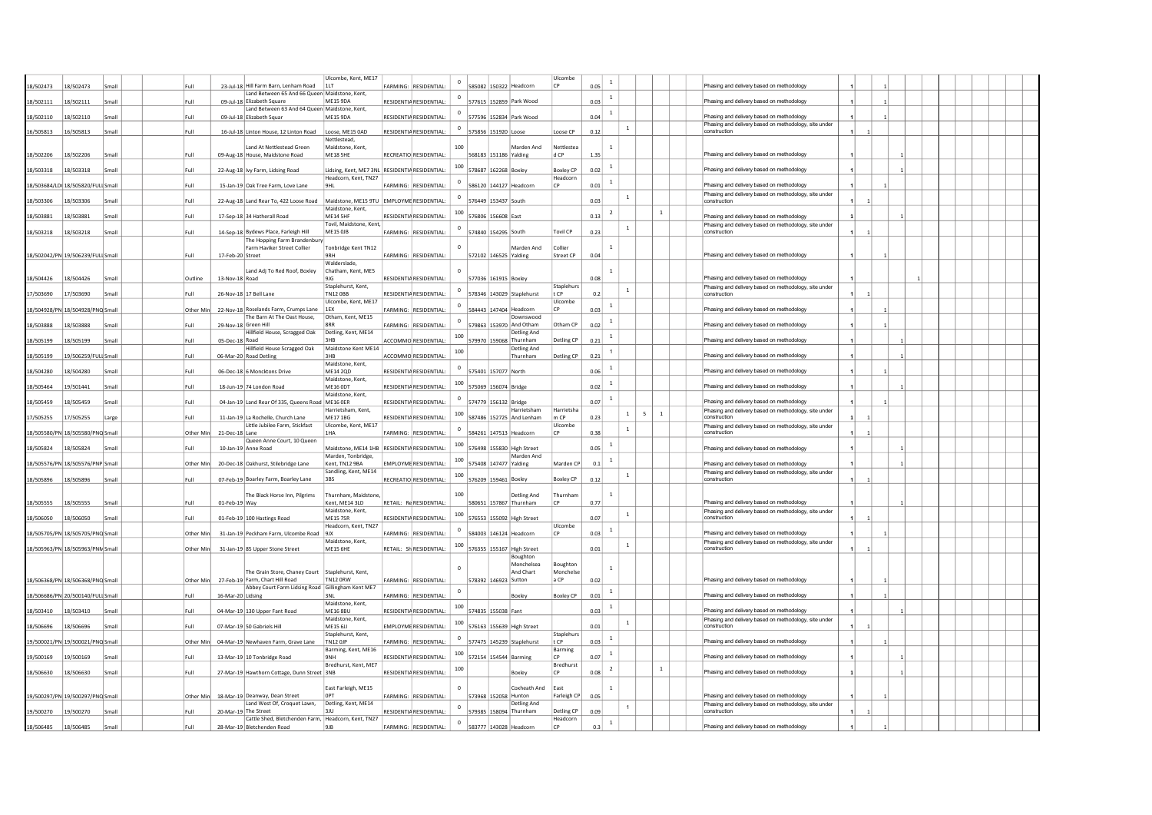|           |                                   |       |           |                   |                                                                             | Ulcombe, Kent, ME17                                                 |                         |                         |                       |             |                                         | Ulcombe                |      |                |                       |              |                                                                                                    |                |  |  |  |
|-----------|-----------------------------------|-------|-----------|-------------------|-----------------------------------------------------------------------------|---------------------------------------------------------------------|-------------------------|-------------------------|-----------------------|-------------|-----------------------------------------|------------------------|------|----------------|-----------------------|--------------|----------------------------------------------------------------------------------------------------|----------------|--|--|--|
| 8/502473  | 18/502473                         | Smal  | Full      |                   | 23-Jul-18 Hill Farm Barn, Lenham Road                                       | 11T                                                                 | FARMING: RESIDENTIAL:   |                         |                       |             | 585082 150322 Headcorn                  | <b>CP</b>              | 0.05 | <sup>1</sup>   |                       |              | Phasing and delivery based on methodology                                                          |                |  |  |  |
|           |                                   |       |           |                   | Land Between 65 And 66 Queen Maidstone, Kent,                               |                                                                     |                         |                         |                       |             |                                         |                        |      | <sup>1</sup>   |                       |              |                                                                                                    |                |  |  |  |
| 8/502111  | 18/502111                         | Smal  | Full      |                   | 09-Jul-18 Elizabeth Square<br>Land Between 63 And 64 Queen Maidstone, Kent, | <b>ME15 9DA</b>                                                     | RESIDENTIA RESIDENTIAL  |                         |                       |             | 577615 152859 Park Wood                 |                        | 0.03 |                |                       |              | Phasing and delivery based on methodology                                                          |                |  |  |  |
| 8/502110  | 18/502110                         | Smal  | Full      |                   | 09-Jul-18 Elizabeth Squar                                                   | ME15 9DA                                                            | RESIDENTIA RESIDENTIAL: |                         |                       |             | 577596 152834 Park Wood                 |                        | 0.04 | $\mathbf{1}$   |                       |              | Phasing and delivery based on methodology                                                          |                |  |  |  |
|           |                                   |       |           |                   |                                                                             |                                                                     |                         |                         |                       |             |                                         |                        |      |                | $\mathbf{1}$          |              | Phasing and delivery based on methodology, site under                                              |                |  |  |  |
| 6/505813  | 16/505813                         | Smal  | Full      |                   | 16-Jul-18 Linton House, 12 Linton Road                                      | Loose, ME15 0AD<br>Nettlestead,                                     | RESIDENTIA RESIDENTIAL: |                         | 575856 151920 Loose   |             |                                         | Loose CP               | 0.12 |                |                       |              | construction                                                                                       | $\overline{1}$ |  |  |  |
|           |                                   |       |           |                   | Land At Nettlestead Green                                                   | Maidstone, Kent.                                                    |                         | 100                     |                       |             | Marden And                              | Nettlestea             |      | $\overline{1}$ |                       |              |                                                                                                    |                |  |  |  |
| 18/502206 | 18/502206                         | Smal  | Full      |                   | 09-Aug-18 House, Maidstone Road                                             | <b>ME18 5HE</b>                                                     | RECREATIO RESIDENTIAL:  |                         | 568183 151186 Yalding |             |                                         | d CP                   | 1.35 |                |                       |              | Phasing and delivery based on methodology                                                          |                |  |  |  |
| 18/503318 | 18/503318                         | Smal  | Full      |                   |                                                                             | Lidsing, Kent, ME7 3NL RESIDENTIA RESIDENTIAL:                      |                         | 100                     | 578687 162268 Boxley  |             |                                         | <b>Boxley CP</b>       | 0.02 | $\mathbf{1}$   |                       |              | Phasing and delivery based on methodology                                                          |                |  |  |  |
|           |                                   |       |           |                   | 22-Aug-18 Ivy Farm, Lidsing Road                                            | Headcorn, Kent, TN27                                                |                         |                         |                       |             |                                         | Headcorr               |      |                |                       |              |                                                                                                    |                |  |  |  |
|           | 18/503684/LD( 18/505820/FULI Smal |       | Full      |                   | 15-Jan-19 Oak Tree Farm, Love Lane                                          | 9HL                                                                 | ARMING: RESIDENTIAL     |                         |                       |             | 586120 144127 Headcorr                  |                        | 0.01 | <sup>1</sup>   |                       |              | Phasing and delivery based on methodology                                                          |                |  |  |  |
|           |                                   |       |           |                   |                                                                             |                                                                     |                         |                         |                       |             |                                         |                        |      |                | $\mathbf{1}$          |              | Phasing and delivery based on methodology, site under<br>construction                              |                |  |  |  |
| 8/503306  | 18/503306                         | Smal  | Full      |                   | 22-Aug-18 Land Rear To, 422 Loose Road                                      | Maidstone, ME15 9TU EMPLOYME RESIDENTIAL:<br>Maidstone, Kent.       |                         |                         | 576449 153437 South   |             |                                         |                        | 0.03 |                |                       |              |                                                                                                    |                |  |  |  |
| 8/503881  | 18/503881                         | Smal  | Full      |                   | 17-Sep-18 34 Hatherall Road                                                 | ME14 5HF                                                            | RESIDENTIA RESIDENTIAL: | 100                     | 576806                | 156608 East |                                         |                        | 0.13 | $\overline{2}$ |                       | 1            | Phasing and delivery based on methodology                                                          |                |  |  |  |
|           |                                   |       |           |                   |                                                                             | Tovil, Maidstone, Kent.<br>ME15 OJB                                 |                         | $\circ$                 |                       |             |                                         | <b>Tovil CP</b>        |      |                | $\mathbf{1}$          |              | Phasing and delivery based on methodology, site under<br>construction                              |                |  |  |  |
| 8/503218  | 18/503218                         | Smal  | Full      |                   | 14-Sep-18 Bydews Place, Farleigh Hill<br>The Hopping Farm Brandenbury       |                                                                     | FARMING: RESIDENTIAL:   |                         | 574840 154295 South   |             |                                         |                        | 0.23 |                |                       |              |                                                                                                    |                |  |  |  |
|           |                                   |       |           |                   | Farm Haviker Street Collier                                                 | Tonbridge Kent TN12                                                 |                         | $\Omega$                |                       |             | Marden And                              | Collier                |      |                |                       |              |                                                                                                    |                |  |  |  |
|           | 18/502042/PN 19/506239/FULI Small |       | Eull      | 17-Feb-20 Street  |                                                                             | 9RH                                                                 | FARMING: RESIDENTIAL:   |                         | 572102 146525 Yalding |             |                                         | Street CP              | 0.04 |                |                       |              | Phasing and delivery based on methodology                                                          |                |  |  |  |
|           |                                   |       |           |                   | Land Adj To Red Roof, Boxley                                                | Walderslade<br>Chatham, Kent, ME5                                   |                         |                         |                       |             |                                         |                        |      | $\mathbf{1}$   |                       |              |                                                                                                    |                |  |  |  |
| 8/504426  | 18/504426                         | Smal  | Outline   | 13-Nov-18 Road    |                                                                             | 9JG                                                                 | RESIDENTIA RESIDENTIAL: |                         | 577036 161915 Boxley  |             |                                         |                        | 0.08 |                |                       |              | Phasing and delivery based on methodology                                                          |                |  |  |  |
|           |                                   |       |           |                   |                                                                             | Staplehurst, Kent,                                                  |                         | $^{\circ}$              |                       |             |                                         | Staplehurs             |      |                | $\mathbf{1}$          |              | Phasing and delivery based on methodology, site under                                              |                |  |  |  |
| 7/503690  | 17/503690                         | Smal  | Full      |                   | 26-Nov-18 17 Bell Lane                                                      | <b>TN12 OBB</b><br>Ulcombe, Kent, ME17                              | RESIDENTIA RESIDENTIAL: |                         |                       |             | 578346 143029 Staplehurst               | t CP<br>Ulcombe        | 0.2  |                |                       |              | construction                                                                                       |                |  |  |  |
|           | 8/504928/PN 18/504928/PNQ Smal    |       | Other Min |                   | 22-Nov-18 Roselands Farm, Crumps Lane                                       | 1EX                                                                 | FARMING: RESIDENTIAL:   | $\Omega$                |                       |             | 584443 147404 Headcorn                  |                        | 0.03 |                |                       |              | Phasing and delivery based on methodology                                                          |                |  |  |  |
|           |                                   |       |           |                   | The Barn At The Oast House,                                                 | Otham, Kent, ME15                                                   |                         | $\Omega$                |                       |             | Downswood                               |                        |      | $\overline{1}$ |                       |              |                                                                                                    |                |  |  |  |
| 8/503888  | 18/503888                         | Smal  | Full      |                   | 29-Nov-18 Green Hill<br>Hillfield House, Scragged Oak                       | 8RR<br>Detling, Kent, ME14                                          | FARMING: RESIDENTIAL:   |                         |                       |             | 579863 153970 And Otham<br>Detling And  | Otham CP               | 0.02 |                |                       |              | Phasing and delivery based on methodology                                                          |                |  |  |  |
| 8/505199  | 18/505199                         | Smal  | Full      | 05-Dec-18 Road    |                                                                             | 3HB                                                                 | ACCOMMO RESIDENTIAL:    | 100                     |                       |             | 579970 159068 Thurnham                  | Detling CP             | 0.21 | $\overline{1}$ |                       |              | Phasing and delivery based on methodology                                                          |                |  |  |  |
|           |                                   |       |           |                   | Hillfield House Scragged Oak                                                | Maidstone Kent ME14                                                 |                         | 100                     |                       |             | Detling And                             |                        |      | $\overline{1}$ |                       |              |                                                                                                    |                |  |  |  |
| 8/505199  | 19/506259/FULLSmal                |       | Full      |                   | 06-Mar-20 Road Detling                                                      | 3HB<br>Maidstone, Kent.                                             | ACCOMMO RESIDENTIAL:    |                         |                       |             | Thurnham                                | Detling CP             | 0.21 |                |                       |              | Phasing and delivery based on methodology                                                          |                |  |  |  |
| 8/504280  | 18/504280                         | Smal  | Full      |                   | 06-Dec-18 6 Moncktons Drive                                                 | ME14 20D                                                            | RESIDENTIA RESIDENTIAL: | $^{\circ}$              | 575401 157077 North   |             |                                         |                        | 0.06 | <sup>1</sup>   |                       |              | Phasing and delivery based on methodology                                                          |                |  |  |  |
|           |                                   |       |           |                   |                                                                             | Maidstone, Kent.                                                    |                         | 100                     |                       |             |                                         |                        |      | $\mathbf{1}$   |                       |              |                                                                                                    |                |  |  |  |
| 8/505464  | 19/501441                         | Smal  | Full      |                   | 18-Jun-19 74 London Road                                                    | <b>ME16 ODT</b><br>Maidstone, Kent.                                 | RESIDENTIA RESIDENTIAL: |                         | 575069 156074 Bridge  |             |                                         |                        | 0.02 |                |                       |              | Phasing and delivery based on methodology                                                          |                |  |  |  |
| 8/505459  | 18/505459                         | Smal  | Full      |                   | 04-Jan-19 Land Rear Of 335, Queens Road ME16 OER                            |                                                                     | RESIDENTIA RESIDENTIAL: | $\circ$                 | 574779 156132 Bridge  |             |                                         |                        | 0.07 | <sup>1</sup>   |                       |              | Phasing and delivery based on methodology                                                          |                |  |  |  |
|           |                                   |       |           |                   |                                                                             | Harrietsham, Kent.                                                  |                         | 100                     |                       |             | Harrietsham                             | Harrietsha             |      |                | $\mathbf{1}$<br>$5 -$ | <sup>1</sup> | Phasing and delivery based on methodology, site under                                              |                |  |  |  |
| 17/505255 | 17/505255                         | Large | Full      |                   | 11-Jan-19 La Rochelle, Church Lane<br>Little Jubilee Farm, Stickfast        | <b>ME17 1BG</b><br>Ulcombe, Kent, ME17                              | RESIDENTIA RESIDENTIAL: |                         |                       |             | 587486 152725 And Lenham                | m CP<br>Ulcombe        | 0.23 |                |                       |              | construction<br>Phasing and delivery based on methodology, site under                              |                |  |  |  |
|           | 18/505580/PN 18/505580/PNQ Smal   |       | Other Mir | 21-Dec-18 Lane    |                                                                             | 1HA                                                                 | FARMING: RESIDENTIAL:   | $^{\circ}$              |                       |             | 584261 147513 Headcorn                  |                        | 0.38 |                | $\mathbf{1}$          |              | construction                                                                                       |                |  |  |  |
|           |                                   |       |           |                   | Queen Anne Court, 10 Queen                                                  |                                                                     |                         | 100                     |                       |             |                                         |                        |      |                |                       |              |                                                                                                    |                |  |  |  |
| 18/505824 | 18/505824                         | Smal  | Full      |                   | 10-Jan-19 Anne Road                                                         | Maidstone, ME14 1HB   RESIDENTIA RESIDENTIAL:<br>Marden, Tonbridge. |                         |                         |                       |             | 576498 155830 High Street<br>Marden And |                        | 0.05 |                |                       |              | Phasing and delivery based on methodology                                                          |                |  |  |  |
|           | 8/505576/PN 18/505576/PNP Small   |       | Other Mir |                   | 20-Dec-18 Oakhurst, Stilebridge Lane                                        | Kent, TN12 9BA                                                      | EMPLOYME RESIDENTIAL:   | 100                     | 575408 147477 Yalding |             |                                         | Marden CF              | 0.1  | -1             |                       |              | Phasing and delivery based on methodology                                                          |                |  |  |  |
|           |                                   |       |           |                   |                                                                             | Sandling, Kent, ME14                                                |                         | 100                     |                       |             |                                         |                        |      |                | 1                     |              | Phasing and delivery based on methodology, site under                                              |                |  |  |  |
| 8/505896  | 18/505896                         | Smal  | Full      |                   | 07-Feb-19 Boarley Farm, Boarley Lane                                        | 3BS                                                                 | RECREATIO RESIDENTIAL:  |                         | 576209 159461 Boxley  |             |                                         | <b>Boxley CP</b>       | 0.12 |                |                       |              | construction                                                                                       | $\overline{1}$ |  |  |  |
|           |                                   |       |           |                   | The Black Horse Inn, Pilgrims                                               | Thurnham, Maidstone,                                                |                         | 100                     |                       |             | Detling And                             | hurnham                |      |                |                       |              |                                                                                                    |                |  |  |  |
| 18/505555 | 18/505555                         | Small | Full      | 01-Feb-19 Way     |                                                                             | Kent, ME14 3LD                                                      | RETAIL: Re RESIDENTIAL  |                         |                       |             | 580651 157867 Thurnham                  |                        | 0.77 |                |                       |              | Phasing and delivery based on methodology                                                          |                |  |  |  |
| 8/506050  | 18/506050                         | Small | Full      |                   | 01-Feb-19 100 Hastings Road                                                 | Maidstone, Kent,<br><b>ME15 7SR</b>                                 | RESIDENTIA RESIDENTIAL: | 100                     |                       |             | 576553 155092 High Street               |                        | 0.07 |                | $\mathbf{1}$          |              | Phasing and delivery based on methodology, site under<br>construction                              |                |  |  |  |
|           |                                   |       |           |                   |                                                                             | Headcorn, Kent, TN27                                                |                         |                         |                       |             |                                         | Ulcombe                |      |                |                       |              |                                                                                                    |                |  |  |  |
|           | 8/505705/PN 18/505705/PNQ Smal    |       | Other Mir |                   | 31-Jan-19 Peckham Farm, Ulcombe Road 9JX                                    |                                                                     | FARMING: RESIDENTIAL    | $\overline{\mathbf{0}}$ |                       |             | 584003 146124 Headcorn                  | <b>CP</b>              | 0.03 |                |                       |              | Phasing and delivery based on methodology                                                          |                |  |  |  |
|           | 8/505963/PN 18/505963/PNN Small   |       | Other Min |                   | 31-Jan-19 85 Upper Stone Street                                             | Maidstone, Kent,<br><b>ME15 6HE</b>                                 | RETAIL: Sh RESIDENTIAL: | 100                     |                       |             | 576355 155167 High Street               |                        | 0.01 |                | $\mathbf{1}$          |              | Phasing and delivery based on methodology, site under<br>construction                              |                |  |  |  |
|           |                                   |       |           |                   |                                                                             |                                                                     |                         |                         |                       |             | Boughton                                |                        |      |                |                       |              |                                                                                                    |                |  |  |  |
|           |                                   |       |           |                   |                                                                             |                                                                     |                         |                         |                       |             | Monchelsea                              | Boughtor               |      | $\overline{1}$ |                       |              |                                                                                                    |                |  |  |  |
|           | 8/506368/PN 18/506368/PNQ Small   |       | Other Min |                   | The Grain Store, Chaney Court<br>27-Feb-19 Farm, Chart Hill Road            | Staplehurst, Kent.<br><b>TN12 ORW</b>                               | FARMING: RESIDENTIAL:   |                         | 578392 146923 Sutton  |             | And Chart                               | Monchelse<br>a CP      | 0.02 |                |                       |              | Phasing and delivery based on methodology                                                          |                |  |  |  |
|           |                                   |       |           |                   | Abbey Court Farm Lidsing Road Gillingham Kent ME7                           |                                                                     |                         | $\,$ 0                  |                       |             |                                         |                        |      | $\mathbf 1$    |                       |              |                                                                                                    |                |  |  |  |
|           | 8/506686/PN 20/500140/FULI Small  |       | Full      | 16-Mar-20 Lidsing |                                                                             | 3NL                                                                 | FARMING: RESIDENTIAL    |                         |                       |             | Boxley                                  | <b>Boxley CP</b>       | 0.01 |                |                       |              | Phasing and delivery based on methodology                                                          |                |  |  |  |
| 18/503410 | 18/503410                         | Smal  | Full      |                   | 04-Mar-19 130 Upper Fant Road                                               | Maidstone, Kent.<br><b>ME16 8BU</b>                                 | RESIDENTIA RESIDENTIAL: | 100                     | 574835 155038 Fant    |             |                                         |                        | 0.03 | $\mathbf 1$    |                       |              | Phasing and delivery based on methodology                                                          |                |  |  |  |
|           |                                   |       |           |                   |                                                                             | Maidstone, Kent.                                                    |                         | 100                     |                       |             |                                         |                        |      |                | $\,$ 1                |              | Phasing and delivery based on methodology, site under                                              |                |  |  |  |
| 18/506696 | 18/506696                         | Smal  | Full      |                   | 07-Mar-19 50 Gabriels Hill                                                  | ME15 6JJ                                                            | EMPI OYME RESIDENTIAI   |                         |                       |             | 576163 155639 High Street               |                        | 0.01 |                |                       |              | construction                                                                                       |                |  |  |  |
|           | 19/500021/PN 19/500021/PNQ Smal   |       | Other Min |                   | 04-Mar-19 Newhaven Farm, Grave Lane                                         | Staplehurst, Kent,<br>TN12 OIP                                      | FARMING: RESIDENTIAL:   |                         |                       |             | 577475 145239 Staplehurst               | Staplehurs<br>$+CP$    | 0.03 | $\mathbf{1}$   |                       |              | Phasing and delivery based on methodology                                                          |                |  |  |  |
|           |                                   |       |           |                   |                                                                             | Barming, Kent, ME16                                                 |                         |                         |                       |             |                                         | Barming                |      |                |                       |              |                                                                                                    |                |  |  |  |
| 9/500169  | 19/500169                         | Smal  | Full      |                   | 13-Mar-19 10 Tonbridge Road                                                 | 9NH                                                                 | RESIDENTIA RESIDENTIAL: | 100                     |                       |             | 572154 154544 Barming                   | <b>CD</b>              | 0.07 | <sup>1</sup>   |                       |              | Phasing and delivery based on methodology                                                          |                |  |  |  |
| 18/506630 | 18/506630                         | Smal  | Full      |                   | 27-Mar-19 Hawthorn Cottage, Dunn Street 3NB                                 | Bredhurst, Kent, ME7                                                | RESIDENTIA RESIDENTIAL: | 100                     |                       |             | Boxley                                  | Bredhurst<br><b>CP</b> | 0.08 | $\overline{2}$ |                       | <sup>1</sup> | Phasing and delivery based on methodology                                                          |                |  |  |  |
|           |                                   |       |           |                   |                                                                             |                                                                     |                         |                         |                       |             |                                         |                        |      |                |                       |              |                                                                                                    |                |  |  |  |
|           |                                   |       |           |                   |                                                                             | East Farleigh, ME15                                                 |                         | $\Omega$                |                       |             | Coxheath And                            | East                   |      | $\overline{1}$ |                       |              |                                                                                                    |                |  |  |  |
|           | 19/500297/PN 19/500297/PNQ Small  |       | Other Min |                   | 18-Mar-19 Deanway, Dean Street<br>Land West Of, Croquet Lawn,               | OPT<br>Detling, Kent, ME14                                          | FARMING: RESIDENTIAL:   |                         |                       |             | 573968 152058 Hunton<br>Detling And     | Farleigh CP            | 0.05 |                |                       |              | Phasing and delivery based on methodology<br>Phasing and delivery based on methodology, site under |                |  |  |  |
| 19/500270 | 19/500270                         | Smal  | Full      |                   | 20-Mar-19 The Street                                                        | 3JU                                                                 | RESIDENTIA RESIDENTIAL: | $\Omega$                |                       |             | 579385 158094 Thurnham                  | Detling CP             | 0.09 |                | $\mathbf{1}$          |              | construction                                                                                       |                |  |  |  |
|           |                                   |       |           |                   | Cattle Shed, Bletchenden Farm, Headcorn, Kent, TN27                         |                                                                     |                         | $\overline{\mathbf{0}}$ |                       |             |                                         | Headcorr               |      | $\overline{1}$ |                       |              |                                                                                                    |                |  |  |  |
| 18/506485 | 18/506485                         | Smal  | Full      |                   | 28-Mar-19 Bletchenden Road                                                  | $9$ JB                                                              | FARMING: RESIDENTIAL:   |                         |                       |             | 583777 143028 Headcorn                  | <b>CP</b>              | 0.3  |                |                       |              | Phasing and delivery based on methodology                                                          |                |  |  |  |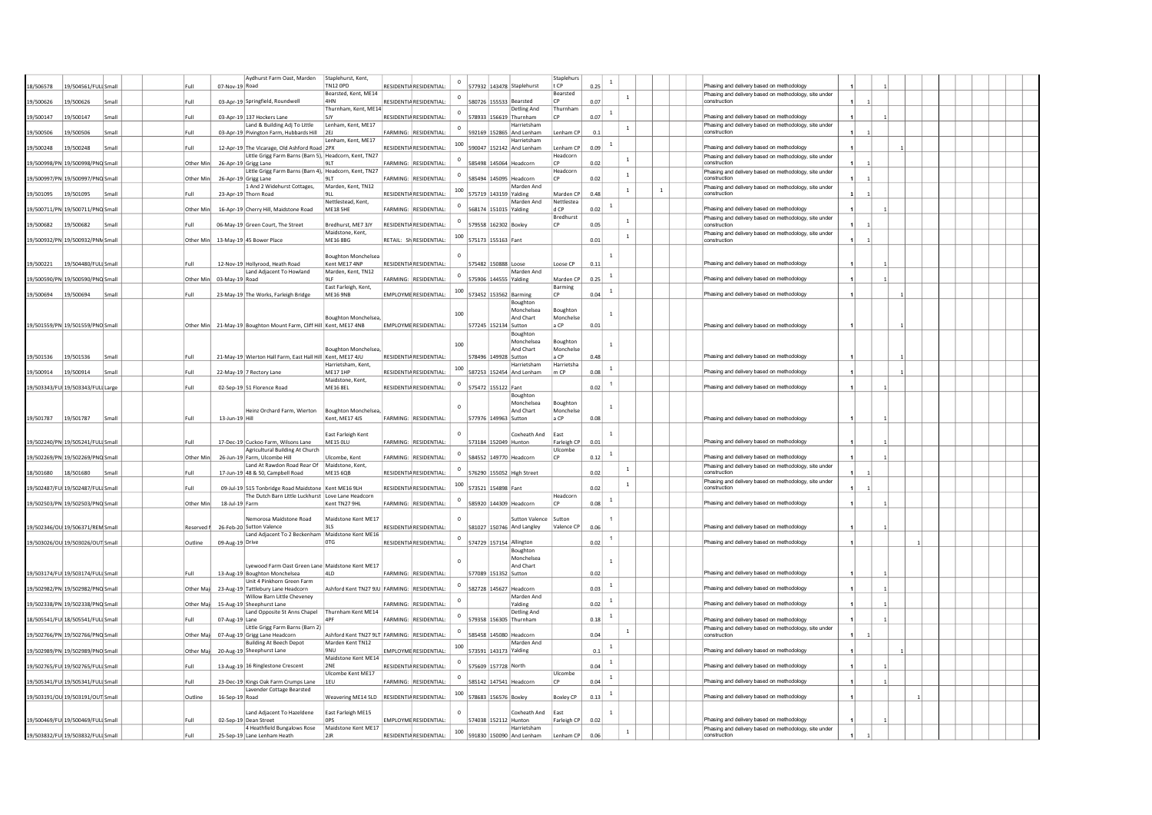| 18/506578                          |           | 19/504561/FULI Small               |  | Full       | 07-Nov-19 Road           | Aydhurst Farm Oast, Marden                                                                                   | Staplehurst, Kent,<br><b>TN12 OPD</b>                           | <b>RESIDENTIA RESIDENTIAL:</b> |              |                       | 577932 143478 Staplehurst                          | Staplehurs<br>t CP      | 0.25 | $\mathbf{1}$   |              | Phasing and delivery based on methodology                             |  |              |  |  |  |
|------------------------------------|-----------|------------------------------------|--|------------|--------------------------|--------------------------------------------------------------------------------------------------------------|-----------------------------------------------------------------|--------------------------------|--------------|-----------------------|----------------------------------------------------|-------------------------|------|----------------|--------------|-----------------------------------------------------------------------|--|--------------|--|--|--|
|                                    |           |                                    |  |            |                          |                                                                                                              | Bearsted, Kent, ME14                                            |                                | $\circ$      |                       |                                                    | Bearsted                |      | $\,$ 1         |              | Phasing and delivery based on methodology, site under                 |  |              |  |  |  |
| 19/500626                          | 19/500626 | Small                              |  | Full       |                          | 03-Apr-19 Springfield, Roundwell                                                                             | 4HN<br>Thurnham, Kent, ME14                                     | RESIDENTIA RESIDENTIAL:        |              |                       | 580726 155533 Bearsted<br>Detling And              | Thurnhan                | 0.07 |                |              | construction                                                          |  |              |  |  |  |
| 19/500147                          | 19/500147 | Small                              |  | Full       |                          | 03-Apr-19 137 Hockers Lane                                                                                   | 5JY                                                             | RESIDENTIA RESIDENTIAL:        | $^{\circ}$   |                       | 578933 156619 Thurnham                             |                         | 0.07 | $\overline{1}$ |              | Phasing and delivery based on methodology                             |  |              |  |  |  |
|                                    |           |                                    |  |            |                          | Land & Building Adj To Little                                                                                | Lenham, Kent, ME17                                              |                                | $^{\circ}$   |                       | Harrietsham                                        |                         |      | $\mathbf{1}$   |              | Phasing and delivery based on methodology, site under                 |  |              |  |  |  |
| 19/500506                          | 19/500506 | Small                              |  | Full       |                          | 03-Apr-19 Pivington Farm, Hubbards Hill 2EJ                                                                  | Lenham, Kent, ME17                                              | FARMING: RESIDENTIAL:          |              |                       | 592169 152865 And Lenham<br>Harrietsham            | Lenham CP               | 0.1  |                |              | construction                                                          |  |              |  |  |  |
| 19/500248                          | 19/500248 | Small                              |  | Full       |                          | 12-Apr-19 The Vicarage, Old Ashford Road 2PX                                                                 |                                                                 | RESIDENTIA RESIDENTIAL:        | 100          |                       | 590047 152142 And Lenham                           | Lenham CP               | 0.09 | $\overline{1}$ |              | Phasing and delivery based on methodology                             |  |              |  |  |  |
|                                    |           |                                    |  |            |                          | Little Grigg Farm Barns (Barn 5), Headcorn, Kent, TN27                                                       |                                                                 |                                | $\circ$      |                       |                                                    | Headcorn                |      | $\mathbf{1}$   |              | Phasing and delivery based on methodology, site under                 |  |              |  |  |  |
| 19/500998/PN 19/500998/PNQ Small   |           |                                    |  | Other Min  |                          | 26-Apr-19 Grigg Lane<br>Little Grigg Farm Barns (Barn 4), Headcorn, Kent, TN27                               | 9LT                                                             | FARMING: RESIDENTIAL:          |              |                       | 585498 145064 Headcorn                             | Headcorn                | 0.02 |                |              | construction                                                          |  |              |  |  |  |
| 19/500997/PN 19/500997/PNQ Small   |           |                                    |  | Other Min  |                          | 26-Apr-19 Grigg Lane                                                                                         | 9LT                                                             | FARMING: RESIDENTIAL           | $^{\circ}$   |                       | 585494 145095 Headcorn                             |                         | 0.02 | $\mathbf{1}$   |              | Phasing and delivery based on methodology, site under<br>construction |  |              |  |  |  |
|                                    |           |                                    |  |            |                          | 1 And 2 Widehurst Cottages,                                                                                  | Marden, Kent, TN12                                              |                                | 100          |                       | Marden And                                         |                         |      | $\mathbf{1}$   | $\mathbf{1}$ | Phasing and delivery based on methodology, site under                 |  |              |  |  |  |
| 19/501095                          | 19/501095 | Small                              |  | Full       |                          | 23-Apr-19 Thorn Road                                                                                         | 9LL<br>Nettlestead, Kent.                                       | RESIDENTIA RESIDENTIAL:        |              |                       | 575719 143159 Yalding<br>Marden And                | Marden CP<br>Nettlestea | 0.48 |                |              | construction                                                          |  |              |  |  |  |
| 19/500711/PN 19/500711/PNQ Small   |           |                                    |  | Other Min  |                          | 16-Apr-19 Cherry Hill, Maidstone Road                                                                        | ME18 5HE                                                        | FARMING: RESIDENTIAL           | $\mathbf{0}$ | 568174 151015 Yalding |                                                    | d CP                    | 0.02 |                |              | Phasing and delivery based on methodology                             |  |              |  |  |  |
|                                    |           |                                    |  |            |                          |                                                                                                              |                                                                 |                                | $\mathbf 0$  |                       |                                                    | Bredhurst               |      | $\,$ 1 $\,$    |              | Phasing and delivery based on methodology, site under                 |  |              |  |  |  |
| 19/500682                          | 19/500682 | Small                              |  | Full       |                          | 06-May-19 Green Court, The Street                                                                            | Bredhurst, ME7 3JY<br>Maidstone, Kent,                          | RESIDENTIA RESIDENTIAL         |              | 579558 162302 Boxley  |                                                    |                         | 0.05 |                |              | construction<br>Phasing and delivery based on methodology, site under |  |              |  |  |  |
| 19/500932/PN 19/500932/PNN Small   |           |                                    |  | Other Min  |                          | 13-May-19 45 Bower Place                                                                                     | <b>MF16 8BG</b>                                                 | RETAIL: SHRESIDENTIAL          | 100          | 575173 155163 Fant    |                                                    |                         | 0.01 | $\,$ 1         |              | construction                                                          |  |              |  |  |  |
|                                    |           |                                    |  |            |                          |                                                                                                              |                                                                 |                                |              |                       |                                                    |                         |      |                |              |                                                                       |  |              |  |  |  |
| 19/500221                          |           | 19/504480/FULI Small               |  | Full       |                          | 12-Nov-19 Hollyrood, Heath Road                                                                              | <b>Boughton Monchelsea</b><br>Kent ME17 4NP                     | RESIDENTIA RESIDENTIAL:        |              | 575482 150888 Loose   |                                                    | Loose CP                | 0.11 | $\mathbf{1}$   |              | Phasing and delivery based on methodology                             |  |              |  |  |  |
|                                    |           |                                    |  |            |                          | Land Adjacent To Howland                                                                                     | Marden, Kent, TN12                                              |                                | $\circ$      |                       | Marden And                                         |                         |      | <sup>1</sup>   |              |                                                                       |  |              |  |  |  |
| 19/500590/PN 19/500590/PNQ Small   |           |                                    |  |            | Other Min 03-May-19 Road |                                                                                                              | 91F<br>East Farleigh, Kent,                                     | FARMING: RESIDENTIAL:          |              | 575906 144555 Yalding |                                                    | Marden CP               | 0.25 |                |              | Phasing and delivery based on methodology                             |  |              |  |  |  |
| 19/500694                          | 19/500694 | Small                              |  | Full       |                          | 23-May-19 The Works, Farleigh Bridge                                                                         | <b>ME16 9NB</b>                                                 | EMPLOYME RESIDENTIAL:          | 100          |                       | 573452 153562 Barming                              | Barming<br>$\Gamma$     | 0.04 | $\mathbf{1}$   |              | Phasing and delivery based on methodology                             |  |              |  |  |  |
|                                    |           |                                    |  |            |                          |                                                                                                              |                                                                 |                                |              |                       | Boughton                                           |                         |      |                |              |                                                                       |  |              |  |  |  |
|                                    |           |                                    |  |            |                          |                                                                                                              |                                                                 |                                | 100          |                       | Monchelsea<br>And Chart                            | Boughton<br>Monchelse   |      | $\overline{1}$ |              |                                                                       |  |              |  |  |  |
| 19/501559/PN 19/501559/PNO Small   |           |                                    |  |            |                          | Other Min 21-May-19 Boughton Mount Farm, Cliff Hill Kent, ME17 4NB                                           | <b>Boughton Monchelsea</b>                                      | <b>EMPLOYME RESIDENTIAL</b>    |              | 577245 152134 Sutton  |                                                    | a CP                    | 0.01 |                |              | Phasing and delivery based on methodology                             |  |              |  |  |  |
|                                    |           |                                    |  |            |                          |                                                                                                              |                                                                 |                                |              |                       | Boughton                                           |                         |      |                |              |                                                                       |  |              |  |  |  |
|                                    |           |                                    |  |            |                          |                                                                                                              | Boughton Monchelsea,                                            |                                | 100          |                       | Monchelsea<br>And Chart                            | Boughton<br>Monchelse   |      | $\overline{1}$ |              |                                                                       |  |              |  |  |  |
| 19/501536                          | 19/501536 | Small                              |  | Full       |                          | 21-May-19 Wierton Hall Farm, East Hall Hill Kent, ME17 4JU                                                   |                                                                 | <b>RESIDENTIA RESIDENTIAL</b>  |              | 578496 149928 Sutton  |                                                    | a CP                    | 0.48 |                |              | Phasing and delivery based on methodology                             |  |              |  |  |  |
|                                    |           |                                    |  |            |                          |                                                                                                              | Harrietsham, Kent,                                              |                                | 100          |                       | Harrietsham                                        | Harrietsha              |      | $\mathbf{1}$   |              |                                                                       |  |              |  |  |  |
| 19/500914                          | 19/500914 | Small                              |  | Full       |                          | 22-May-19 7 Rectory Lane                                                                                     | <b>MF171HP</b><br>Maidstone, Kent,                              | <b>RESIDENTIA RESIDENTIAL:</b> |              |                       | 587253 152454 And Lenham                           | m CP                    | 0.08 |                |              | Phasing and delivery based on methodology                             |  |              |  |  |  |
| 19/503343/FUI 19/503343/FULI Large |           |                                    |  | Full       |                          | 02-Sep-19 51 Florence Road                                                                                   | <b>MF16 8FI</b>                                                 | <b>RESIDENTIA RESIDENTIAL:</b> |              | 575472 155122 Fant    |                                                    |                         | 0.02 | $\overline{1}$ |              | Phasing and delivery based on methodology                             |  |              |  |  |  |
|                                    |           |                                    |  |            |                          |                                                                                                              |                                                                 |                                |              |                       | Boughton                                           |                         |      |                |              |                                                                       |  |              |  |  |  |
|                                    |           |                                    |  |            |                          | Heinz Orchard Farm, Wierton                                                                                  | Boughton Monchelsea,                                            |                                |              |                       | Monchelsea<br>And Chart                            | Boughton<br>Monchelse   |      | $\mathbf{1}$   |              |                                                                       |  |              |  |  |  |
| 19/501787                          | 19/501787 | Small                              |  | Full       | 13-Jun-19 Hill           |                                                                                                              | Kent. ME17 4JS                                                  | FARMING: RESIDENTIAL:          |              | 577976 149963 Sutton  |                                                    | a CP                    | 0.08 |                |              | Phasing and delivery based on methodology                             |  |              |  |  |  |
|                                    |           |                                    |  |            |                          |                                                                                                              |                                                                 |                                |              |                       |                                                    |                         |      |                |              |                                                                       |  |              |  |  |  |
| 19/502240/PN 19/505241/FULI Small  |           |                                    |  | Full       |                          | 17-Dec-19 Cuckoo Farm, Wilsons Lane                                                                          | East Farleigh Kent<br><b>ME15 OLU</b>                           | FARMING: RESIDENTIAL:          |              |                       | Coxheath And<br>573184 152049 Hunton               | East<br>Farleigh CP     | 0.01 |                |              | Phasing and delivery based on methodology                             |  |              |  |  |  |
|                                    |           |                                    |  |            |                          | Agricultural Building At Church                                                                              |                                                                 |                                | $^{\circ}$   |                       |                                                    | Ulcombe                 |      | $\mathbf{1}$   |              |                                                                       |  |              |  |  |  |
| 19/502269/PN 19/502269/PNQ Small   |           |                                    |  | Other Min  |                          | 26-Jun-19 Farm, Ulcombe Hill                                                                                 | Ulcombe, Kent                                                   | FARMING: RESIDENTIAL           |              |                       | 584552 149770 Headcorn                             |                         | 0.12 |                |              | Phasing and delivery based on methodology                             |  |              |  |  |  |
| 18/501680                          | 18/501680 | Small                              |  | Full       |                          | Land At Rawdon Road Rear Of<br>17-Jun-19 48 & 50, Campbell Road                                              | Maidstone, Kent,<br><b>ME15 6OB</b>                             | <b>RESIDENTIA RESIDENTIAL</b>  |              |                       | 576290 155052 High Street                          |                         | 0.02 | $\,$ 1         |              | Phasing and delivery based on methodology, site under<br>construction |  |              |  |  |  |
|                                    |           |                                    |  |            |                          |                                                                                                              |                                                                 |                                | 100          |                       |                                                    |                         |      | $\mathbf{1}$   |              | Phasing and delivery based on methodology, site under                 |  |              |  |  |  |
| 19/502487/FUI 19/502487/FULI Small |           |                                    |  | Full       |                          | 09-Jul-19 515 Tonbridge Road Maidstone   Kent ME16 9LH<br>The Dutch Barn Little Luckhurst Love Lane Headcorn |                                                                 | <b>RESIDENTIA RESIDENTIAL:</b> |              | 573521 154898 Fant    |                                                    | Headcorn                | 0.02 |                |              | construction                                                          |  |              |  |  |  |
| 19/502503/PN 19/502503/PNQ Small   |           |                                    |  | Other Min  | 18-Jul-19 Farm           |                                                                                                              | Kent TN27 9HL                                                   | FARMING: RESIDENTIAL:          | $\mathbf 0$  |                       | 585920 144309 Headcorn                             | <b>CP</b>               | 0.08 | $\overline{1}$ |              | Phasing and delivery based on methodology                             |  |              |  |  |  |
|                                    |           |                                    |  |            |                          |                                                                                                              |                                                                 |                                |              |                       |                                                    |                         |      |                |              |                                                                       |  |              |  |  |  |
| 19/502346/OU 19/506371/REN Small   |           |                                    |  |            |                          | Nemorosa Maidstone Road<br>26-Feb-20 Sutton Valence                                                          | Maidstone Kent ME17<br>315                                      | RESIDENTIA RESIDENTIAL:        |              |                       | <b>Sutton Valence</b><br>581027 150746 And Langley | Sutton<br>Valence CP    | 0.06 |                |              | Phasing and delivery based on methodology                             |  |              |  |  |  |
|                                    |           |                                    |  | Reserved I |                          | Land Adjacent To 2 Beckenham Maidstone Kent ME16                                                             |                                                                 |                                |              |                       |                                                    |                         |      |                |              |                                                                       |  |              |  |  |  |
| 19/503026/OU 19/503026/OUT Small   |           |                                    |  | Outline    | 09-Aug-19 Drive          |                                                                                                              | or                                                              | RESIDENTIA RESIDENTIAL:        | $^{\circ}$   |                       | 574729 157154 Allington                            |                         | 0.02 | $\overline{1}$ |              | Phasing and delivery based on methodology                             |  |              |  |  |  |
|                                    |           |                                    |  |            |                          |                                                                                                              |                                                                 |                                |              |                       | Boughton<br>Monchelsea                             |                         |      |                |              |                                                                       |  |              |  |  |  |
|                                    |           |                                    |  |            |                          | Lyewood Farm Oast Green Lane Maidstone Kent ME17                                                             |                                                                 |                                |              |                       | And Chart                                          |                         |      | $\overline{1}$ |              |                                                                       |  |              |  |  |  |
| 19/503174/FUI 19/503174/FULI Small |           |                                    |  | Full       |                          | 13-Aug-19 Boughton Monchelsea                                                                                | 41 D                                                            | <b>FARMING: RESIDENTIAL:</b>   |              | 577089 151352 Sutton  |                                                    |                         | 0.02 |                |              | Phasing and delivery based on methodology                             |  |              |  |  |  |
| 19/502982/PN 19/502982/PNO Small   |           |                                    |  | Other Ma   |                          | Unit 4 Pinkhorn Green Farm<br>23-Aug-19 Tattlebury Lane Headcorn                                             | Ashford Kent TN27 9JU FARMING: RESIDENTIAL:                     |                                |              |                       | 582728 145627 Headcorn                             |                         | 0.03 | <sup>1</sup>   |              | Phasing and delivery based on methodology                             |  | $\mathbf{1}$ |  |  |  |
|                                    |           |                                    |  |            |                          | Willow Barn Little Cheveney                                                                                  |                                                                 |                                | $\Omega$     |                       | Marden And                                         |                         |      | $\overline{1}$ |              |                                                                       |  |              |  |  |  |
| 19/502338/PN 19/502338/PNQ Small   |           |                                    |  | Other Mai  |                          | 15-Aug-19 Sheephurst Lane                                                                                    |                                                                 | FARMING: RESIDENTIAL:          |              |                       | Yalding                                            |                         | 0.02 |                |              | Phasing and delivery based on methodology                             |  |              |  |  |  |
| 18/505541/FUI 18/505541/FULI Small |           |                                    |  | Full       | 07-Aug-19 Lane           | Land Opposite St Anns Chapel Thurnham Kent ME14                                                              | 4PF                                                             | <b>FARMING: RESIDENTIAL:</b>   | $\,0\,$      |                       | Detling And<br>579358 156305 Thurnham              |                         | 0.18 | $\mathbf{1}$   |              | Phasing and delivery based on methodology                             |  |              |  |  |  |
|                                    |           |                                    |  |            |                          | Little Grigg Farm Barns (Barn 2)                                                                             |                                                                 |                                | $^{\circ}$   |                       |                                                    |                         |      | $\mathbf{1}$   |              | Phasing and delivery based on methodology, site under                 |  |              |  |  |  |
| 19/502766/PN 19/502766/PNQ Small   |           |                                    |  | Other Mai  |                          | 07-Aug-19 Grigg Lane Headcorn                                                                                | Ashford Kent TN27 9LT FARMING: RESIDENTIAL:<br>Marden Kent TN12 |                                |              |                       | 585458 145080 Headcorn<br>Marden And               |                         | 0.04 |                |              |                                                                       |  |              |  |  |  |
| 19/502989/PN 19/502989/PNO Small   |           |                                    |  | Other Mai  |                          | <b>Building At Beech Depot</b><br>20-Aug-19 Sheephurst Lane                                                  | <b>9NU</b>                                                      | EMPLOYME RESIDENTIAL:          | 100          |                       | 573591 143173 Yalding                              |                         | 0.1  | $\overline{1}$ |              | Phasing and delivery based on methodology                             |  |              |  |  |  |
|                                    |           |                                    |  |            |                          |                                                                                                              | Maidstone Kent MF14                                             |                                | $^{\circ}$   |                       |                                                    |                         |      | $\mathbf{1}$   |              |                                                                       |  |              |  |  |  |
| 19/502765/FUI 19/502765/FULI Small |           |                                    |  | Full       |                          | 13-Aug-19 16 Ringlestone Crescent                                                                            | 2NE<br>Ulcombe Kent ME17                                        | RESIDENTIA RESIDENTIAL         |              | 575609 157728 North   |                                                    | Ulcombe                 | 0.04 |                |              | Phasing and delivery based on methodology                             |  |              |  |  |  |
| 19/505341/FUI 19/505341/FULI Small |           |                                    |  | Full       |                          | 23-Dec-19 Kings Oak Farm Crumps Lane 1EU                                                                     |                                                                 | FARMING: RESIDENTIAL:          | $\circ$      |                       | 585142 147541 Headcorn                             | <b>CP</b>               | 0.04 | $\mathbf{1}$   |              | Phasing and delivery based on methodology                             |  |              |  |  |  |
|                                    |           |                                    |  |            |                          | Lavender Cottage Bearsted                                                                                    |                                                                 |                                | 100          |                       |                                                    |                         |      | <sup>1</sup>   |              |                                                                       |  |              |  |  |  |
| 19/503191/OU 19/503191/OUT Small   |           |                                    |  | Outline    | 16-Sep-19 Road           |                                                                                                              | Weavering ME14 5LD RESIDENTIA RESIDENTIAL:                      |                                |              | 578683 156576 Boxley  |                                                    | <b>Boxley CP</b>        | 0.13 |                |              | Phasing and delivery based on methodology                             |  |              |  |  |  |
|                                    |           |                                    |  |            |                          | Land Adjacent To Hazeldene                                                                                   | East Farleigh ME15                                              |                                |              |                       | Coxheath And                                       | East                    |      | $\mathbf{1}$   |              |                                                                       |  |              |  |  |  |
| 19/500469/FUI 19/500469/FULI Small |           |                                    |  | Full       |                          | 02-Sep-19 Dean Street                                                                                        | OPS                                                             | EMPLOYME RESIDENTIAL:          |              |                       | 574038 152112 Hunton                               | Farleigh CP             | 0.02 |                |              | Phasing and delivery based on methodology                             |  |              |  |  |  |
|                                    |           | 19/503832/FUI 19/503832/FULI Small |  | Full       |                          | 4 Heathfield Bungalows Rose<br>25-Sep-19 Lane Lenham Heath                                                   | Maidstone Kent ME17<br>2JR                                      | RESIDENTIA RESIDENTIAL:        | 100          |                       | Harrietsham<br>591830 150090 And Lenham            | Lenham CP               | 0.06 | 1              |              | Phasing and delivery based on methodology, site under<br>construction |  |              |  |  |  |
|                                    |           |                                    |  |            |                          |                                                                                                              |                                                                 |                                |              |                       |                                                    |                         |      |                |              |                                                                       |  |              |  |  |  |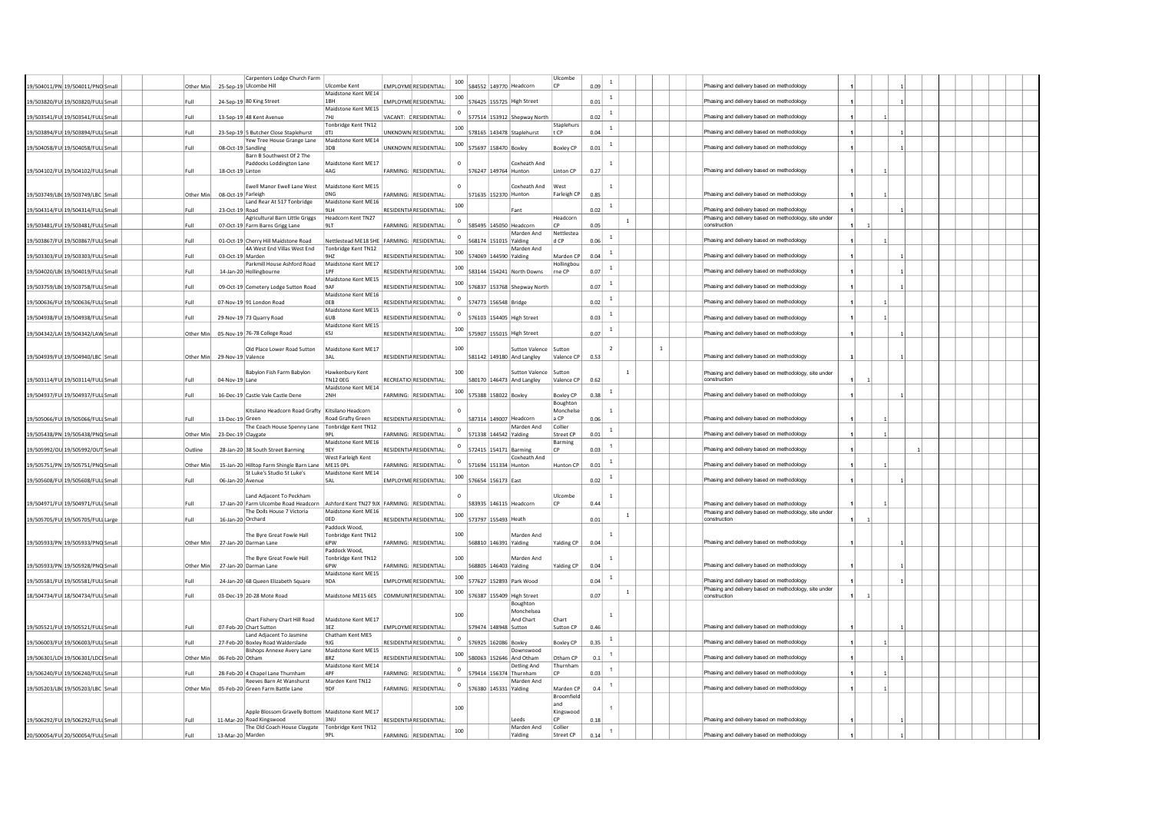|                                    |           |                    | Carpenters Lodge Church Farm                                                     |                                            |                                |                         |                       |                                      | Ulcombe                       |      |                |              |              |                                                                       |  |  |  |  |
|------------------------------------|-----------|--------------------|----------------------------------------------------------------------------------|--------------------------------------------|--------------------------------|-------------------------|-----------------------|--------------------------------------|-------------------------------|------|----------------|--------------|--------------|-----------------------------------------------------------------------|--|--|--|--|
| 19/504011/PN 19/504011/PNO Small   | Other Min |                    | 25-Sep-19 Ulcombe Hill                                                           | Ulcombe Kent                               | EMPLOYME RESIDENTIAL:          | 100                     |                       | 584552 149770 Headcorn               | CP                            | 0.09 | $\mathbf{1}$   |              |              | Phasing and delivery based on methodology                             |  |  |  |  |
|                                    |           |                    |                                                                                  | Maidstone Kent ME14                        |                                | 100                     |                       |                                      |                               |      | $\mathbf{1}$   |              |              |                                                                       |  |  |  |  |
| 19/503820/FUI 19/503820/FULI Small | Full      |                    | 24-Sep-19 80 King Street                                                         | 1 <sub>RH</sub>                            | <b>FMPI OYME RESIDENTIAL:</b>  |                         |                       | 576425 155725 High Street            |                               | 0.01 |                |              |              | Phasing and delivery based on methodology                             |  |  |  |  |
| 19/503541/FUI 19/503541/FULI Smal  | Full      |                    | 13-Sep-19 48 Kent Avenue                                                         | Maidstone Kent ME15<br><b>7HI</b>          | VACANT: FRESIDENTIAL:          | $\overline{\mathbf{0}}$ |                       | 577514 153912 Shepway North          |                               | 0.02 | $\,$ 1         |              |              | Phasing and delivery based on methodology                             |  |  |  |  |
|                                    |           |                    |                                                                                  | Tonbridge Kent TN12                        |                                |                         |                       |                                      | Staplehurs                    |      |                |              |              |                                                                       |  |  |  |  |
| 19/503894/FUI 19/503894/FULI Small | Full      |                    | 23-Sep-19 5 Butcher Close Staplehurst                                            | 0T1                                        | UNKNOWN RESIDENTIAL:           | 100                     |                       | 578165 143478 Staplehurst            | tCP                           | 0.04 | $\mathbf{1}$   |              |              | Phasing and delivery based on methodology                             |  |  |  |  |
| 19/504058/FUI 19/504058/FULI Small | Full      | 08-Oct-19 Sandling | Yew Tree House Grange Lane                                                       | Maidstone Kent ME14<br>3DB                 | UNKNOWN RESIDENTIAL:           | 100                     | 575697 158470 Boxley  |                                      | <b>Boxley CP</b>              | 0.01 | <sup>1</sup>   |              |              | Phasing and delivery based on methodology                             |  |  |  |  |
|                                    |           |                    | Barn B Southwest Of 2 The                                                        |                                            |                                |                         |                       |                                      |                               |      |                |              |              |                                                                       |  |  |  |  |
|                                    |           |                    | Paddocks Loddington Lane                                                         | Maidstone Kent ME17                        |                                | $\Omega$                |                       | Coxheath And                         |                               |      | $\overline{1}$ |              |              |                                                                       |  |  |  |  |
| 19/504102/FUI 19/504102/FULI Small | Full      | 18-Oct-19 Linton   |                                                                                  | 4AG                                        | FARMING: RESIDENTIAL:          |                         | 576247 149764 Hunton  |                                      | Linton CP                     | 0.27 |                |              |              | Phasing and delivery based on methodology                             |  |  |  |  |
|                                    |           |                    | Ewell Manor Ewell Lane West                                                      | Maidstone Kent ME15                        |                                | $\Omega$                |                       | Coxheath And                         | West                          |      | $\mathbf{1}$   |              |              |                                                                       |  |  |  |  |
| 19/503749/LB0 19/503749/LBC Small  | Other Min |                    | 08-Oct-19 Farleigh                                                               | ONG                                        | FARMING: RESIDENTIAL:          |                         | 571635 152370 Hunton  |                                      | Farleigh CP                   | 0.85 |                |              |              | Phasing and delivery based on methodology                             |  |  |  |  |
|                                    |           |                    | Land Rear At 517 Tonbridge                                                       | Maidstone Kent ME16                        |                                | 100                     |                       |                                      |                               |      | $\overline{1}$ |              |              |                                                                       |  |  |  |  |
| 19/504314/FUI 19/504314/FULI Small | Full      | 23-Oct-19 Road     |                                                                                  | 9LH                                        | RESIDENTIA RESIDENTIAL:        |                         |                       | Fant                                 |                               | 0.02 |                |              |              | Phasing and delivery based on methodology                             |  |  |  |  |
| 19/503481/FUI 19/503481/FULI Small | Full      |                    | Agricultural Barn Little Griggs<br>07-Oct-19 Farm Barns Grigg Lane               | Headcorn Kent TN27<br>9LT                  | FARMING: RESIDENTIAL:          | $\overline{\mathbf{0}}$ |                       | 585495 145050 Headcorn               | Headcorn<br>CP                | 0.05 |                | $\mathbf{1}$ |              | Phasing and delivery based on methodology, site under<br>construction |  |  |  |  |
|                                    |           |                    |                                                                                  |                                            |                                |                         |                       | Marden And                           | Nettlestea                    |      |                |              |              |                                                                       |  |  |  |  |
| 19/503867/FUI 19/503867/FULI Small | Full      |                    | 01-Oct-19 Cherry Hill Maidstone Road                                             | Nettlestead ME18 SHE FARMING: RESIDENTIAL: |                                | $\circ$                 | 568174 151015 Yalding |                                      | d CP                          | 0.06 | $\overline{1}$ |              |              | Phasing and delivery based on methodology                             |  |  |  |  |
| 19/503303/FUI 19/503303/FULI Small | Full      | 03-Oct-19 Marden   | 4A West End Villas West End                                                      | Tonbridge Kent TN12<br>9HZ                 | RESIDENTIA RESIDENTIAL:        | 100                     | 574069 144590 Yalding | Marden And                           | Marden CP                     | 0.04 | $\overline{1}$ |              |              | Phasing and delivery based on methodology                             |  |  |  |  |
|                                    |           |                    | Parkmill House Ashford Road                                                      | Maidstone Kent ME17                        |                                |                         |                       |                                      | Hollingbou                    |      |                |              |              |                                                                       |  |  |  |  |
| 19/504020/LB( 19/504019/FULI Smal  | Full      |                    | 14-Jan-20 Hollingbourne                                                          | 1PF                                        | RESIDENTIA RESIDENTIAL         | 100                     |                       | 583144 154241 North Downs            | rne CP                        | 0.07 | $\mathbf{1}$   |              |              | Phasing and delivery based on methodology                             |  |  |  |  |
|                                    |           |                    |                                                                                  | Maidstone Kent ME15                        |                                | 100                     |                       |                                      |                               |      | <sup>1</sup>   |              |              |                                                                       |  |  |  |  |
| 19/503759/LBQ 19/503758/FULI Small | Full      |                    | 09-Oct-19 Cemetery Lodge Sutton Road                                             | 9AF<br>Maidstone Kent ME16                 | RESIDENTIA RESIDENTIAL:        |                         |                       | 576837 153768 Shepway North          |                               | 0.07 |                |              |              | Phasing and delivery based on methodology                             |  |  |  |  |
| 19/500636/FUI 19/500636/FULI Smal  | Full      |                    | 07-Nov-19 91 London Road                                                         | OF B                                       | <b>RESIDENTIA RESIDENTIAL</b>  |                         | 574773 156548 Bridge  |                                      |                               | 0.02 | $\mathbf{1}$   |              |              | Phasing and delivery based on methodology                             |  |  |  |  |
|                                    |           |                    |                                                                                  | Maidstone Kent ME15                        |                                |                         |                       |                                      |                               |      | <sup>1</sup>   |              |              |                                                                       |  |  |  |  |
| 19/504938/FUI 19/504938/FULI Small | Full      |                    | 29-Nov-19 73 Quarry Road                                                         | 6UB<br>Maidstone Kent ME15                 | RESIDENTIA RESIDENTIAL:        |                         |                       | 576103 154405 High Street            |                               | 0.03 |                |              |              | Phasing and delivery based on methodology                             |  |  |  |  |
| 19/504342/LAV 19/504342/LAW Smal   | Other Min |                    | 05-Nov-19 76-78 College Road                                                     | 651                                        | <b>RESIDENTIA RESIDENTIAL:</b> | 100                     |                       | 575907 155015 High Street            |                               | 0.07 | $\mathbf{1}$   |              |              | Phasing and delivery based on methodology                             |  |  |  |  |
|                                    |           |                    |                                                                                  |                                            |                                |                         |                       |                                      |                               |      |                |              |              |                                                                       |  |  |  |  |
|                                    | Other Min | 29-Nov-19 Valence  | Old Place Lower Road Sutton                                                      | Maidstone Kent ME17<br>3AI                 | RESIDENTIA RESIDENTIAL:        | 100                     |                       | Sutton Valence Sutton                | Valence CP                    | 0.53 | $\overline{2}$ |              | $\mathbf{1}$ | Phasing and delivery based on methodology                             |  |  |  |  |
| 19/504939/FU 19/504940/LBC Small   |           |                    |                                                                                  |                                            |                                |                         |                       | 581142 149180 And Langley            |                               |      |                |              |              |                                                                       |  |  |  |  |
|                                    |           |                    | Babylon Fish Farm Babylon                                                        | Hawkenbury Ken                             |                                | 100                     |                       | <b>Sutton Valence</b>                | Sutton                        |      |                | $\mathbf 1$  |              | Phasing and delivery based on methodology, site under                 |  |  |  |  |
| 19/503114/FUI 19/503114/FULI Small | Full      | 04-Nov-19 Lane     |                                                                                  | <b>TN12 OEG</b>                            | RECREATIO RESIDENTIAL:         |                         |                       | 580170 146473 And Langley            | Valence CP                    | 0.62 |                |              |              | construction                                                          |  |  |  |  |
| 19/504937/FUI 19/504937/FULI Small | Full      |                    | 16-Dec-19 Castle Vale Castle Dene                                                | Maidstone Kent ME14<br>2NH                 | FARMING: RESIDENTIAL:          | 100                     | 575388 158022 Boxley  |                                      | <b>Boxley CP</b>              | 0.38 | $\overline{1}$ |              |              | Phasing and delivery based on methodology                             |  |  |  |  |
|                                    |           |                    |                                                                                  |                                            |                                |                         |                       |                                      | Boughton                      |      |                |              |              |                                                                       |  |  |  |  |
|                                    |           |                    | Kitsilano Headcorn Road Grafty Kitsilano Headcorn                                |                                            |                                |                         |                       |                                      | Monchelse                     |      | $\mathbf{1}$   |              |              |                                                                       |  |  |  |  |
| 19/505066/FUI 19/505066/FULI Smal  | Full      | 13-Dec-19 Green    | The Coach House Spenny Lane                                                      | Road Grafty Green<br>Tonbridge Kent TN12   | RESIDENTIA RESIDENTIAL:        |                         |                       | 587314 149007 Headcorn<br>Marden And | ACP<br>Collier                | 0.06 |                |              |              | Phasing and delivery based on methodology                             |  |  |  |  |
| 19/505438/PN 19/505438/PNQ Small   | Other Min | 23-Dec-19 Claygate |                                                                                  | 9PI                                        | FARMING: RESIDENTIAL:          |                         | 571338 144542 Yalding |                                      | Street CP                     | 0.01 | $\mathbf{1}$   |              |              | Phasing and delivery based on methodology                             |  |  |  |  |
|                                    |           |                    |                                                                                  | Maidstone Kent ME16                        |                                |                         |                       |                                      | Barming                       |      |                |              |              |                                                                       |  |  |  |  |
| 19/505992/OU 19/505992/OUT Smal    | Outline   |                    | 28-Jan-20 38 South Street Barming                                                | 9EY                                        | RESIDENTIA RESIDENTIAL:        |                         |                       | 572415 154171 Barming                | CP                            | 0.03 |                |              |              | Phasing and delivery based on methodology                             |  |  |  |  |
| 19/505751/PN 19/505751/PNQ Small   | Other Min |                    | 15-Jan-20 Hilltop Farm Shingle Barn Lane   ME15 OPL                              | West Farleigh Kent                         | <b>FARMING: RESIDENTIAL:</b>   | $\,$ 0                  | 571694 151334 Hunton  | Coxheath And                         | Hunton <sub>CP</sub>          | 0.01 | $\mathbf{1}$   |              |              | Phasing and delivery based on methodology                             |  |  |  |  |
|                                    |           |                    | St Luke's Studio St Luke's                                                       | Maidstone Kent ME14                        |                                | 100                     |                       |                                      |                               |      | $\mathbf{1}$   |              |              |                                                                       |  |  |  |  |
| 19/505608/FUI 19/505608/FULI Small | Full      | 06-Jan-20 Avenue   |                                                                                  | 5AL                                        | EMPLOYME RESIDENTIAL:          |                         | 576654 156173 East    |                                      |                               | 0.02 |                |              |              | Phasing and delivery based on methodology                             |  |  |  |  |
|                                    |           |                    | Land Adiacent To Peckham                                                         |                                            |                                |                         |                       |                                      | Ulcombe                       |      | $\mathbf{1}$   |              |              |                                                                       |  |  |  |  |
| 19/504971/FUI 19/504971/FULI Smal  | Full      |                    | 17-Jan-20 Farm Ulcombe Road Headcorn Ashford Kent TN27 9JX FARMING: RESIDENTIAL: |                                            |                                |                         |                       | 583935 146115 Headcorn               | CP                            | 0.44 |                |              |              | Phasing and delivery based on methodology                             |  |  |  |  |
|                                    |           |                    | The Dolls House 7 Victoria                                                       | Maidstone Kent ME16                        |                                | 100                     |                       |                                      |                               |      |                | $\mathbf{1}$ |              | Phasing and delivery based on methodology, site under                 |  |  |  |  |
| 19/505705/FUI 19/505705/FULI Large | Full      |                    | 16-Jan-20 Orchard                                                                | <b>OED</b><br>Paddock Wood,                | RESIDENTIA RESIDENTIAL:        |                         | 573797 155493 Heath   |                                      |                               | 0.01 |                |              |              | construction                                                          |  |  |  |  |
|                                    |           |                    | The Byre Great Fowle Hall                                                        | Tonbridge Kent TN12                        |                                | 100                     |                       | Marden And                           |                               |      | $\overline{1}$ |              |              |                                                                       |  |  |  |  |
| 19/505933/PN 19/505933/PNQ Small   | Other Min |                    | 27-Jan-20 Darman Lane                                                            | 6PW                                        | FARMING: RESIDENTIAL:          |                         | 568810 146391 Yalding |                                      | Yalding CP                    | 0.04 |                |              |              | Phasing and delivery based on methodology                             |  |  |  |  |
|                                    |           |                    |                                                                                  | Paddock Wood.                              |                                |                         |                       |                                      |                               |      |                |              |              |                                                                       |  |  |  |  |
| 19/505933/PN 19/505928/PNQ Small   | Other Min |                    | The Byre Great Fowle Hall<br>27-Jan-20 Darman Lane                               | Tonbridge Kent TN12<br>6PW                 | FARMING: RESIDENTIAL           | 100                     | 568805 146403 Yalding | Marden And                           | Yalding CP                    | 0.04 | $\overline{1}$ |              |              | Phasing and delivery based on methodology                             |  |  |  |  |
|                                    |           |                    |                                                                                  | Maidstone Kent ME15                        |                                |                         |                       |                                      |                               |      |                |              |              |                                                                       |  |  |  |  |
| 19/505581/FUI 19/505581/FULI Small | Full      |                    | 24-Jan-20 68 Queen Elizabeth Square                                              | 9DA                                        | EMPLOYME RESIDENTIAL:          | 100                     |                       | 577627 152893 Park Wood              |                               | 0.04 | $\mathbf{1}$   |              |              | Phasing and delivery based on methodology                             |  |  |  |  |
| 18/504734/FUI 18/504734/FULI Small | Full      |                    | 03-Dec-19 20-28 Mote Road                                                        | Maidstone ME15 6ES COMMUNITRESIDENTIAL:    |                                | 100                     |                       | 576387 155409 High Street            |                               | 0.07 |                | $\mathbf{1}$ |              | Phasing and delivery based on methodology, site under<br>construction |  |  |  |  |
|                                    |           |                    |                                                                                  |                                            |                                |                         |                       | Boughton                             |                               |      |                |              |              |                                                                       |  |  |  |  |
|                                    |           |                    |                                                                                  |                                            |                                | 100                     |                       | Monchelsea                           |                               |      | $\overline{1}$ |              |              |                                                                       |  |  |  |  |
| 19/505521/FUI 19/505521/FULI Small | Full      |                    | Chart Fishery Chart Hill Road<br>07-Feb-20 Chart Sutton                          | Maidstone Kent ME17<br>3EZ                 | <b>EMPLOYME RESIDENTIAL:</b>   |                         | 579474 148948 Sutton  | And Chart                            | Chart<br>Sutton CP            | 0.46 |                |              |              | Phasing and delivery based on methodology                             |  |  |  |  |
|                                    |           |                    | Land Adiacent To Jasmine                                                         | Chatham Kent ME5                           |                                |                         |                       |                                      |                               |      |                |              |              |                                                                       |  |  |  |  |
| 19/506003/FU(19/506003/FULI Small  | Full      |                    | 27-Feb-20 Boxley Road Walderslade                                                | 91G                                        | RESIDENTIA RESIDENTIAL:        | $^{\circ}$              | 576925 162086 Boxley  |                                      | Boxley CP                     | 0.35 | <sup>1</sup>   |              |              | Phasing and delivery based on methodology                             |  |  |  |  |
| 19/506301/LD(19/506301/LDCI Small  | Other Min | 06-Feb-20 Otham    | <b>Bishops Annexe Avery Lane</b>                                                 | Maidstone Kent ME15<br><b>8R7</b>          | RESIDENTIA RESIDENTIAL:        | 100                     |                       | Downswood<br>580063 152646 And Otham | Otham CP                      | 0.1  | $\overline{1}$ |              |              | Phasing and delivery based on methodology                             |  |  |  |  |
|                                    |           |                    |                                                                                  | Maidstone Kent ME14                        |                                |                         |                       | Detling And                          | Thurnham                      |      |                |              |              |                                                                       |  |  |  |  |
| 19/506240/FUI 19/506240/FULI Smal  | Full      |                    | 28-Feb-20 4 Chapel Lane Thurnham                                                 | 4PF                                        | FARMING: RESIDENTIAL           | $\mathbb O$             |                       | 579414 156374 Thurnham               | CP                            | 0.03 | $\overline{1}$ |              |              | Phasing and delivery based on methodology                             |  |  |  |  |
| 19/505203/LB( 19/505203/LBC Smal   | Other Min |                    | Reeves Barn At Wanshurst                                                         | Marden Kent TN12<br>9DF                    | FARMING: RESIDENTIAL:          | $\,$ 0                  | 576380 145331 Yalding | Marden And                           | Marden <sub>CP</sub>          | 04   | $\overline{1}$ |              |              | Phasing and delivery based on methodology                             |  |  |  |  |
|                                    |           |                    | 05-Feb-20 Green Farm Battle Lane                                                 |                                            |                                |                         |                       |                                      | Broomfield                    |      |                |              |              |                                                                       |  |  |  |  |
|                                    |           |                    |                                                                                  |                                            |                                | 100                     |                       |                                      | land                          |      | $\overline{1}$ |              |              |                                                                       |  |  |  |  |
|                                    |           |                    | Apple Blossom Gravelly Bottom   Maidstone Kent ME17                              |                                            |                                |                         |                       |                                      | Kingswood                     |      |                |              |              |                                                                       |  |  |  |  |
| 19/506292/FUL19/506292/FULLSmal    | Full      |                    | 11-Mar-20 Road Kingswood<br>The Old Coach House Claygate   Tonbridge Kent TN12   | 3N1                                        | <b>RESIDENTIA RESIDENTIAL:</b> |                         |                       | 2hee L<br>Marden And                 | $ c_{\mathsf{P}} $<br>Collier | 0.18 |                |              |              | Phasing and delivery based on methodology                             |  |  |  |  |
| 20/500054/FU(20/500054/FULI Small  | Full      |                    | 13-Mar-20 Marden                                                                 | 9PL                                        | <b>FARMING: RESIDENTIAL:</b>   | 100                     |                       | Yalding                              | Street CP                     | 0.14 | $\mathbf{1}$   |              |              | Phasing and delivery based on methodology                             |  |  |  |  |